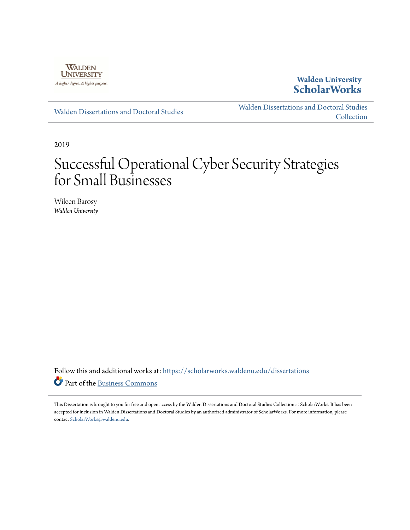

## **Walden University [ScholarWorks](https://scholarworks.waldenu.edu?utm_source=scholarworks.waldenu.edu%2Fdissertations%2F6969&utm_medium=PDF&utm_campaign=PDFCoverPages)**

[Walden Dissertations and Doctoral Studies](https://scholarworks.waldenu.edu/dissertations?utm_source=scholarworks.waldenu.edu%2Fdissertations%2F6969&utm_medium=PDF&utm_campaign=PDFCoverPages)

[Walden Dissertations and Doctoral Studies](https://scholarworks.waldenu.edu/dissanddoc?utm_source=scholarworks.waldenu.edu%2Fdissertations%2F6969&utm_medium=PDF&utm_campaign=PDFCoverPages) **[Collection](https://scholarworks.waldenu.edu/dissanddoc?utm_source=scholarworks.waldenu.edu%2Fdissertations%2F6969&utm_medium=PDF&utm_campaign=PDFCoverPages)** 

2019

# Successful Operational Cyber Security Strategies for Small Businesses

Wileen Barosy *Walden University*

Follow this and additional works at: [https://scholarworks.waldenu.edu/dissertations](https://scholarworks.waldenu.edu/dissertations?utm_source=scholarworks.waldenu.edu%2Fdissertations%2F6969&utm_medium=PDF&utm_campaign=PDFCoverPages) Part of the [Business Commons](http://network.bepress.com/hgg/discipline/622?utm_source=scholarworks.waldenu.edu%2Fdissertations%2F6969&utm_medium=PDF&utm_campaign=PDFCoverPages)

This Dissertation is brought to you for free and open access by the Walden Dissertations and Doctoral Studies Collection at ScholarWorks. It has been accepted for inclusion in Walden Dissertations and Doctoral Studies by an authorized administrator of ScholarWorks. For more information, please contact [ScholarWorks@waldenu.edu](mailto:ScholarWorks@waldenu.edu).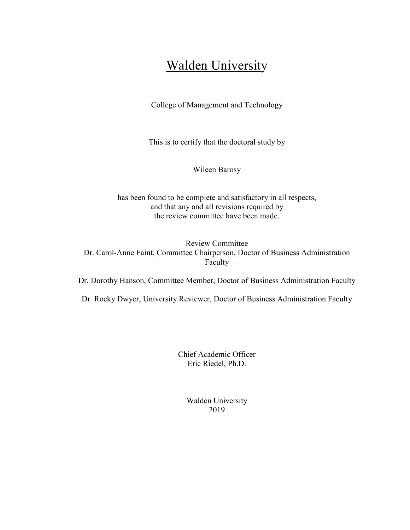## **Walden University**

College of Management and Technology

This is to certify that the doctoral study by

Wileen Barosy

has been found to be complete and satisfactory in all respects, and that any and all revisions required by the review committee have been made.

Review Committee Dr. Carol-Anne Faint, Committee Chairperson, Doctor of Business Administration Faculty

Dr. Dorothy Hanson, Committee Member, Doctor of Business Administration Faculty

Dr. Rocky Dwyer, University Reviewer, Doctor of Business Administration Faculty

Chief Academic Officer Eric Riedel, Ph.D.

> Walden University 2019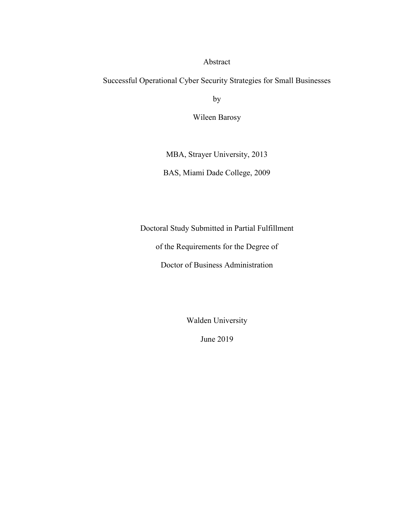#### Abstract

Successful Operational Cyber Security Strategies for Small Businesses

by

Wileen Barosy

MBA, Strayer University, 2013

BAS, Miami Dade College, 2009

Doctoral Study Submitted in Partial Fulfillment

of the Requirements for the Degree of

Doctor of Business Administration

Walden University

June 2019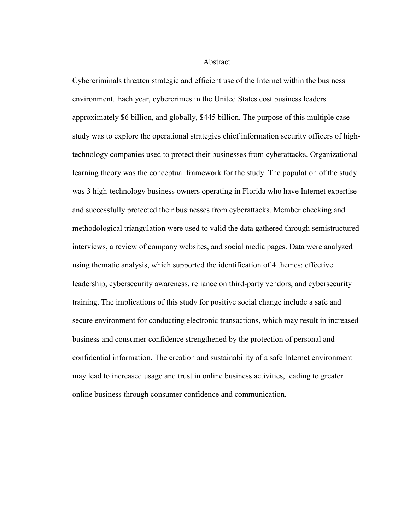Abstract

Cybercriminals threaten strategic and efficient use of the Internet within the business environment. Each year, cybercrimes in the United States cost business leaders approximately \$6 billion, and globally, \$445 billion. The purpose of this multiple case study was to explore the operational strategies chief information security officers of hightechnology companies used to protect their businesses from cyberattacks. Organizational learning theory was the conceptual framework for the study. The population of the study was 3 high-technology business owners operating in Florida who have Internet expertise and successfully protected their businesses from cyberattacks. Member checking and methodological triangulation were used to valid the data gathered through semistructured interviews, a review of company websites, and social media pages. Data were analyzed using thematic analysis, which supported the identification of 4 themes: effective leadership, cybersecurity awareness, reliance on third-party vendors, and cybersecurity training. The implications of this study for positive social change include a safe and secure environment for conducting electronic transactions, which may result in increased business and consumer confidence strengthened by the protection of personal and confidential information. The creation and sustainability of a safe Internet environment may lead to increased usage and trust in online business activities, leading to greater online business through consumer confidence and communication.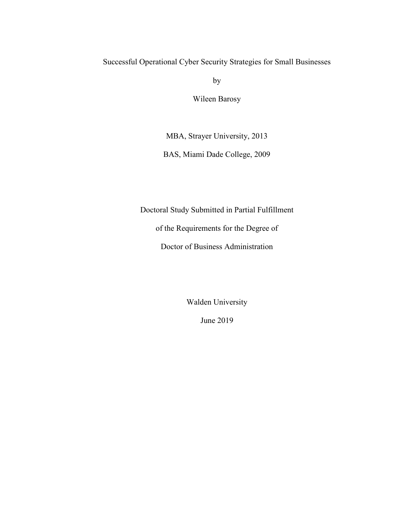## Successful Operational Cyber Security Strategies for Small Businesses

by

Wileen Barosy

MBA, Strayer University, 2013

BAS, Miami Dade College, 2009

Doctoral Study Submitted in Partial Fulfillment

of the Requirements for the Degree of

Doctor of Business Administration

Walden University

June 2019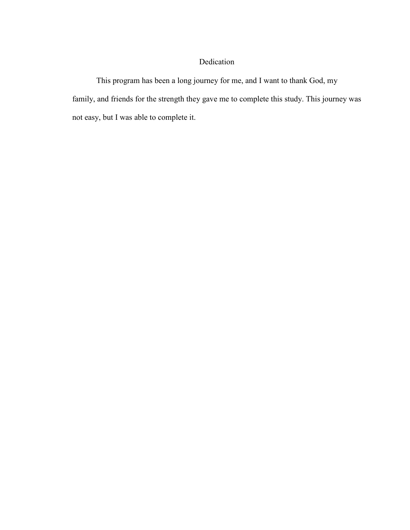### Dedication

This program has been a long journey for me, and I want to thank God, my family, and friends for the strength they gave me to complete this study. This journey was not easy, but I was able to complete it.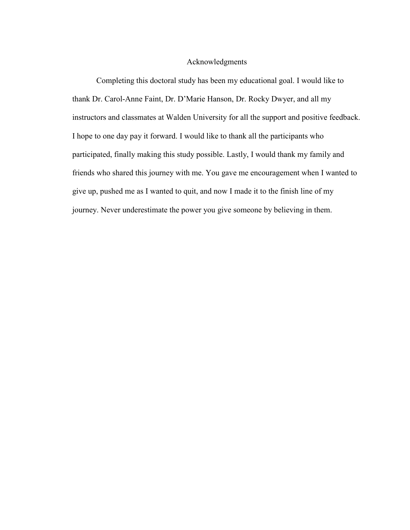#### Acknowledgments

Completing this doctoral study has been my educational goal. I would like to thank Dr. Carol-Anne Faint, Dr. D'Marie Hanson, Dr. Rocky Dwyer, and all my instructors and classmates at Walden University for all the support and positive feedback. I hope to one day pay it forward. I would like to thank all the participants who participated, finally making this study possible. Lastly, I would thank my family and friends who shared this journey with me. You gave me encouragement when I wanted to give up, pushed me as I wanted to quit, and now I made it to the finish line of my journey. Never underestimate the power you give someone by believing in them.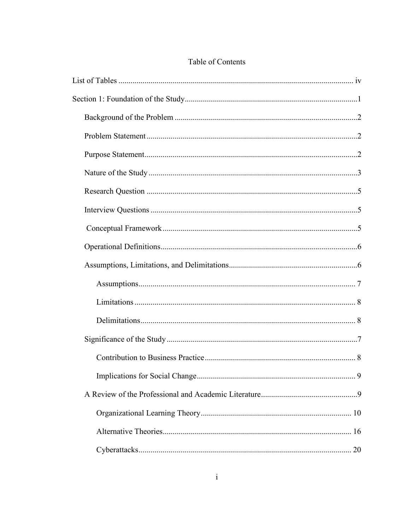## Table of Contents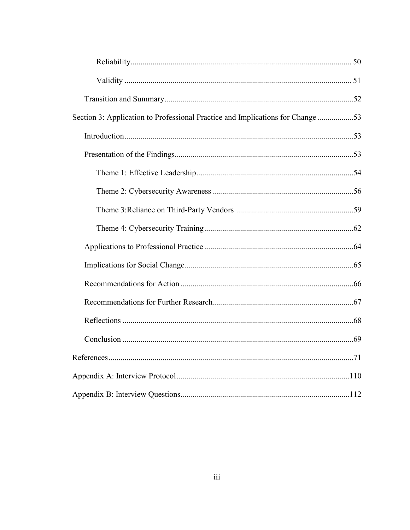| Section 3: Application to Professional Practice and Implications for Change 53 |  |
|--------------------------------------------------------------------------------|--|
|                                                                                |  |
|                                                                                |  |
|                                                                                |  |
|                                                                                |  |
|                                                                                |  |
|                                                                                |  |
|                                                                                |  |
|                                                                                |  |
|                                                                                |  |
|                                                                                |  |
|                                                                                |  |
|                                                                                |  |
|                                                                                |  |
|                                                                                |  |
|                                                                                |  |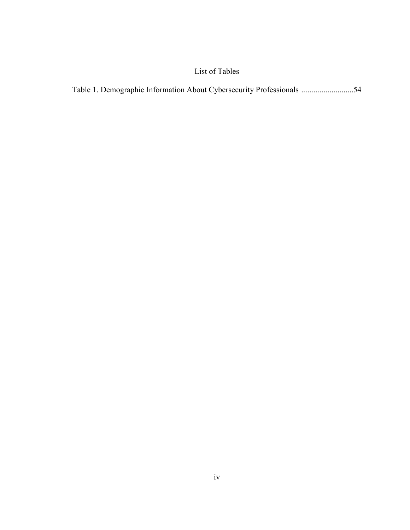## List of Tables

|--|--|--|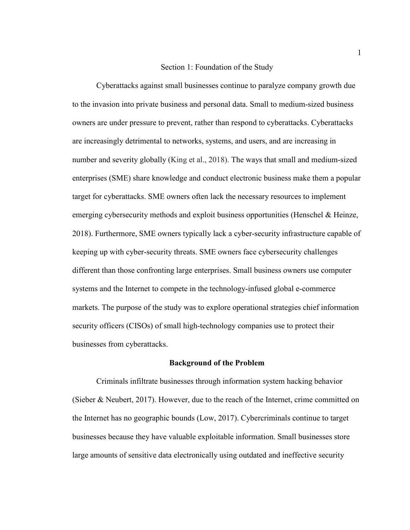#### Section 1: Foundation of the Study

Cyberattacks against small businesses continue to paralyze company growth due to the invasion into private business and personal data. Small to medium-sized business owners are under pressure to prevent, rather than respond to cyberattacks. Cyberattacks are increasingly detrimental to networks, systems, and users, and are increasing in number and severity globally (King et al., 2018). The ways that small and medium-sized enterprises (SME) share knowledge and conduct electronic business make them a popular target for cyberattacks. SME owners often lack the necessary resources to implement emerging cybersecurity methods and exploit business opportunities (Henschel & Heinze, 2018). Furthermore, SME owners typically lack a cyber-security infrastructure capable of keeping up with cyber-security threats. SME owners face cybersecurity challenges different than those confronting large enterprises. Small business owners use computer systems and the Internet to compete in the technology-infused global e-commerce markets. The purpose of the study was to explore operational strategies chief information security officers (CISOs) of small high-technology companies use to protect their businesses from cyberattacks.

#### **Background of the Problem**

Criminals infiltrate businesses through information system hacking behavior (Sieber & Neubert, 2017). However, due to the reach of the Internet, crime committed on the Internet has no geographic bounds (Low, 2017). Cybercriminals continue to target businesses because they have valuable exploitable information. Small businesses store large amounts of sensitive data electronically using outdated and ineffective security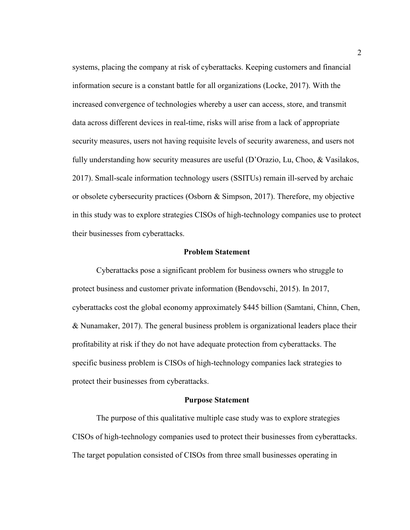systems, placing the company at risk of cyberattacks. Keeping customers and financial information secure is a constant battle for all organizations (Locke, 2017). With the increased convergence of technologies whereby a user can access, store, and transmit data across different devices in real-time, risks will arise from a lack of appropriate security measures, users not having requisite levels of security awareness, and users not fully understanding how security measures are useful (D'Orazio, Lu, Choo, & Vasilakos, 2017). Small-scale information technology users (SSITUs) remain ill-served by archaic or obsolete cybersecurity practices (Osborn & Simpson, 2017). Therefore, my objective in this study was to explore strategies CISOs of high-technology companies use to protect their businesses from cyberattacks.

#### **Problem Statement**

Cyberattacks pose a significant problem for business owners who struggle to protect business and customer private information (Bendovschi, 2015). In 2017, cyberattacks cost the global economy approximately \$445 billion (Samtani, Chinn, Chen, & Nunamaker, 2017). The general business problem is organizational leaders place their profitability at risk if they do not have adequate protection from cyberattacks. The specific business problem is CISOs of high-technology companies lack strategies to protect their businesses from cyberattacks.

#### **Purpose Statement**

The purpose of this qualitative multiple case study was to explore strategies CISOs of high-technology companies used to protect their businesses from cyberattacks. The target population consisted of CISOs from three small businesses operating in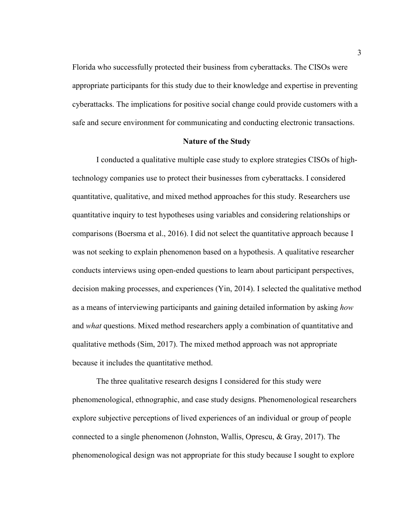Florida who successfully protected their business from cyberattacks. The CISOs were appropriate participants for this study due to their knowledge and expertise in preventing cyberattacks. The implications for positive social change could provide customers with a safe and secure environment for communicating and conducting electronic transactions.

#### **Nature of the Study**

I conducted a qualitative multiple case study to explore strategies CISOs of hightechnology companies use to protect their businesses from cyberattacks. I considered quantitative, qualitative, and mixed method approaches for this study. Researchers use quantitative inquiry to test hypotheses using variables and considering relationships or comparisons (Boersma et al., 2016). I did not select the quantitative approach because I was not seeking to explain phenomenon based on a hypothesis. A qualitative researcher conducts interviews using open-ended questions to learn about participant perspectives, decision making processes, and experiences (Yin, 2014). I selected the qualitative method as a means of interviewing participants and gaining detailed information by asking *how*  and *what* questions. Mixed method researchers apply a combination of quantitative and qualitative methods (Sim, 2017). The mixed method approach was not appropriate because it includes the quantitative method.

The three qualitative research designs I considered for this study were phenomenological, ethnographic, and case study designs. Phenomenological researchers explore subjective perceptions of lived experiences of an individual or group of people connected to a single phenomenon (Johnston, Wallis, Oprescu, & Gray, 2017). The phenomenological design was not appropriate for this study because I sought to explore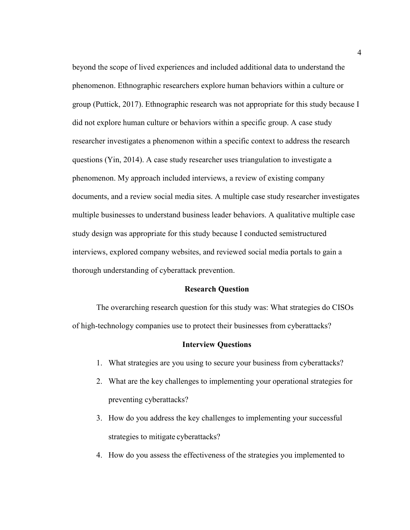beyond the scope of lived experiences and included additional data to understand the phenomenon. Ethnographic researchers explore human behaviors within a culture or group (Puttick, 2017). Ethnographic research was not appropriate for this study because I did not explore human culture or behaviors within a specific group. A case study researcher investigates a phenomenon within a specific context to address the research questions (Yin, 2014). A case study researcher uses triangulation to investigate a phenomenon. My approach included interviews, a review of existing company documents, and a review social media sites. A multiple case study researcher investigates multiple businesses to understand business leader behaviors. A qualitative multiple case study design was appropriate for this study because I conducted semistructured interviews, explored company websites, and reviewed social media portals to gain a thorough understanding of cyberattack prevention.

#### **Research Question**

The overarching research question for this study was: What strategies do CISOs of high-technology companies use to protect their businesses from cyberattacks?

#### **Interview Questions**

- 1. What strategies are you using to secure your business from cyberattacks?
- 2. What are the key challenges to implementing your operational strategies for preventing cyberattacks?
- 3. How do you address the key challenges to implementing your successful strategies to mitigate cyberattacks?
- 4. How do you assess the effectiveness of the strategies you implemented to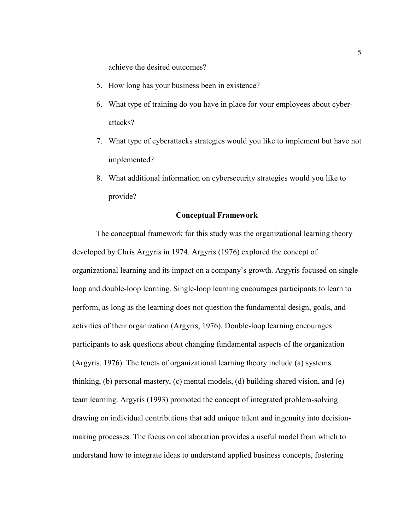achieve the desired outcomes?

- 5. How long has your business been in existence?
- 6. What type of training do you have in place for your employees about cyberattacks?
- 7. What type of cyberattacks strategies would you like to implement but have not implemented?
- 8. What additional information on cybersecurity strategies would you like to provide?

#### **Conceptual Framework**

The conceptual framework for this study was the organizational learning theory developed by Chris Argyris in 1974. Argyris (1976) explored the concept of organizational learning and its impact on a company's growth. Argyris focused on singleloop and double-loop learning. Single-loop learning encourages participants to learn to perform, as long as the learning does not question the fundamental design, goals, and activities of their organization (Argyris, 1976). Double-loop learning encourages participants to ask questions about changing fundamental aspects of the organization (Argyris, 1976). The tenets of organizational learning theory include (a) systems thinking, (b) personal mastery, (c) mental models, (d) building shared vision, and (e) team learning. Argyris (1993) promoted the concept of integrated problem-solving drawing on individual contributions that add unique talent and ingenuity into decisionmaking processes. The focus on collaboration provides a useful model from which to understand how to integrate ideas to understand applied business concepts, fostering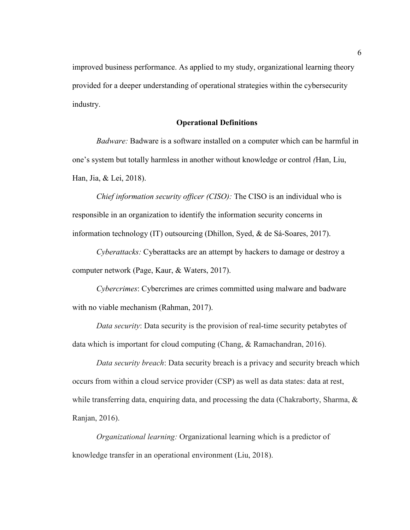improved business performance. As applied to my study, organizational learning theory provided for a deeper understanding of operational strategies within the cybersecurity industry.

#### **Operational Definitions**

*Badware:* Badware is a software installed on a computer which can be harmful in one's system but totally harmless in another without knowledge or control *(*Han, Liu, Han, Jia, & Lei, 2018).

*Chief information security officer (CISO):* The CISO is an individual who is responsible in an organization to identify the information security concerns in information technology (IT) outsourcing (Dhillon, Syed, & de Sá-Soares, 2017).

*Cyberattacks:* Cyberattacks are an attempt by hackers to damage or destroy a computer network (Page, Kaur, & Waters, 2017).

*Cybercrimes*: Cybercrimes are crimes committed using malware and badware with no viable mechanism (Rahman, 2017).

*Data security*: Data security is the provision of real-time security petabytes of data which is important for cloud computing (Chang, & Ramachandran, 2016).

*Data security breach*: Data security breach is a privacy and security breach which occurs from within a cloud service provider (CSP) as well as data states: data at rest, while transferring data, enquiring data, and processing the data (Chakraborty, Sharma, & Ranjan, 2016).

*Organizational learning:* Organizational learning which is a predictor of knowledge transfer in an operational environment (Liu, 2018).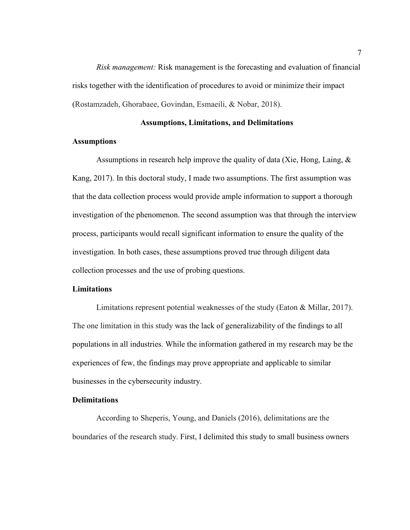*Risk management:* Risk management is the forecasting and evaluation of financial risks together with the identification of procedures to avoid or minimize their impact (Rostamzadeh, Ghorabaee, Govindan, Esmaeili, & Nobar, 2018).

#### **Assumptions, Limitations, and Delimitations**

#### **Assumptions**

Assumptions in research help improve the quality of data (Xie, Hong, Laing, & Kang, 2017). In this doctoral study, I made two assumptions. The first assumption was that the data collection process would provide ample information to support a thorough investigation of the phenomenon. The second assumption was that through the interview process, participants would recall significant information to ensure the quality of the investigation. In both cases, these assumptions proved true through diligent data collection processes and the use of probing questions.

#### **Limitations**

Limitations represent potential weaknesses of the study (Eaton & Millar, 2017). The one limitation in this study was the lack of generalizability of the findings to all populations in all industries. While the information gathered in my research may be the experiences of few, the findings may prove appropriate and applicable to similar businesses in the cybersecurity industry.

#### **Delimitations**

According to Sheperis, Young, and Daniels (2016), delimitations are the boundaries of the research study. First, I delimited this study to small business owners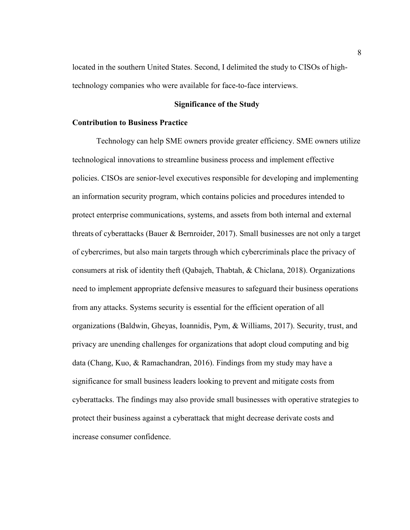located in the southern United States. Second, I delimited the study to CISOs of hightechnology companies who were available for face-to-face interviews.

#### **Significance of the Study**

#### **Contribution to Business Practice**

Technology can help SME owners provide greater efficiency. SME owners utilize technological innovations to streamline business process and implement effective policies. CISOs are senior-level executives responsible for developing and implementing an information security program, which contains policies and procedures intended to protect enterprise communications, systems, and assets from both internal and external threats of cyberattacks (Bauer & Bernroider, 2017). Small businesses are not only a target of cybercrimes, but also main targets through which cybercriminals place the privacy of consumers at risk of identity theft (Qabajeh, Thabtah, & Chiclana, 2018). Organizations need to implement appropriate defensive measures to safeguard their business operations from any attacks. Systems security is essential for the efficient operation of all organizations (Baldwin, Gheyas, Ioannidis, Pym, & Williams, 2017). Security, trust, and privacy are unending challenges for organizations that adopt cloud computing and big data (Chang, Kuo, & Ramachandran, 2016). Findings from my study may have a significance for small business leaders looking to prevent and mitigate costs from cyberattacks. The findings may also provide small businesses with operative strategies to protect their business against a cyberattack that might decrease derivate costs and increase consumer confidence.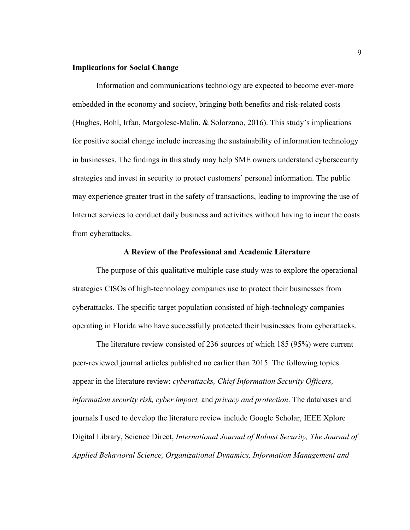#### **Implications for Social Change**

Information and communications technology are expected to become ever-more embedded in the economy and society, bringing both benefits and risk-related costs (Hughes, Bohl, Irfan, Margolese-Malin, & Solorzano, 2016). This study's implications for positive social change include increasing the sustainability of information technology in businesses. The findings in this study may help SME owners understand cybersecurity strategies and invest in security to protect customers' personal information. The public may experience greater trust in the safety of transactions, leading to improving the use of Internet services to conduct daily business and activities without having to incur the costs from cyberattacks.

#### **A Review of the Professional and Academic Literature**

The purpose of this qualitative multiple case study was to explore the operational strategies CISOs of high-technology companies use to protect their businesses from cyberattacks. The specific target population consisted of high-technology companies operating in Florida who have successfully protected their businesses from cyberattacks.

The literature review consisted of 236 sources of which 185 (95%) were current peer-reviewed journal articles published no earlier than 2015. The following topics appear in the literature review: *cyberattacks, Chief Information Security Officers, information security risk, cyber impact,* and *privacy and protection*. The databases and journals I used to develop the literature review include Google Scholar, IEEE Xplore Digital Library, Science Direct, *International Journal of Robust Security, The Journal of Applied Behavioral Science, Organizational Dynamics, Information Management and*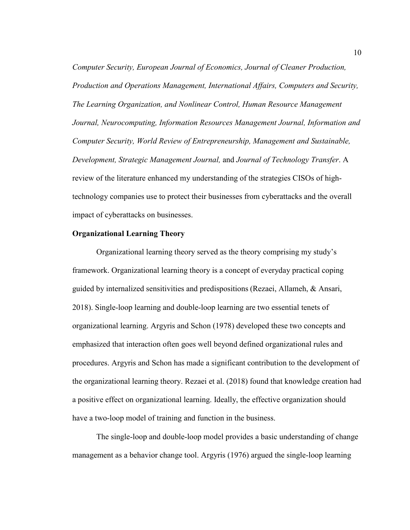*Computer Security, European Journal of Economics, Journal of Cleaner Production, Production and Operations Management, International Affairs, Computers and Security, The Learning Organization, and Nonlinear Control, Human Resource Management Journal, Neurocomputing, Information Resources Management Journal, Information and Computer Security, World Review of Entrepreneurship, Management and Sustainable, Development, Strategic Management Journal,* and *Journal of Technology Transfer*. A review of the literature enhanced my understanding of the strategies CISOs of hightechnology companies use to protect their businesses from cyberattacks and the overall impact of cyberattacks on businesses.

#### **Organizational Learning Theory**

Organizational learning theory served as the theory comprising my study's framework. Organizational learning theory is a concept of everyday practical coping guided by internalized sensitivities and predispositions (Rezaei, Allameh, & Ansari, 2018). Single-loop learning and double-loop learning are two essential tenets of organizational learning. Argyris and Schon (1978) developed these two concepts and emphasized that interaction often goes well beyond defined organizational rules and procedures. Argyris and Schon has made a significant contribution to the development of the organizational learning theory. Rezaei et al. (2018) found that knowledge creation had a positive effect on organizational learning. Ideally, the effective organization should have a two-loop model of training and function in the business.

The single-loop and double-loop model provides a basic understanding of change management as a behavior change tool. Argyris (1976) argued the single-loop learning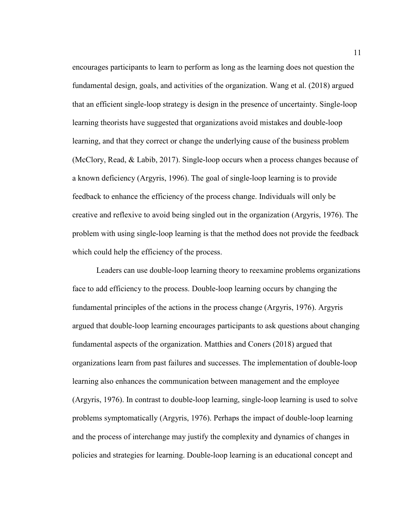encourages participants to learn to perform as long as the learning does not question the fundamental design, goals, and activities of the organization. Wang et al. (2018) argued that an efficient single-loop strategy is design in the presence of uncertainty. Single-loop learning theorists have suggested that organizations avoid mistakes and double-loop learning, and that they correct or change the underlying cause of the business problem (McClory, Read, & Labib, 2017). Single-loop occurs when a process changes because of a known deficiency (Argyris, 1996). The goal of single-loop learning is to provide feedback to enhance the efficiency of the process change. Individuals will only be creative and reflexive to avoid being singled out in the organization (Argyris, 1976). The problem with using single-loop learning is that the method does not provide the feedback which could help the efficiency of the process.

Leaders can use double-loop learning theory to reexamine problems organizations face to add efficiency to the process. Double-loop learning occurs by changing the fundamental principles of the actions in the process change (Argyris, 1976). Argyris argued that double-loop learning encourages participants to ask questions about changing fundamental aspects of the organization. Matthies and Coners (2018) argued that organizations learn from past failures and successes. The implementation of double-loop learning also enhances the communication between management and the employee (Argyris, 1976). In contrast to double-loop learning, single-loop learning is used to solve problems symptomatically (Argyris, 1976). Perhaps the impact of double-loop learning and the process of interchange may justify the complexity and dynamics of changes in policies and strategies for learning. Double-loop learning is an educational concept and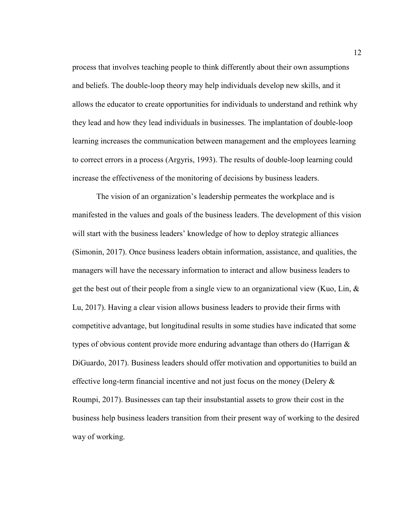process that involves teaching people to think differently about their own assumptions and beliefs. The double-loop theory may help individuals develop new skills, and it allows the educator to create opportunities for individuals to understand and rethink why they lead and how they lead individuals in businesses. The implantation of double-loop learning increases the communication between management and the employees learning to correct errors in a process (Argyris, 1993). The results of double-loop learning could increase the effectiveness of the monitoring of decisions by business leaders.

The vision of an organization's leadership permeates the workplace and is manifested in the values and goals of the business leaders. The development of this vision will start with the business leaders' knowledge of how to deploy strategic alliances (Simonin, 2017). Once business leaders obtain information, assistance, and qualities, the managers will have the necessary information to interact and allow business leaders to get the best out of their people from a single view to an organizational view (Kuo, Lin,  $\&$ Lu, 2017). Having a clear vision allows business leaders to provide their firms with competitive advantage, but longitudinal results in some studies have indicated that some types of obvious content provide more enduring advantage than others do (Harrigan & DiGuardo, 2017). Business leaders should offer motivation and opportunities to build an effective long-term financial incentive and not just focus on the money (Delery  $\&$ Roumpi, 2017). Businesses can tap their insubstantial assets to grow their cost in the business help business leaders transition from their present way of working to the desired way of working.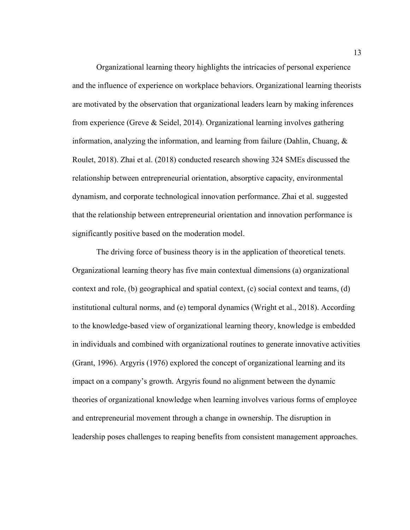Organizational learning theory highlights the intricacies of personal experience and the influence of experience on workplace behaviors. Organizational learning theorists are motivated by the observation that organizational leaders learn by making inferences from experience (Greve & Seidel, 2014). Organizational learning involves gathering information, analyzing the information, and learning from failure (Dahlin, Chuang, & Roulet, 2018). Zhai et al. (2018) conducted research showing 324 SMEs discussed the relationship between entrepreneurial orientation, absorptive capacity, environmental dynamism, and corporate technological innovation performance. Zhai et al. suggested that the relationship between entrepreneurial orientation and innovation performance is significantly positive based on the moderation model.

The driving force of business theory is in the application of theoretical tenets. Organizational learning theory has five main contextual dimensions (a) organizational context and role, (b) geographical and spatial context, (c) social context and teams, (d) institutional cultural norms, and (e) temporal dynamics (Wright et al., 2018). According to the knowledge-based view of organizational learning theory, knowledge is embedded in individuals and combined with organizational routines to generate innovative activities (Grant, 1996). Argyris (1976) explored the concept of organizational learning and its impact on a company's growth. Argyris found no alignment between the dynamic theories of organizational knowledge when learning involves various forms of employee and entrepreneurial movement through a change in ownership. The disruption in leadership poses challenges to reaping benefits from consistent management approaches.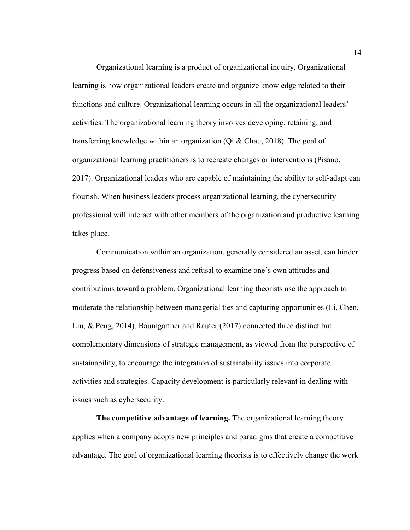Organizational learning is a product of organizational inquiry. Organizational learning is how organizational leaders create and organize knowledge related to their functions and culture. Organizational learning occurs in all the organizational leaders' activities. The organizational learning theory involves developing, retaining, and transferring knowledge within an organization (Qi  $&$  Chau, 2018). The goal of organizational learning practitioners is to recreate changes or interventions (Pisano, 2017). Organizational leaders who are capable of maintaining the ability to self-adapt can flourish. When business leaders process organizational learning, the cybersecurity professional will interact with other members of the organization and productive learning takes place.

Communication within an organization, generally considered an asset, can hinder progress based on defensiveness and refusal to examine one's own attitudes and contributions toward a problem. Organizational learning theorists use the approach to moderate the relationship between managerial ties and capturing opportunities (Li, Chen, Liu, & Peng, 2014). Baumgartner and Rauter (2017) connected three distinct but complementary dimensions of strategic management, as viewed from the perspective of sustainability, to encourage the integration of sustainability issues into corporate activities and strategies. Capacity development is particularly relevant in dealing with issues such as cybersecurity.

**The competitive advantage of learning.** The organizational learning theory applies when a company adopts new principles and paradigms that create a competitive advantage. The goal of organizational learning theorists is to effectively change the work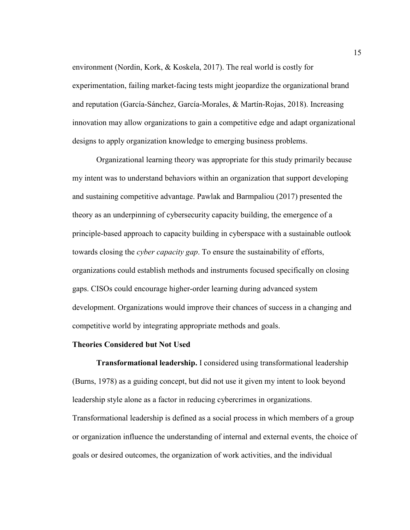environment (Nordin, Kork, & Koskela, 2017). The real world is costly for experimentation, failing market-facing tests might jeopardize the organizational brand and reputation (García-Sánchez, García-Morales, & Martín-Rojas, 2018). Increasing innovation may allow organizations to gain a competitive edge and adapt organizational designs to apply organization knowledge to emerging business problems.

Organizational learning theory was appropriate for this study primarily because my intent was to understand behaviors within an organization that support developing and sustaining competitive advantage. Pawlak and Barmpaliou (2017) presented the theory as an underpinning of cybersecurity capacity building, the emergence of a principle-based approach to capacity building in cyberspace with a sustainable outlook towards closing the *cyber capacity gap*. To ensure the sustainability of efforts, organizations could establish methods and instruments focused specifically on closing gaps. CISOs could encourage higher-order learning during advanced system development. Organizations would improve their chances of success in a changing and competitive world by integrating appropriate methods and goals.

#### **Theories Considered but Not Used**

**Transformational leadership.** I considered using transformational leadership (Burns, 1978) as a guiding concept, but did not use it given my intent to look beyond leadership style alone as a factor in reducing cybercrimes in organizations. Transformational leadership is defined as a social process in which members of a group or organization influence the understanding of internal and external events, the choice of goals or desired outcomes, the organization of work activities, and the individual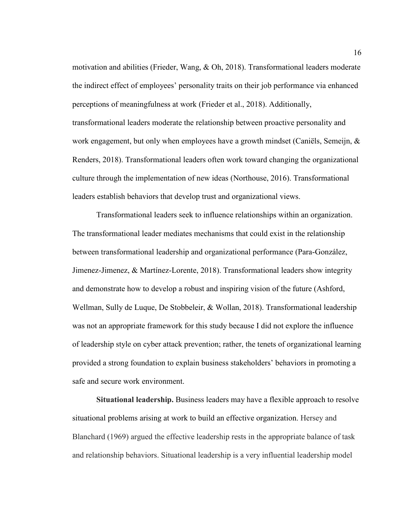motivation and abilities (Frieder, Wang, & Oh, 2018). Transformational leaders moderate the indirect effect of employees' personality traits on their job performance via enhanced perceptions of meaningfulness at work (Frieder et al., 2018). Additionally, transformational leaders moderate the relationship between proactive personality and work engagement, but only when employees have a growth mindset (Caniëls, Semeijn, & Renders, 2018). Transformational leaders often work toward changing the organizational culture through the implementation of new ideas (Northouse, 2016). Transformational leaders establish behaviors that develop trust and organizational views.

Transformational leaders seek to influence relationships within an organization. The transformational leader mediates mechanisms that could exist in the relationship between transformational leadership and organizational performance (Para-González, Jimenez-Jimenez, & Martínez-Lorente, 2018). Transformational leaders show integrity and demonstrate how to develop a robust and inspiring vision of the future (Ashford, Wellman, Sully de Luque, De Stobbeleir, & Wollan, 2018). Transformational leadership was not an appropriate framework for this study because I did not explore the influence of leadership style on cyber attack prevention; rather, the tenets of organizational learning provided a strong foundation to explain business stakeholders' behaviors in promoting a safe and secure work environment.

**Situational leadership.** Business leaders may have a flexible approach to resolve situational problems arising at work to build an effective organization. Hersey and Blanchard (1969) argued the effective leadership rests in the appropriate balance of task and relationship behaviors. Situational leadership is a very influential leadership model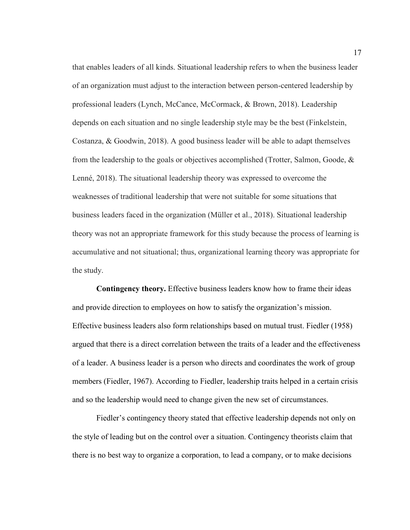that enables leaders of all kinds. Situational leadership refers to when the business leader of an organization must adjust to the interaction between person-centered leadership by professional leaders (Lynch, McCance, McCormack, & Brown, 2018). Leadership depends on each situation and no single leadership style may be the best (Finkelstein, Costanza, & Goodwin, 2018). A good business leader will be able to adapt themselves from the leadership to the goals or objectives accomplished (Trotter, Salmon, Goode, & Lenné, 2018). The situational leadership theory was expressed to overcome the weaknesses of traditional leadership that were not suitable for some situations that business leaders faced in the organization (Müller et al., 2018). Situational leadership theory was not an appropriate framework for this study because the process of learning is accumulative and not situational; thus, organizational learning theory was appropriate for the study.

**Contingency theory.** Effective business leaders know how to frame their ideas and provide direction to employees on how to satisfy the organization's mission. Effective business leaders also form relationships based on mutual trust. Fiedler (1958) argued that there is a direct correlation between the traits of a leader and the effectiveness of a leader. A business leader is a person who directs and coordinates the work of group members (Fiedler, 1967). According to Fiedler, leadership traits helped in a certain crisis and so the leadership would need to change given the new set of circumstances.

Fiedler's contingency theory stated that effective leadership depends not only on the style of leading but on the control over a situation. Contingency theorists claim that there is no best way to organize a corporation, to lead a company, or to make decisions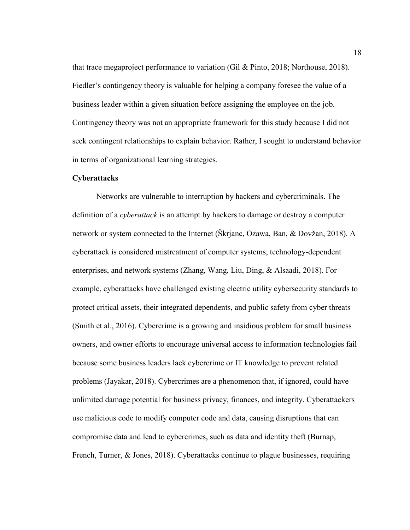that trace megaproject performance to variation (Gil & Pinto, 2018; Northouse, 2018). Fiedler's contingency theory is valuable for helping a company foresee the value of a business leader within a given situation before assigning the employee on the job. Contingency theory was not an appropriate framework for this study because I did not seek contingent relationships to explain behavior. Rather, I sought to understand behavior in terms of organizational learning strategies.

#### **Cyberattacks**

Networks are vulnerable to interruption by hackers and cybercriminals. The definition of a *cyberattack* is an attempt by hackers to damage or destroy a computer network or system connected to the Internet (Škrjanc, Ozawa, Ban, & Dovžan, 2018). A cyberattack is considered mistreatment of computer systems, technology-dependent enterprises, and network systems (Zhang, Wang, Liu, Ding, & Alsaadi, 2018). For example, cyberattacks have challenged existing electric utility cybersecurity standards to protect critical assets, their integrated dependents, and public safety from cyber threats (Smith et al., 2016). Cybercrime is a growing and insidious problem for small business owners, and owner efforts to encourage universal access to information technologies fail because some business leaders lack cybercrime or IT knowledge to prevent related problems (Jayakar, 2018). Cybercrimes are a phenomenon that, if ignored, could have unlimited damage potential for business privacy, finances, and integrity. Cyberattackers use malicious code to modify computer code and data, causing disruptions that can compromise data and lead to cybercrimes, such as data and identity theft (Burnap, French, Turner, & Jones, 2018). Cyberattacks continue to plague businesses, requiring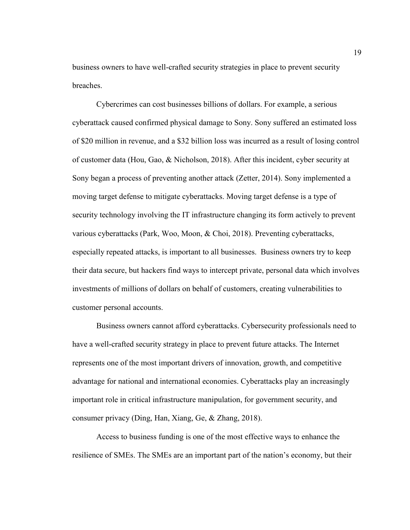business owners to have well-crafted security strategies in place to prevent security breaches.

Cybercrimes can cost businesses billions of dollars. For example, a serious cyberattack caused confirmed physical damage to Sony. Sony suffered an estimated loss of \$20 million in revenue, and a \$32 billion loss was incurred as a result of losing control of customer data (Hou, Gao, & Nicholson, 2018). After this incident, cyber security at Sony began a process of preventing another attack (Zetter, 2014). Sony implemented a moving target defense to mitigate cyberattacks. Moving target defense is a type of security technology involving the IT infrastructure changing its form actively to prevent various cyberattacks (Park, Woo, Moon, & Choi, 2018). Preventing cyberattacks, especially repeated attacks, is important to all businesses. Business owners try to keep their data secure, but hackers find ways to intercept private, personal data which involves investments of millions of dollars on behalf of customers, creating vulnerabilities to customer personal accounts.

Business owners cannot afford cyberattacks. Cybersecurity professionals need to have a well-crafted security strategy in place to prevent future attacks. The Internet represents one of the most important drivers of innovation, growth, and competitive advantage for national and international economies. Cyberattacks play an increasingly important role in critical infrastructure manipulation, for government security, and consumer privacy (Ding, Han, Xiang, Ge, & Zhang, 2018).

Access to business funding is one of the most effective ways to enhance the resilience of SMEs. The SMEs are an important part of the nation's economy, but their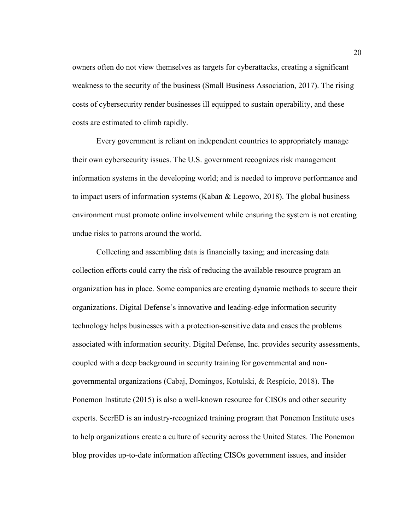owners often do not view themselves as targets for cyberattacks, creating a significant weakness to the security of the business (Small Business Association, 2017). The rising costs of cybersecurity render businesses ill equipped to sustain operability, and these costs are estimated to climb rapidly.

Every government is reliant on independent countries to appropriately manage their own cybersecurity issues. The U.S. government recognizes risk management information systems in the developing world; and is needed to improve performance and to impact users of information systems (Kaban  $\&$  Legowo, 2018). The global business environment must promote online involvement while ensuring the system is not creating undue risks to patrons around the world.

Collecting and assembling data is financially taxing; and increasing data collection efforts could carry the risk of reducing the available resource program an organization has in place. Some companies are creating dynamic methods to secure their organizations. Digital Defense's innovative and leading-edge information security technology helps businesses with a protection-sensitive data and eases the problems associated with information security. Digital Defense, Inc. provides security assessments, coupled with a deep background in security training for governmental and nongovernmental organizations (Cabaj, Domingos, Kotulski, & Respício, 2018). The Ponemon Institute (2015) is also a well-known resource for CISOs and other security experts. SecrED is an industry-recognized training program that Ponemon Institute uses to help organizations create a culture of security across the United States. The Ponemon blog provides up-to-date information affecting CISOs government issues, and insider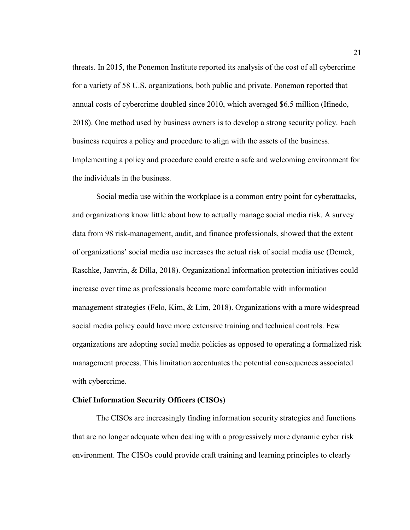threats. In 2015, the Ponemon Institute reported its analysis of the cost of all cybercrime for a variety of 58 U.S. organizations, both public and private. Ponemon reported that annual costs of cybercrime doubled since 2010, which averaged \$6.5 million (Ifinedo, 2018). One method used by business owners is to develop a strong security policy. Each business requires a policy and procedure to align with the assets of the business. Implementing a policy and procedure could create a safe and welcoming environment for the individuals in the business.

Social media use within the workplace is a common entry point for cyberattacks, and organizations know little about how to actually manage social media risk. A survey data from 98 risk-management, audit, and finance professionals, showed that the extent of organizations' social media use increases the actual risk of social media use (Demek, Raschke, Janvrin, & Dilla, 2018). Organizational information protection initiatives could increase over time as professionals become more comfortable with information management strategies (Felo, Kim, & Lim, 2018). Organizations with a more widespread social media policy could have more extensive training and technical controls. Few organizations are adopting social media policies as opposed to operating a formalized risk management process. This limitation accentuates the potential consequences associated with cybercrime.

#### **Chief Information Security Officers (CISOs)**

The CISOs are increasingly finding information security strategies and functions that are no longer adequate when dealing with a progressively more dynamic cyber risk environment. The CISOs could provide craft training and learning principles to clearly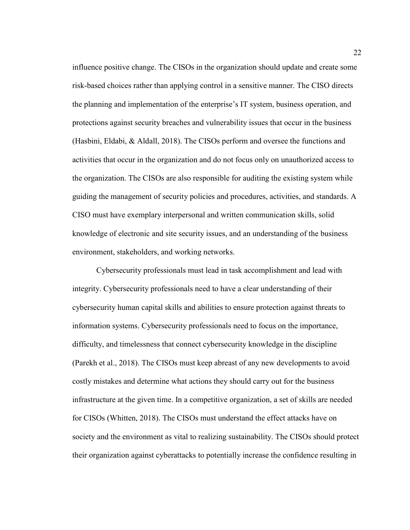influence positive change. The CISOs in the organization should update and create some risk-based choices rather than applying control in a sensitive manner. The CISO directs the planning and implementation of the enterprise's IT system, business operation, and protections against security breaches and vulnerability issues that occur in the business (Hasbini, Eldabi, & Aldall, 2018). The CISOs perform and oversee the functions and activities that occur in the organization and do not focus only on unauthorized access to the organization. The CISOs are also responsible for auditing the existing system while guiding the management of security policies and procedures, activities, and standards. A CISO must have exemplary interpersonal and written communication skills, solid knowledge of electronic and site security issues, and an understanding of the business environment, stakeholders, and working networks.

Cybersecurity professionals must lead in task accomplishment and lead with integrity. Cybersecurity professionals need to have a clear understanding of their cybersecurity human capital skills and abilities to ensure protection against threats to information systems. Cybersecurity professionals need to focus on the importance, difficulty, and timelessness that connect cybersecurity knowledge in the discipline (Parekh et al., 2018). The CISOs must keep abreast of any new developments to avoid costly mistakes and determine what actions they should carry out for the business infrastructure at the given time. In a competitive organization, a set of skills are needed for CISOs (Whitten, 2018). The CISOs must understand the effect attacks have on society and the environment as vital to realizing sustainability. The CISOs should protect their organization against cyberattacks to potentially increase the confidence resulting in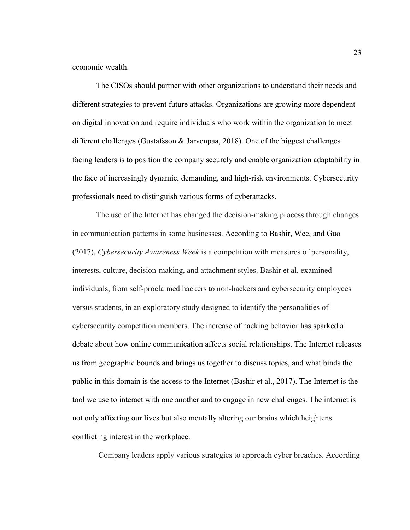economic wealth.

The CISOs should partner with other organizations to understand their needs and different strategies to prevent future attacks. Organizations are growing more dependent on digital innovation and require individuals who work within the organization to meet different challenges (Gustafsson & Jarvenpaa, 2018). One of the biggest challenges facing leaders is to position the company securely and enable organization adaptability in the face of increasingly dynamic, demanding, and high-risk environments. Cybersecurity professionals need to distinguish various forms of cyberattacks.

The use of the Internet has changed the decision-making process through changes in communication patterns in some businesses. According to Bashir, Wee, and Guo (2017), *Cybersecurity Awareness Week* is a competition with measures of personality, interests, culture, decision-making, and attachment styles. Bashir et al. examined individuals, from self-proclaimed hackers to non-hackers and cybersecurity employees versus students, in an exploratory study designed to identify the personalities of cybersecurity competition members. The increase of hacking behavior has sparked a debate about how online communication affects social relationships. The Internet releases us from geographic bounds and brings us together to discuss topics, and what binds the public in this domain is the access to the Internet (Bashir et al., 2017). The Internet is the tool we use to interact with one another and to engage in new challenges. The internet is not only affecting our lives but also mentally altering our brains which heightens conflicting interest in the workplace.

Company leaders apply various strategies to approach cyber breaches. According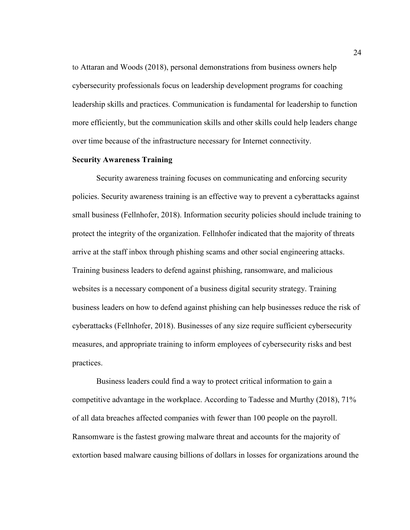to Attaran and Woods (2018), personal demonstrations from business owners help cybersecurity professionals focus on leadership development programs for coaching leadership skills and practices. Communication is fundamental for leadership to function more efficiently, but the communication skills and other skills could help leaders change over time because of the infrastructure necessary for Internet connectivity.

#### **Security Awareness Training**

Security awareness training focuses on communicating and enforcing security policies. Security awareness training is an effective way to prevent a cyberattacks against small business (Fellnhofer, 2018). Information security policies should include training to protect the integrity of the organization. Fellnhofer indicated that the majority of threats arrive at the staff inbox through phishing scams and other social engineering attacks. Training business leaders to defend against phishing, ransomware, and malicious websites is a necessary component of a business digital security strategy. Training business leaders on how to defend against phishing can help businesses reduce the risk of cyberattacks (Fellnhofer, 2018). Businesses of any size require sufficient cybersecurity measures, and appropriate training to inform employees of cybersecurity risks and best practices.

Business leaders could find a way to protect critical information to gain a competitive advantage in the workplace. According to Tadesse and Murthy (2018), 71% of all data breaches affected companies with fewer than 100 people on the payroll. Ransomware is the fastest growing malware threat and accounts for the majority of extortion based malware causing billions of dollars in losses for organizations around the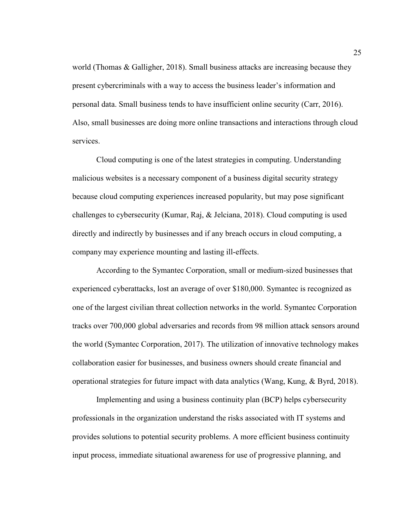world (Thomas  $\&$  Galligher, 2018). Small business attacks are increasing because they present cybercriminals with a way to access the business leader's information and personal data. Small business tends to have insufficient online security (Carr, 2016). Also, small businesses are doing more online transactions and interactions through cloud services.

Cloud computing is one of the latest strategies in computing. Understanding malicious websites is a necessary component of a business digital security strategy because cloud computing experiences increased popularity, but may pose significant challenges to cybersecurity (Kumar, Raj, & Jelciana, 2018). Cloud computing is used directly and indirectly by businesses and if any breach occurs in cloud computing, a company may experience mounting and lasting ill-effects.

According to the Symantec Corporation, small or medium-sized businesses that experienced cyberattacks, lost an average of over \$180,000. Symantec is recognized as one of the largest civilian threat collection networks in the world. Symantec Corporation tracks over 700,000 global adversaries and records from 98 million attack sensors around the world (Symantec Corporation, 2017). The utilization of innovative technology makes collaboration easier for businesses, and business owners should create financial and operational strategies for future impact with data analytics (Wang, Kung, & Byrd, 2018).

 Implementing and using a business continuity plan (BCP) helps cybersecurity professionals in the organization understand the risks associated with IT systems and provides solutions to potential security problems. A more efficient business continuity input process, immediate situational awareness for use of progressive planning, and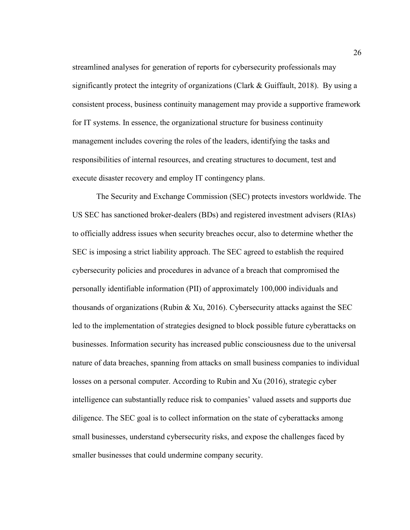streamlined analyses for generation of reports for cybersecurity professionals may significantly protect the integrity of organizations (Clark  $\&$  Guiffault, 2018). By using a consistent process, business continuity management may provide a supportive framework for IT systems. In essence, the organizational structure for business continuity management includes covering the roles of the leaders, identifying the tasks and responsibilities of internal resources, and creating structures to document, test and execute disaster recovery and employ IT contingency plans.

 The Security and Exchange Commission (SEC) protects investors worldwide. The US SEC has sanctioned broker-dealers (BDs) and registered investment advisers (RIAs) to officially address issues when security breaches occur, also to determine whether the SEC is imposing a strict liability approach. The SEC agreed to establish the required cybersecurity policies and procedures in advance of a breach that compromised the personally identifiable information (PII) of approximately 100,000 individuals and thousands of organizations (Rubin & Xu, 2016). Cybersecurity attacks against the SEC led to the implementation of strategies designed to block possible future cyberattacks on businesses. Information security has increased public consciousness due to the universal nature of data breaches, spanning from attacks on small business companies to individual losses on a personal computer. According to Rubin and Xu (2016), strategic cyber intelligence can substantially reduce risk to companies' valued assets and supports due diligence. The SEC goal is to collect information on the state of cyberattacks among small businesses, understand cybersecurity risks, and expose the challenges faced by smaller businesses that could undermine company security.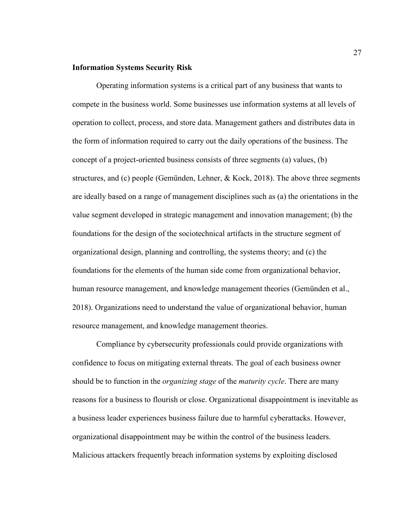## **Information Systems Security Risk**

Operating information systems is a critical part of any business that wants to compete in the business world. Some businesses use information systems at all levels of operation to collect, process, and store data. Management gathers and distributes data in the form of information required to carry out the daily operations of the business. The concept of a project-oriented business consists of three segments (a) values, (b) structures, and (c) people (Gemünden, Lehner, & Kock, 2018). The above three segments are ideally based on a range of management disciplines such as (a) the orientations in the value segment developed in strategic management and innovation management; (b) the foundations for the design of the sociotechnical artifacts in the structure segment of organizational design, planning and controlling, the systems theory; and (c) the foundations for the elements of the human side come from organizational behavior, human resource management, and knowledge management theories (Gemünden et al., 2018). Organizations need to understand the value of organizational behavior, human resource management, and knowledge management theories.

Compliance by cybersecurity professionals could provide organizations with confidence to focus on mitigating external threats. The goal of each business owner should be to function in the *organizing stage* of the *maturity cycle*. There are many reasons for a business to flourish or close. Organizational disappointment is inevitable as a business leader experiences business failure due to harmful cyberattacks. However, organizational disappointment may be within the control of the business leaders. Malicious attackers frequently breach information systems by exploiting disclosed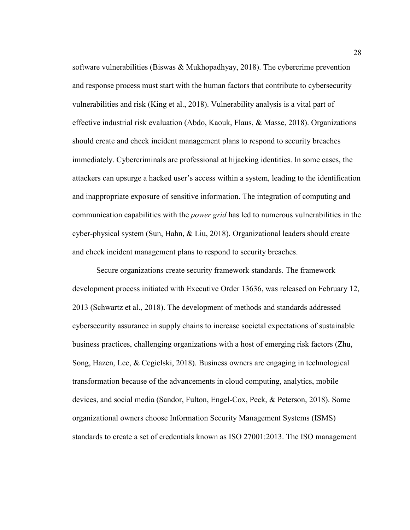software vulnerabilities (Biswas & Mukhopadhyay, 2018). The cybercrime prevention and response process must start with the human factors that contribute to cybersecurity vulnerabilities and risk (King et al., 2018). Vulnerability analysis is a vital part of effective industrial risk evaluation (Abdo, Kaouk, Flaus, & Masse, 2018). Organizations should create and check incident management plans to respond to security breaches immediately. Cybercriminals are professional at hijacking identities. In some cases, the attackers can upsurge a hacked user's access within a system, leading to the identification and inappropriate exposure of sensitive information. The integration of computing and communication capabilities with the *power grid* has led to numerous vulnerabilities in the cyber-physical system (Sun, Hahn, & Liu, 2018). Organizational leaders should create and check incident management plans to respond to security breaches.

Secure organizations create security framework standards. The framework development process initiated with Executive Order 13636, was released on February 12, 2013 (Schwartz et al., 2018). The development of methods and standards addressed cybersecurity assurance in supply chains to increase societal expectations of sustainable business practices, challenging organizations with a host of emerging risk factors (Zhu, Song, Hazen, Lee, & Cegielski, 2018). Business owners are engaging in technological transformation because of the advancements in cloud computing, analytics, mobile devices, and social media (Sandor, Fulton, Engel-Cox, Peck, & Peterson, 2018). Some organizational owners choose Information Security Management Systems (ISMS) standards to create a set of credentials known as ISO 27001:2013. The ISO management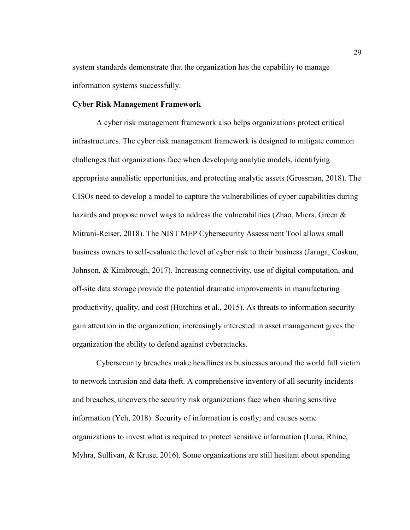system standards demonstrate that the organization has the capability to manage information systems successfully.

# **Cyber Risk Management Framework**

 A cyber risk management framework also helps organizations protect critical infrastructures. The cyber risk management framework is designed to mitigate common challenges that organizations face when developing analytic models, identifying appropriate annalistic opportunities, and protecting analytic assets (Grossman, 2018). The CISOs need to develop a model to capture the vulnerabilities of cyber capabilities during hazards and propose novel ways to address the vulnerabilities (Zhao, Miers, Green  $\&$ Mitrani-Reiser, 2018). The NIST MEP Cybersecurity Assessment Tool allows small business owners to self-evaluate the level of cyber risk to their business (Jaruga, Coskun, Johnson, & Kimbrough, 2017). Increasing connectivity, use of digital computation, and off-site data storage provide the potential dramatic improvements in manufacturing productivity, quality, and cost (Hutchins et al., 2015). As threats to information security gain attention in the organization, increasingly interested in asset management gives the organization the ability to defend against cyberattacks.

Cybersecurity breaches make headlines as businesses around the world fall victim to network intrusion and data theft. A comprehensive inventory of all security incidents and breaches, uncovers the security risk organizations face when sharing sensitive information (Yeh, 2018). Security of information is costly; and causes some organizations to invest what is required to protect sensitive information (Luna, Rhine, Myhra, Sullivan, & Kruse, 2016). Some organizations are still hesitant about spending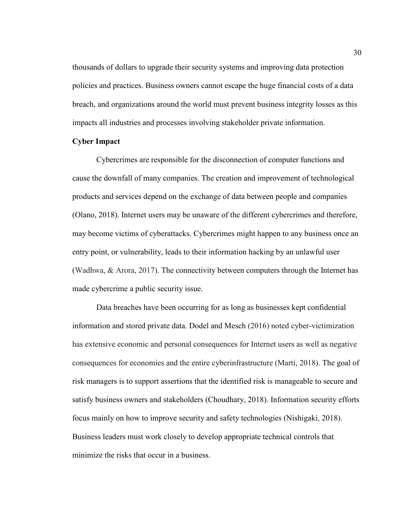thousands of dollars to upgrade their security systems and improving data protection policies and practices. Business owners cannot escape the huge financial costs of a data breach, and organizations around the world must prevent business integrity losses as this impacts all industries and processes involving stakeholder private information.

# **Cyber Impact**

Cybercrimes are responsible for the disconnection of computer functions and cause the downfall of many companies. The creation and improvement of technological products and services depend on the exchange of data between people and companies (Olano, 2018). Internet users may be unaware of the different cybercrimes and therefore, may become victims of cyberattacks. Cybercrimes might happen to any business once an entry point, or vulnerability, leads to their information hacking by an unlawful user (Wadhwa, & Arora, 2017). The connectivity between computers through the Internet has made cybercrime a public security issue.

Data breaches have been occurring for as long as businesses kept confidential information and stored private data. Dodel and Mesch (2016) noted cyber-victimization has extensive economic and personal consequences for Internet users as well as negative consequences for economies and the entire cyberinfrastructure (Marti, 2018). The goal of risk managers is to support assertions that the identified risk is manageable to secure and satisfy business owners and stakeholders (Choudhary, 2018). Information security efforts focus mainly on how to improve security and safety technologies (Nishigaki, 2018). Business leaders must work closely to develop appropriate technical controls that minimize the risks that occur in a business.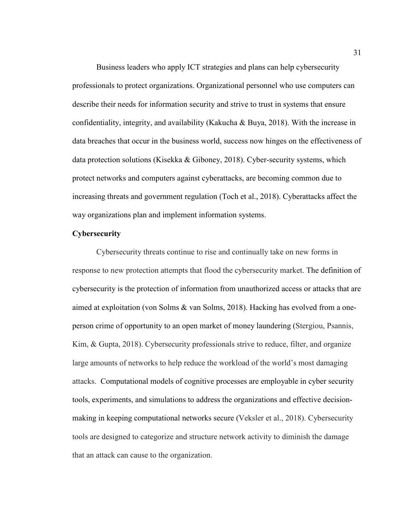Business leaders who apply ICT strategies and plans can help cybersecurity professionals to protect organizations. Organizational personnel who use computers can describe their needs for information security and strive to trust in systems that ensure confidentiality, integrity, and availability (Kakucha & Buya, 2018). With the increase in data breaches that occur in the business world, success now hinges on the effectiveness of data protection solutions (Kisekka & Giboney, 2018). Cyber-security systems, which protect networks and computers against cyberattacks, are becoming common due to increasing threats and government regulation (Toch et al., 2018). Cyberattacks affect the way organizations plan and implement information systems.

# **Cybersecurity**

Cybersecurity threats continue to rise and continually take on new forms in response to new protection attempts that flood the cybersecurity market. The definition of cybersecurity is the protection of information from unauthorized access or attacks that are aimed at exploitation (von Solms & van Solms, 2018). Hacking has evolved from a oneperson crime of opportunity to an open market of money laundering (Stergiou, Psannis, Kim, & Gupta, 2018). Cybersecurity professionals strive to reduce, filter, and organize large amounts of networks to help reduce the workload of the world's most damaging attacks. Computational models of cognitive processes are employable in cyber security tools, experiments, and simulations to address the organizations and effective decisionmaking in keeping computational networks secure (Veksler et al., 2018). Cybersecurity tools are designed to categorize and structure network activity to diminish the damage that an attack can cause to the organization.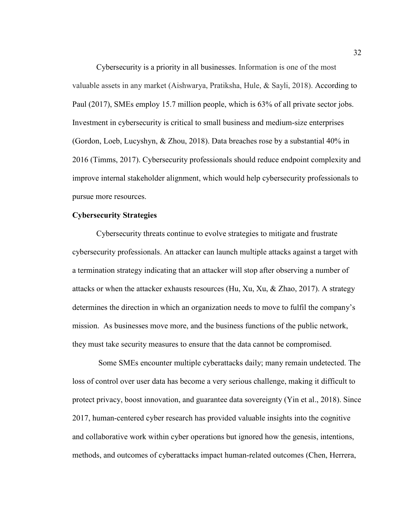Cybersecurity is a priority in all businesses. Information is one of the most valuable assets in any market (Aishwarya, Pratiksha, Hule, & Sayli, 2018). According to Paul (2017), SMEs employ 15.7 million people, which is 63% of all private sector jobs. Investment in cybersecurity is critical to small business and medium-size enterprises (Gordon, Loeb, Lucyshyn, & Zhou, 2018). Data breaches rose by a substantial 40% in 2016 (Timms, 2017). Cybersecurity professionals should reduce endpoint complexity and improve internal stakeholder alignment, which would help cybersecurity professionals to pursue more resources.

## **Cybersecurity Strategies**

Cybersecurity threats continue to evolve strategies to mitigate and frustrate cybersecurity professionals. An attacker can launch multiple attacks against a target with a termination strategy indicating that an attacker will stop after observing a number of attacks or when the attacker exhausts resources (Hu, Xu, Xu,  $\&$  Zhao, 2017). A strategy determines the direction in which an organization needs to move to fulfil the company's mission. As businesses move more, and the business functions of the public network, they must take security measures to ensure that the data cannot be compromised.

 Some SMEs encounter multiple cyberattacks daily; many remain undetected. The loss of control over user data has become a very serious challenge, making it difficult to protect privacy, boost innovation, and guarantee data sovereignty (Yin et al., 2018). Since 2017, human-centered cyber research has provided valuable insights into the cognitive and collaborative work within cyber operations but ignored how the genesis, intentions, methods, and outcomes of cyberattacks impact human-related outcomes (Chen, Herrera,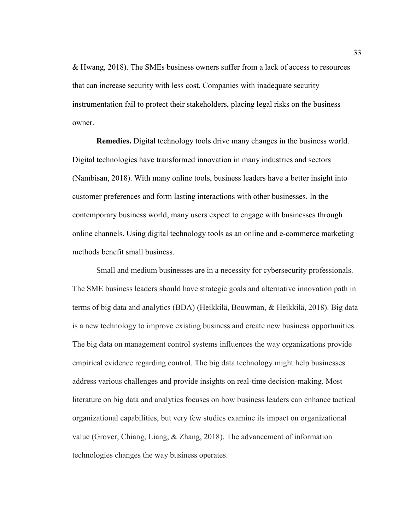& Hwang, 2018). The SMEs business owners suffer from a lack of access to resources that can increase security with less cost. Companies with inadequate security instrumentation fail to protect their stakeholders, placing legal risks on the business owner.

**Remedies.** Digital technology tools drive many changes in the business world. Digital technologies have transformed innovation in many industries and sectors (Nambisan, 2018). With many online tools, business leaders have a better insight into customer preferences and form lasting interactions with other businesses. In the contemporary business world, many users expect to engage with businesses through online channels. Using digital technology tools as an online and e-commerce marketing methods benefit small business.

Small and medium businesses are in a necessity for cybersecurity professionals. The SME business leaders should have strategic goals and alternative innovation path in terms of big data and analytics (BDA) (Heikkilä, Bouwman, & Heikkilä, 2018). Big data is a new technology to improve existing business and create new business opportunities. The big data on management control systems influences the way organizations provide empirical evidence regarding control. The big data technology might help businesses address various challenges and provide insights on real-time decision-making. Most literature on big data and analytics focuses on how business leaders can enhance tactical organizational capabilities, but very few studies examine its impact on organizational value (Grover, Chiang, Liang, & Zhang, 2018). The advancement of information technologies changes the way business operates.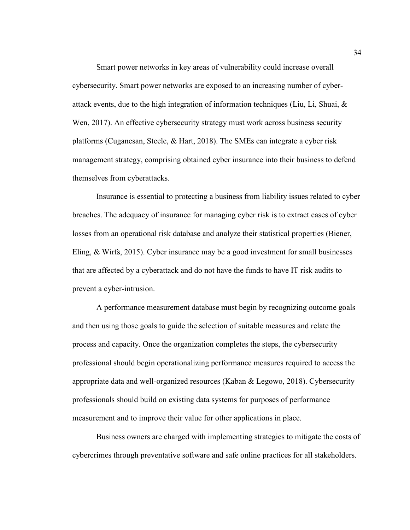Smart power networks in key areas of vulnerability could increase overall cybersecurity. Smart power networks are exposed to an increasing number of cyberattack events, due to the high integration of information techniques (Liu, Li, Shuai, & Wen, 2017). An effective cybersecurity strategy must work across business security platforms (Cuganesan, Steele, & Hart, 2018). The SMEs can integrate a cyber risk management strategy, comprising obtained cyber insurance into their business to defend themselves from cyberattacks.

Insurance is essential to protecting a business from liability issues related to cyber breaches. The adequacy of insurance for managing cyber risk is to extract cases of cyber losses from an operational risk database and analyze their statistical properties (Biener, Eling, & Wirfs, 2015). Cyber insurance may be a good investment for small businesses that are affected by a cyberattack and do not have the funds to have IT risk audits to prevent a cyber-intrusion.

A performance measurement database must begin by recognizing outcome goals and then using those goals to guide the selection of suitable measures and relate the process and capacity. Once the organization completes the steps, the cybersecurity professional should begin operationalizing performance measures required to access the appropriate data and well-organized resources (Kaban & Legowo, 2018). Cybersecurity professionals should build on existing data systems for purposes of performance measurement and to improve their value for other applications in place.

Business owners are charged with implementing strategies to mitigate the costs of cybercrimes through preventative software and safe online practices for all stakeholders.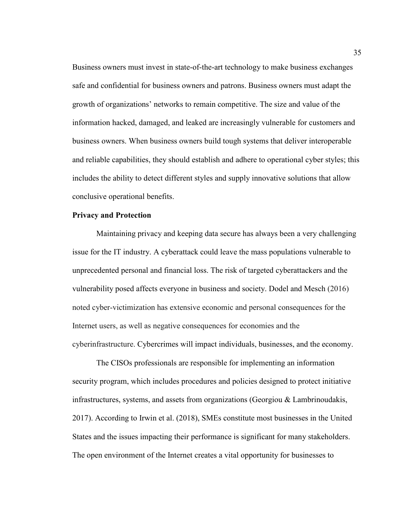Business owners must invest in state-of-the-art technology to make business exchanges safe and confidential for business owners and patrons. Business owners must adapt the growth of organizations' networks to remain competitive. The size and value of the information hacked, damaged, and leaked are increasingly vulnerable for customers and business owners. When business owners build tough systems that deliver interoperable and reliable capabilities, they should establish and adhere to operational cyber styles; this includes the ability to detect different styles and supply innovative solutions that allow conclusive operational benefits.

### **Privacy and Protection**

Maintaining privacy and keeping data secure has always been a very challenging issue for the IT industry. A cyberattack could leave the mass populations vulnerable to unprecedented personal and financial loss. The risk of targeted cyberattackers and the vulnerability posed affects everyone in business and society. Dodel and Mesch (2016) noted cyber-victimization has extensive economic and personal consequences for the Internet users, as well as negative consequences for economies and the cyberinfrastructure. Cybercrimes will impact individuals, businesses, and the economy.

The CISOs professionals are responsible for implementing an information security program, which includes procedures and policies designed to protect initiative infrastructures, systems, and assets from organizations (Georgiou & Lambrinoudakis, 2017). According to Irwin et al. (2018), SMEs constitute most businesses in the United States and the issues impacting their performance is significant for many stakeholders. The open environment of the Internet creates a vital opportunity for businesses to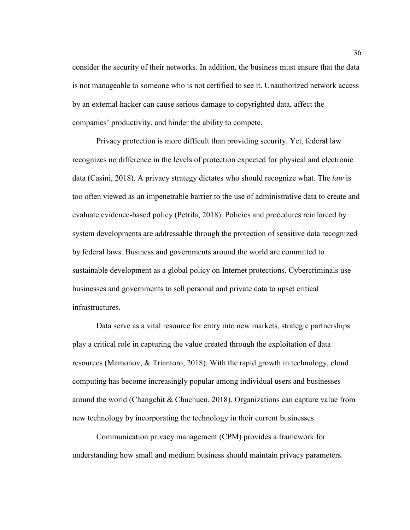consider the security of their networks. In addition, the business must ensure that the data is not manageable to someone who is not certified to see it. Unauthorized network access by an external hacker can cause serious damage to copyrighted data, affect the companies' productivity, and hinder the ability to compete.

Privacy protection is more difficult than providing security. Yet, federal law recognizes no difference in the levels of protection expected for physical and electronic data (Casini, 2018). A privacy strategy dictates who should recognize what. The *law* is too often viewed as an impenetrable barrier to the use of administrative data to create and evaluate evidence-based policy (Petrila, 2018). Policies and procedures reinforced by system developments are addressable through the protection of sensitive data recognized by federal laws. Business and governments around the world are committed to sustainable development as a global policy on Internet protections. Cybercriminals use businesses and governments to sell personal and private data to upset critical infrastructures.

Data serve as a vital resource for entry into new markets, strategic partnerships play a critical role in capturing the value created through the exploitation of data resources (Mamonov, & Triantoro, 2018). With the rapid growth in technology, cloud computing has become increasingly popular among individual users and businesses around the world (Changchit & Chuchuen, 2018). Organizations can capture value from new technology by incorporating the technology in their current businesses.

Communication privacy management (CPM) provides a framework for understanding how small and medium business should maintain privacy parameters.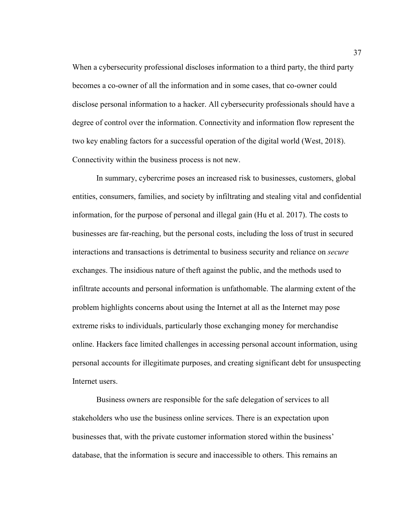When a cybersecurity professional discloses information to a third party, the third party becomes a co-owner of all the information and in some cases, that co-owner could disclose personal information to a hacker. All cybersecurity professionals should have a degree of control over the information. Connectivity and information flow represent the two key enabling factors for a successful operation of the digital world (West, 2018). Connectivity within the business process is not new.

In summary, cybercrime poses an increased risk to businesses, customers, global entities, consumers, families, and society by infiltrating and stealing vital and confidential information, for the purpose of personal and illegal gain (Hu et al. 2017). The costs to businesses are far-reaching, but the personal costs, including the loss of trust in secured interactions and transactions is detrimental to business security and reliance on *secure* exchanges. The insidious nature of theft against the public, and the methods used to infiltrate accounts and personal information is unfathomable. The alarming extent of the problem highlights concerns about using the Internet at all as the Internet may pose extreme risks to individuals, particularly those exchanging money for merchandise online. Hackers face limited challenges in accessing personal account information, using personal accounts for illegitimate purposes, and creating significant debt for unsuspecting Internet users.

Business owners are responsible for the safe delegation of services to all stakeholders who use the business online services. There is an expectation upon businesses that, with the private customer information stored within the business' database, that the information is secure and inaccessible to others. This remains an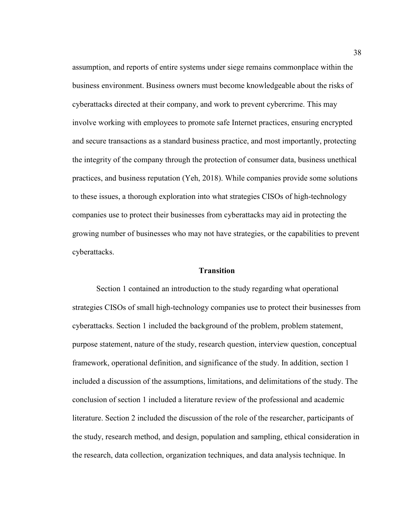assumption, and reports of entire systems under siege remains commonplace within the business environment. Business owners must become knowledgeable about the risks of cyberattacks directed at their company, and work to prevent cybercrime. This may involve working with employees to promote safe Internet practices, ensuring encrypted and secure transactions as a standard business practice, and most importantly, protecting the integrity of the company through the protection of consumer data, business unethical practices, and business reputation (Yeh, 2018). While companies provide some solutions to these issues, a thorough exploration into what strategies CISOs of high-technology companies use to protect their businesses from cyberattacks may aid in protecting the growing number of businesses who may not have strategies, or the capabilities to prevent cyberattacks.

### **Transition**

Section 1 contained an introduction to the study regarding what operational strategies CISOs of small high-technology companies use to protect their businesses from cyberattacks. Section 1 included the background of the problem, problem statement, purpose statement, nature of the study, research question, interview question, conceptual framework, operational definition, and significance of the study. In addition, section 1 included a discussion of the assumptions, limitations, and delimitations of the study. The conclusion of section 1 included a literature review of the professional and academic literature. Section 2 included the discussion of the role of the researcher, participants of the study, research method, and design, population and sampling, ethical consideration in the research, data collection, organization techniques, and data analysis technique. In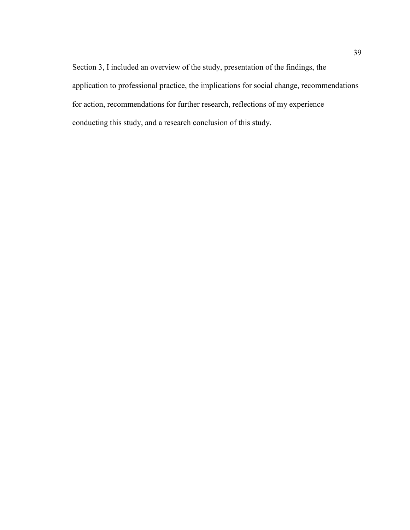Section 3, I included an overview of the study, presentation of the findings, the application to professional practice, the implications for social change, recommendations for action, recommendations for further research, reflections of my experience conducting this study, and a research conclusion of this study.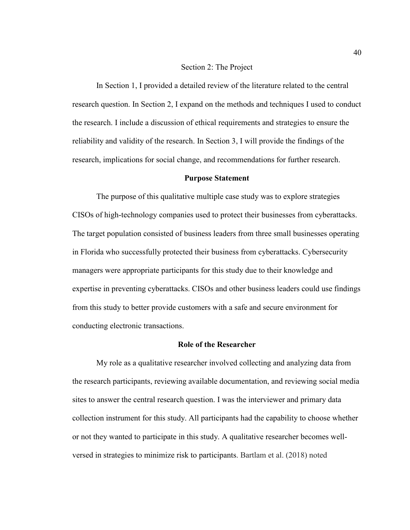#### Section 2: The Project

 In Section 1, I provided a detailed review of the literature related to the central research question. In Section 2, I expand on the methods and techniques I used to conduct the research. I include a discussion of ethical requirements and strategies to ensure the reliability and validity of the research. In Section 3, I will provide the findings of the research, implications for social change, and recommendations for further research.

## **Purpose Statement**

The purpose of this qualitative multiple case study was to explore strategies CISOs of high-technology companies used to protect their businesses from cyberattacks. The target population consisted of business leaders from three small businesses operating in Florida who successfully protected their business from cyberattacks. Cybersecurity managers were appropriate participants for this study due to their knowledge and expertise in preventing cyberattacks. CISOs and other business leaders could use findings from this study to better provide customers with a safe and secure environment for conducting electronic transactions.

#### **Role of the Researcher**

My role as a qualitative researcher involved collecting and analyzing data from the research participants, reviewing available documentation, and reviewing social media sites to answer the central research question. I was the interviewer and primary data collection instrument for this study. All participants had the capability to choose whether or not they wanted to participate in this study. A qualitative researcher becomes wellversed in strategies to minimize risk to participants. Bartlam et al. (2018) noted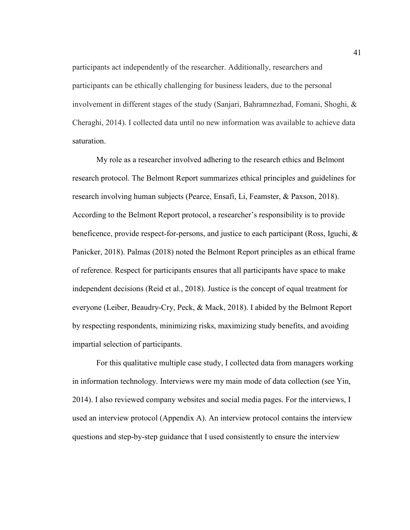participants act independently of the researcher. Additionally, researchers and participants can be ethically challenging for business leaders, due to the personal involvement in different stages of the study (Sanjari, Bahramnezhad, Fomani, Shoghi, & Cheraghi, 2014). I collected data until no new information was available to achieve data saturation.

My role as a researcher involved adhering to the research ethics and Belmont research protocol. The Belmont Report summarizes ethical principles and guidelines for research involving human subjects (Pearce, Ensafi, Li, Feamster, & Paxson, 2018). According to the Belmont Report protocol, a researcher's responsibility is to provide beneficence, provide respect-for-persons, and justice to each participant (Ross, Iguchi, & Panicker, 2018). Palmas (2018) noted the Belmont Report principles as an ethical frame of reference. Respect for participants ensures that all participants have space to make independent decisions (Reid et al., 2018). Justice is the concept of equal treatment for everyone (Leiber, Beaudry-Cry, Peck, & Mack, 2018). I abided by the Belmont Report by respecting respondents, minimizing risks, maximizing study benefits, and avoiding impartial selection of participants.

For this qualitative multiple case study, I collected data from managers working in information technology. Interviews were my main mode of data collection (see Yin, 2014). I also reviewed company websites and social media pages. For the interviews, I used an interview protocol (Appendix A). An interview protocol contains the interview questions and step-by-step guidance that I used consistently to ensure the interview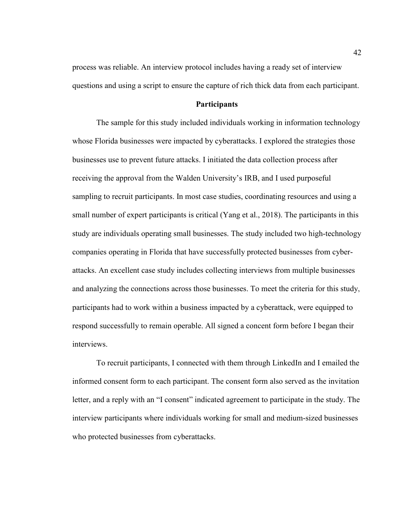process was reliable. An interview protocol includes having a ready set of interview questions and using a script to ensure the capture of rich thick data from each participant.

# **Participants**

The sample for this study included individuals working in information technology whose Florida businesses were impacted by cyberattacks. I explored the strategies those businesses use to prevent future attacks. I initiated the data collection process after receiving the approval from the Walden University's IRB, and I used purposeful sampling to recruit participants. In most case studies, coordinating resources and using a small number of expert participants is critical (Yang et al., 2018). The participants in this study are individuals operating small businesses. The study included two high-technology companies operating in Florida that have successfully protected businesses from cyberattacks. An excellent case study includes collecting interviews from multiple businesses and analyzing the connections across those businesses. To meet the criteria for this study, participants had to work within a business impacted by a cyberattack, were equipped to respond successfully to remain operable. All signed a concent form before I began their interviews.

To recruit participants, I connected with them through LinkedIn and I emailed the informed consent form to each participant. The consent form also served as the invitation letter, and a reply with an "I consent" indicated agreement to participate in the study. The interview participants where individuals working for small and medium-sized businesses who protected businesses from cyberattacks.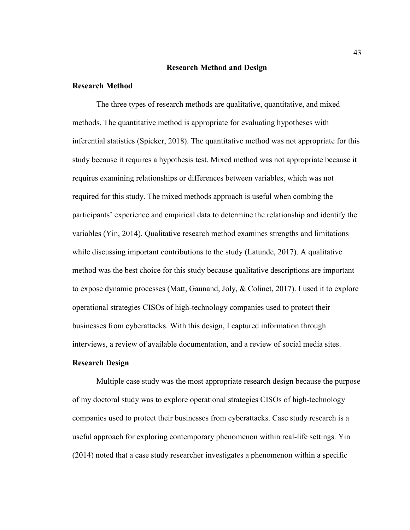### **Research Method and Design**

# **Research Method**

The three types of research methods are qualitative, quantitative, and mixed methods. The quantitative method is appropriate for evaluating hypotheses with inferential statistics (Spicker, 2018). The quantitative method was not appropriate for this study because it requires a hypothesis test. Mixed method was not appropriate because it requires examining relationships or differences between variables, which was not required for this study. The mixed methods approach is useful when combing the participants' experience and empirical data to determine the relationship and identify the variables (Yin, 2014). Qualitative research method examines strengths and limitations while discussing important contributions to the study (Latunde, 2017). A qualitative method was the best choice for this study because qualitative descriptions are important to expose dynamic processes (Matt, Gaunand, Joly, & Colinet, 2017). I used it to explore operational strategies CISOs of high-technology companies used to protect their businesses from cyberattacks. With this design, I captured information through interviews, a review of available documentation, and a review of social media sites.

### **Research Design**

Multiple case study was the most appropriate research design because the purpose of my doctoral study was to explore operational strategies CISOs of high-technology companies used to protect their businesses from cyberattacks. Case study research is a useful approach for exploring contemporary phenomenon within real-life settings. Yin (2014) noted that a case study researcher investigates a phenomenon within a specific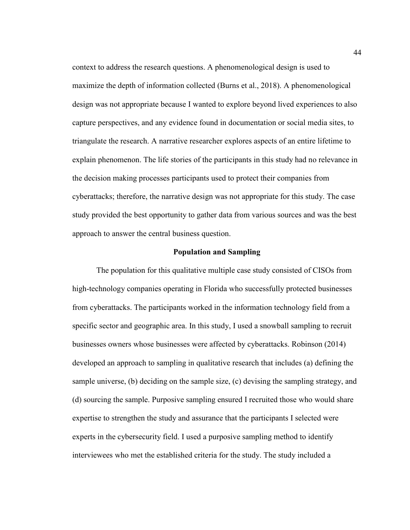context to address the research questions. A phenomenological design is used to maximize the depth of information collected (Burns et al., 2018). A phenomenological design was not appropriate because I wanted to explore beyond lived experiences to also capture perspectives, and any evidence found in documentation or social media sites, to triangulate the research. A narrative researcher explores aspects of an entire lifetime to explain phenomenon. The life stories of the participants in this study had no relevance in the decision making processes participants used to protect their companies from cyberattacks; therefore, the narrative design was not appropriate for this study. The case study provided the best opportunity to gather data from various sources and was the best approach to answer the central business question.

## **Population and Sampling**

The population for this qualitative multiple case study consisted of CISOs from high-technology companies operating in Florida who successfully protected businesses from cyberattacks. The participants worked in the information technology field from a specific sector and geographic area. In this study, I used a snowball sampling to recruit businesses owners whose businesses were affected by cyberattacks. Robinson (2014) developed an approach to sampling in qualitative research that includes (a) defining the sample universe, (b) deciding on the sample size, (c) devising the sampling strategy, and (d) sourcing the sample. Purposive sampling ensured I recruited those who would share expertise to strengthen the study and assurance that the participants I selected were experts in the cybersecurity field. I used a purposive sampling method to identify interviewees who met the established criteria for the study. The study included a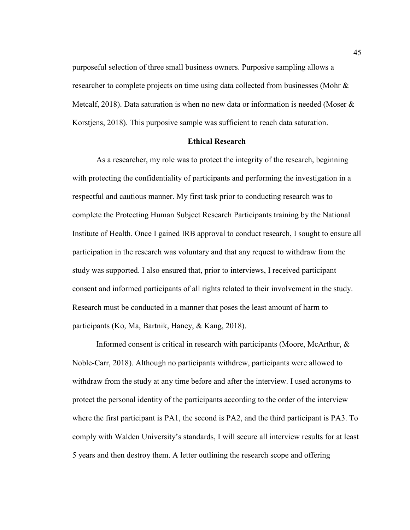purposeful selection of three small business owners. Purposive sampling allows a researcher to complete projects on time using data collected from businesses (Mohr & Metcalf, 2018). Data saturation is when no new data or information is needed (Moser  $\&$ Korstjens, 2018). This purposive sample was sufficient to reach data saturation.

### **Ethical Research**

As a researcher, my role was to protect the integrity of the research, beginning with protecting the confidentiality of participants and performing the investigation in a respectful and cautious manner. My first task prior to conducting research was to complete the Protecting Human Subject Research Participants training by the National Institute of Health. Once I gained IRB approval to conduct research, I sought to ensure all participation in the research was voluntary and that any request to withdraw from the study was supported. I also ensured that, prior to interviews, I received participant consent and informed participants of all rights related to their involvement in the study. Research must be conducted in a manner that poses the least amount of harm to participants (Ko, Ma, Bartnik, Haney, & Kang, 2018).

Informed consent is critical in research with participants (Moore, McArthur, & Noble-Carr, 2018). Although no participants withdrew, participants were allowed to withdraw from the study at any time before and after the interview. I used acronyms to protect the personal identity of the participants according to the order of the interview where the first participant is PA1, the second is PA2, and the third participant is PA3. To comply with Walden University's standards, I will secure all interview results for at least 5 years and then destroy them. A letter outlining the research scope and offering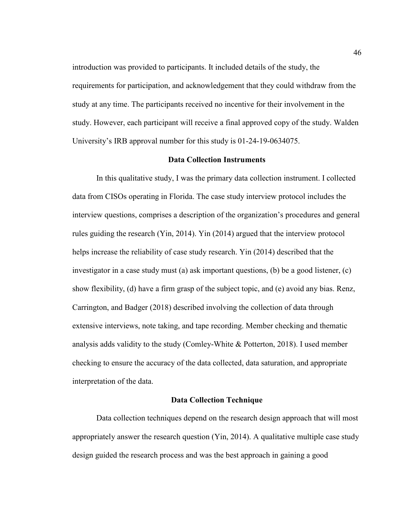introduction was provided to participants. It included details of the study, the requirements for participation, and acknowledgement that they could withdraw from the study at any time. The participants received no incentive for their involvement in the study. However, each participant will receive a final approved copy of the study. Walden University's IRB approval number for this study is 01-24-19-0634075.

# **Data Collection Instruments**

In this qualitative study, I was the primary data collection instrument. I collected data from CISOs operating in Florida. The case study interview protocol includes the interview questions, comprises a description of the organization's procedures and general rules guiding the research (Yin, 2014). Yin (2014) argued that the interview protocol helps increase the reliability of case study research. Yin (2014) described that the investigator in a case study must (a) ask important questions, (b) be a good listener, (c) show flexibility, (d) have a firm grasp of the subject topic, and (e) avoid any bias. Renz, Carrington, and Badger (2018) described involving the collection of data through extensive interviews, note taking, and tape recording. Member checking and thematic analysis adds validity to the study (Comley-White & Potterton, 2018). I used member checking to ensure the accuracy of the data collected, data saturation, and appropriate interpretation of the data.

### **Data Collection Technique**

Data collection techniques depend on the research design approach that will most appropriately answer the research question (Yin, 2014). A qualitative multiple case study design guided the research process and was the best approach in gaining a good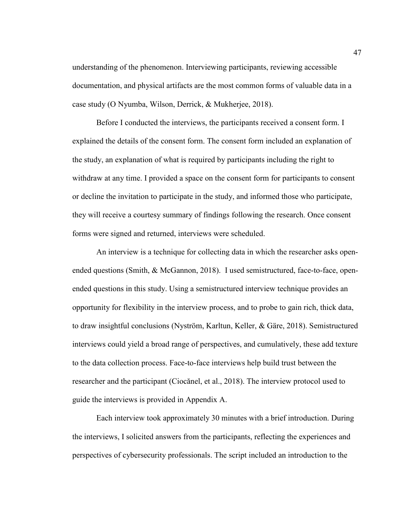understanding of the phenomenon. Interviewing participants, reviewing accessible documentation, and physical artifacts are the most common forms of valuable data in a case study (O Nyumba, Wilson, Derrick, & Mukherjee, 2018).

Before I conducted the interviews, the participants received a consent form. I explained the details of the consent form. The consent form included an explanation of the study, an explanation of what is required by participants including the right to withdraw at any time. I provided a space on the consent form for participants to consent or decline the invitation to participate in the study, and informed those who participate, they will receive a courtesy summary of findings following the research. Once consent forms were signed and returned, interviews were scheduled.

An interview is a technique for collecting data in which the researcher asks openended questions (Smith, & McGannon, 2018). I used semistructured, face-to-face, openended questions in this study. Using a semistructured interview technique provides an opportunity for flexibility in the interview process, and to probe to gain rich, thick data, to draw insightful conclusions (Nyström, Karltun, Keller, & Gäre, 2018). Semistructured interviews could yield a broad range of perspectives, and cumulatively, these add texture to the data collection process. Face-to-face interviews help build trust between the researcher and the participant (Ciocănel, et al., 2018). The interview protocol used to guide the interviews is provided in Appendix A.

Each interview took approximately 30 minutes with a brief introduction. During the interviews, I solicited answers from the participants, reflecting the experiences and perspectives of cybersecurity professionals. The script included an introduction to the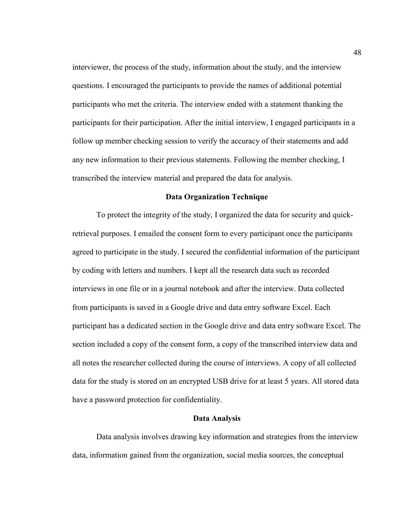interviewer, the process of the study, information about the study, and the interview questions. I encouraged the participants to provide the names of additional potential participants who met the criteria. The interview ended with a statement thanking the participants for their participation. After the initial interview, I engaged participants in a follow up member checking session to verify the accuracy of their statements and add any new information to their previous statements. Following the member checking, I transcribed the interview material and prepared the data for analysis.

### **Data Organization Technique**

To protect the integrity of the study, I organized the data for security and quickretrieval purposes. I emailed the consent form to every participant once the participants agreed to participate in the study. I secured the confidential information of the participant by coding with letters and numbers. I kept all the research data such as recorded interviews in one file or in a journal notebook and after the interview. Data collected from participants is saved in a Google drive and data entry software Excel. Each participant has a dedicated section in the Google drive and data entry software Excel. The section included a copy of the consent form, a copy of the transcribed interview data and all notes the researcher collected during the course of interviews. A copy of all collected data for the study is stored on an encrypted USB drive for at least 5 years. All stored data have a password protection for confidentiality.

# **Data Analysis**

Data analysis involves drawing key information and strategies from the interview data, information gained from the organization, social media sources, the conceptual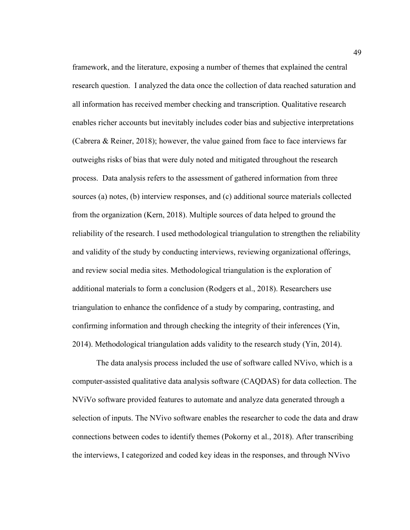framework, and the literature, exposing a number of themes that explained the central research question. I analyzed the data once the collection of data reached saturation and all information has received member checking and transcription. Qualitative research enables richer accounts but inevitably includes coder bias and subjective interpretations (Cabrera & Reiner, 2018); however, the value gained from face to face interviews far outweighs risks of bias that were duly noted and mitigated throughout the research process. Data analysis refers to the assessment of gathered information from three sources (a) notes, (b) interview responses, and (c) additional source materials collected from the organization (Kern, 2018). Multiple sources of data helped to ground the reliability of the research. I used methodological triangulation to strengthen the reliability and validity of the study by conducting interviews, reviewing organizational offerings, and review social media sites. Methodological triangulation is the exploration of additional materials to form a conclusion (Rodgers et al., 2018). Researchers use triangulation to enhance the confidence of a study by comparing, contrasting, and confirming information and through checking the integrity of their inferences (Yin, 2014). Methodological triangulation adds validity to the research study (Yin, 2014).

The data analysis process included the use of software called NVivo, which is a computer-assisted qualitative data analysis software (CAQDAS) for data collection. The NViVo software provided features to automate and analyze data generated through a selection of inputs. The NVivo software enables the researcher to code the data and draw connections between codes to identify themes (Pokorny et al., 2018). After transcribing the interviews, I categorized and coded key ideas in the responses, and through NVivo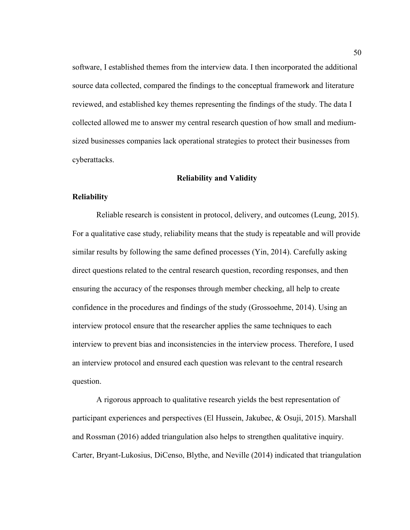software, I established themes from the interview data. I then incorporated the additional source data collected, compared the findings to the conceptual framework and literature reviewed, and established key themes representing the findings of the study. The data I collected allowed me to answer my central research question of how small and mediumsized businesses companies lack operational strategies to protect their businesses from cyberattacks.

## **Reliability and Validity**

### **Reliability**

Reliable research is consistent in protocol, delivery, and outcomes (Leung, 2015). For a qualitative case study, reliability means that the study is repeatable and will provide similar results by following the same defined processes (Yin, 2014). Carefully asking direct questions related to the central research question, recording responses, and then ensuring the accuracy of the responses through member checking, all help to create confidence in the procedures and findings of the study (Grossoehme, 2014). Using an interview protocol ensure that the researcher applies the same techniques to each interview to prevent bias and inconsistencies in the interview process. Therefore, I used an interview protocol and ensured each question was relevant to the central research question.

A rigorous approach to qualitative research yields the best representation of participant experiences and perspectives (El Hussein, Jakubec, & Osuji, 2015). Marshall and Rossman (2016) added triangulation also helps to strengthen qualitative inquiry. Carter, Bryant-Lukosius, DiCenso, Blythe, and Neville (2014) indicated that triangulation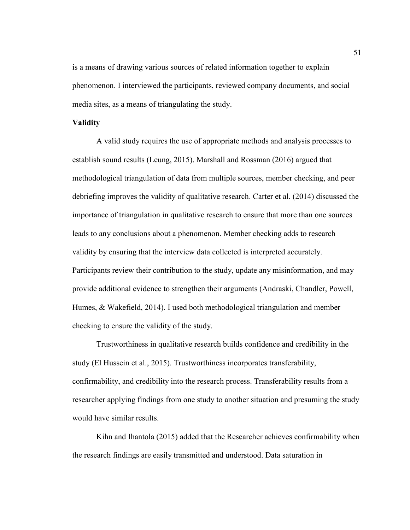is a means of drawing various sources of related information together to explain phenomenon. I interviewed the participants, reviewed company documents, and social media sites, as a means of triangulating the study.

# **Validity**

A valid study requires the use of appropriate methods and analysis processes to establish sound results (Leung, 2015). Marshall and Rossman (2016) argued that methodological triangulation of data from multiple sources, member checking, and peer debriefing improves the validity of qualitative research. Carter et al. (2014) discussed the importance of triangulation in qualitative research to ensure that more than one sources leads to any conclusions about a phenomenon. Member checking adds to research validity by ensuring that the interview data collected is interpreted accurately. Participants review their contribution to the study, update any misinformation, and may provide additional evidence to strengthen their arguments (Andraski, Chandler, Powell, Humes, & Wakefield, 2014). I used both methodological triangulation and member checking to ensure the validity of the study.

Trustworthiness in qualitative research builds confidence and credibility in the study (El Hussein et al., 2015). Trustworthiness incorporates transferability, confirmability, and credibility into the research process. Transferability results from a researcher applying findings from one study to another situation and presuming the study would have similar results.

Kihn and Ihantola (2015) added that the Researcher achieves confirmability when the research findings are easily transmitted and understood. Data saturation in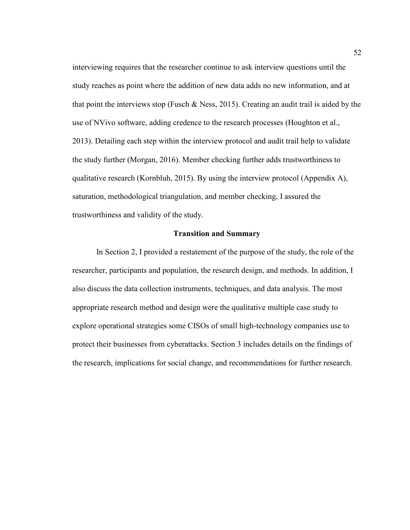interviewing requires that the researcher continue to ask interview questions until the study reaches as point where the addition of new data adds no new information, and at that point the interviews stop (Fusch  $\&$  Ness, 2015). Creating an audit trail is aided by the use of NVivo software, adding credence to the research processes (Houghton et al., 2013). Detailing each step within the interview protocol and audit trail help to validate the study further (Morgan, 2016). Member checking further adds trustworthiness to qualitative research (Kornbluh, 2015). By using the interview protocol (Appendix A), saturation, methodological triangulation, and member checking, I assured the trustworthiness and validity of the study.

# **Transition and Summary**

In Section 2, I provided a restatement of the purpose of the study, the role of the researcher, participants and population, the research design, and methods. In addition, I also discuss the data collection instruments, techniques, and data analysis. The most appropriate research method and design were the qualitative multiple case study to explore operational strategies some CISOs of small high-technology companies use to protect their businesses from cyberattacks. Section 3 includes details on the findings of the research, implications for social change, and recommendations for further research.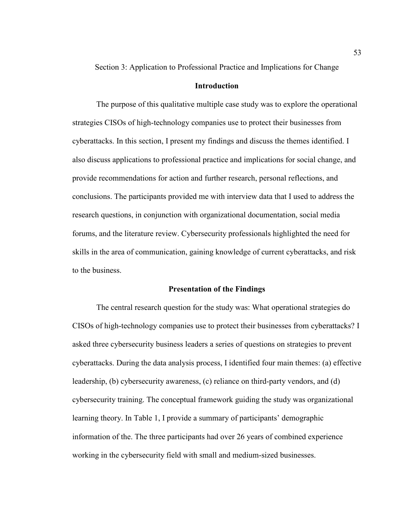Section 3: Application to Professional Practice and Implications for Change

# **Introduction**

The purpose of this qualitative multiple case study was to explore the operational strategies CISOs of high-technology companies use to protect their businesses from cyberattacks. In this section, I present my findings and discuss the themes identified. I also discuss applications to professional practice and implications for social change, and provide recommendations for action and further research, personal reflections, and conclusions. The participants provided me with interview data that I used to address the research questions, in conjunction with organizational documentation, social media forums, and the literature review. Cybersecurity professionals highlighted the need for skills in the area of communication, gaining knowledge of current cyberattacks, and risk to the business.

### **Presentation of the Findings**

The central research question for the study was: What operational strategies do CISOs of high-technology companies use to protect their businesses from cyberattacks? I asked three cybersecurity business leaders a series of questions on strategies to prevent cyberattacks. During the data analysis process, I identified four main themes: (a) effective leadership, (b) cybersecurity awareness, (c) reliance on third-party vendors, and (d) cybersecurity training. The conceptual framework guiding the study was organizational learning theory. In Table 1, I provide a summary of participants' demographic information of the. The three participants had over 26 years of combined experience working in the cybersecurity field with small and medium-sized businesses.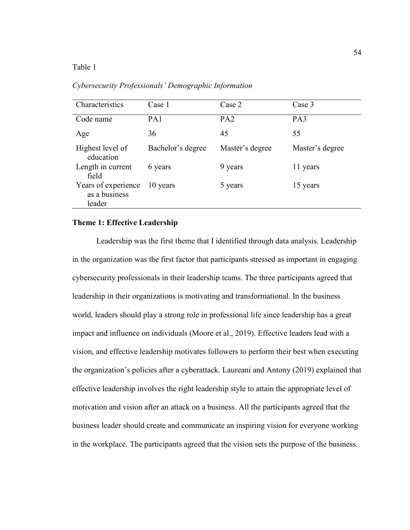# Table 1

| Characteristics                                | Case 1            | Case 2          | Case 3          |
|------------------------------------------------|-------------------|-----------------|-----------------|
| Code name                                      | PA1               | PA <sub>2</sub> | PA3             |
| Age                                            | 36                | 45              | 55              |
| Highest level of<br>education                  | Bachelor's degree | Master's degree | Master's degree |
| Length in current<br>field                     | 6 years           | 9 years         | 11 years        |
| Years of experience<br>as a business<br>leader | 10 years          | 5 years         | 15 years        |

*Cybersecurity Professionals' Demographic Information* 

# **Theme 1: Effective Leadership**

Leadership was the first theme that I identified through data analysis. Leadership in the organization was the first factor that participants stressed as important in engaging cybersecurity professionals in their leadership teams. The three participants agreed that leadership in their organizations is motivating and transformational. In the business world, leaders should play a strong role in professional life since leadership has a great impact and influence on individuals (Moore et al., 2019). Effective leaders lead with a vision, and effective leadership motivates followers to perform their best when executing the organization's policies after a cyberattack. Laureani and Antony (2019) explained that effective leadership involves the right leadership style to attain the appropriate level of motivation and vision after an attack on a business. All the participants agreed that the business leader should create and communicate an inspiring vision for everyone working in the workplace. The participants agreed that the vision sets the purpose of the business.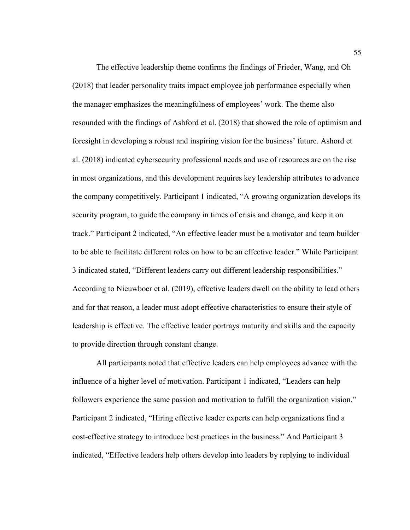The effective leadership theme confirms the findings of Frieder, Wang, and Oh (2018) that leader personality traits impact employee job performance especially when the manager emphasizes the meaningfulness of employees' work. The theme also resounded with the findings of Ashford et al. (2018) that showed the role of optimism and foresight in developing a robust and inspiring vision for the business' future. Ashord et al. (2018) indicated cybersecurity professional needs and use of resources are on the rise in most organizations, and this development requires key leadership attributes to advance the company competitively. Participant 1 indicated, "A growing organization develops its security program, to guide the company in times of crisis and change, and keep it on track." Participant 2 indicated, "An effective leader must be a motivator and team builder to be able to facilitate different roles on how to be an effective leader." While Participant 3 indicated stated, "Different leaders carry out different leadership responsibilities." According to Nieuwboer et al. (2019), effective leaders dwell on the ability to lead others and for that reason, a leader must adopt effective characteristics to ensure their style of leadership is effective. The effective leader portrays maturity and skills and the capacity to provide direction through constant change.

All participants noted that effective leaders can help employees advance with the influence of a higher level of motivation. Participant 1 indicated, "Leaders can help followers experience the same passion and motivation to fulfill the organization vision." Participant 2 indicated, "Hiring effective leader experts can help organizations find a cost-effective strategy to introduce best practices in the business." And Participant 3 indicated, "Effective leaders help others develop into leaders by replying to individual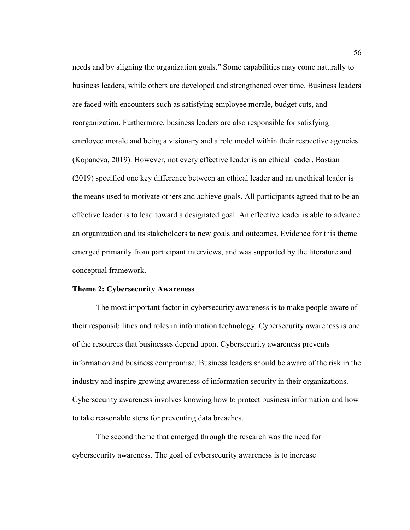needs and by aligning the organization goals." Some capabilities may come naturally to business leaders, while others are developed and strengthened over time. Business leaders are faced with encounters such as satisfying employee morale, budget cuts, and reorganization. Furthermore, business leaders are also responsible for satisfying employee morale and being a visionary and a role model within their respective agencies (Kopaneva, 2019). However, not every effective leader is an ethical leader. Bastian (2019) specified one key difference between an ethical leader and an unethical leader is the means used to motivate others and achieve goals. All participants agreed that to be an effective leader is to lead toward a designated goal. An effective leader is able to advance an organization and its stakeholders to new goals and outcomes. Evidence for this theme emerged primarily from participant interviews, and was supported by the literature and conceptual framework.

### **Theme 2: Cybersecurity Awareness**

The most important factor in cybersecurity awareness is to make people aware of their responsibilities and roles in information technology. Cybersecurity awareness is one of the resources that businesses depend upon. Cybersecurity awareness prevents information and business compromise. Business leaders should be aware of the risk in the industry and inspire growing awareness of information security in their organizations. Cybersecurity awareness involves knowing how to protect business information and how to take reasonable steps for preventing data breaches.

 The second theme that emerged through the research was the need for cybersecurity awareness. The goal of cybersecurity awareness is to increase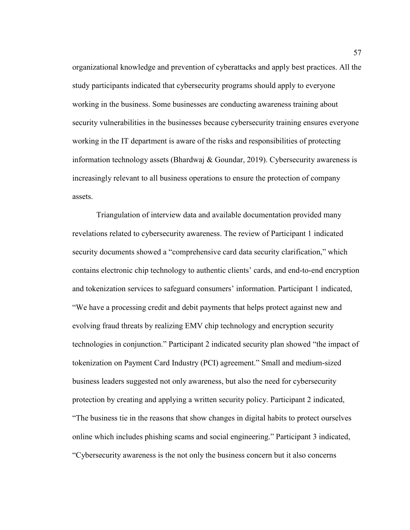organizational knowledge and prevention of cyberattacks and apply best practices. All the study participants indicated that cybersecurity programs should apply to everyone working in the business. Some businesses are conducting awareness training about security vulnerabilities in the businesses because cybersecurity training ensures everyone working in the IT department is aware of the risks and responsibilities of protecting information technology assets (Bhardwaj & Goundar, 2019). Cybersecurity awareness is increasingly relevant to all business operations to ensure the protection of company assets.

Triangulation of interview data and available documentation provided many revelations related to cybersecurity awareness. The review of Participant 1 indicated security documents showed a "comprehensive card data security clarification," which contains electronic chip technology to authentic clients' cards, and end-to-end encryption and tokenization services to safeguard consumers' information. Participant 1 indicated, "We have a processing credit and debit payments that helps protect against new and evolving fraud threats by realizing EMV chip technology and encryption security technologies in conjunction." Participant 2 indicated security plan showed "the impact of tokenization on Payment Card Industry (PCI) agreement." Small and medium-sized business leaders suggested not only awareness, but also the need for cybersecurity protection by creating and applying a written security policy. Participant 2 indicated, "The business tie in the reasons that show changes in digital habits to protect ourselves online which includes phishing scams and social engineering." Participant 3 indicated, "Cybersecurity awareness is the not only the business concern but it also concerns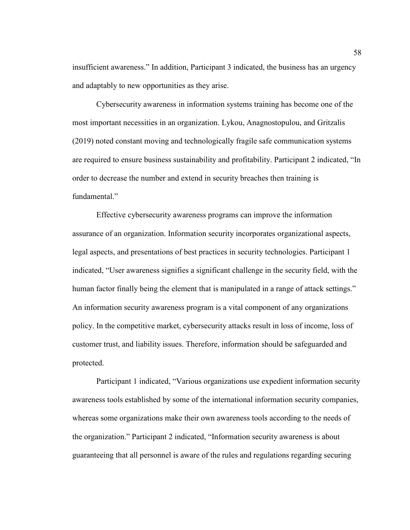insufficient awareness." In addition, Participant 3 indicated, the business has an urgency and adaptably to new opportunities as they arise.

 Cybersecurity awareness in information systems training has become one of the most important necessities in an organization. Lykou, Anagnostopulou, and Gritzalis (2019) noted constant moving and technologically fragile safe communication systems are required to ensure business sustainability and profitability. Participant 2 indicated, "In order to decrease the number and extend in security breaches then training is fundamental<sup>"</sup>

Effective cybersecurity awareness programs can improve the information assurance of an organization. Information security incorporates organizational aspects, legal aspects, and presentations of best practices in security technologies. Participant 1 indicated, "User awareness signifies a significant challenge in the security field, with the human factor finally being the element that is manipulated in a range of attack settings." An information security awareness program is a vital component of any organizations policy. In the competitive market, cybersecurity attacks result in loss of income, loss of customer trust, and liability issues. Therefore, information should be safeguarded and protected.

Participant 1 indicated, "Various organizations use expedient information security awareness tools established by some of the international information security companies, whereas some organizations make their own awareness tools according to the needs of the organization." Participant 2 indicated, "Information security awareness is about guaranteeing that all personnel is aware of the rules and regulations regarding securing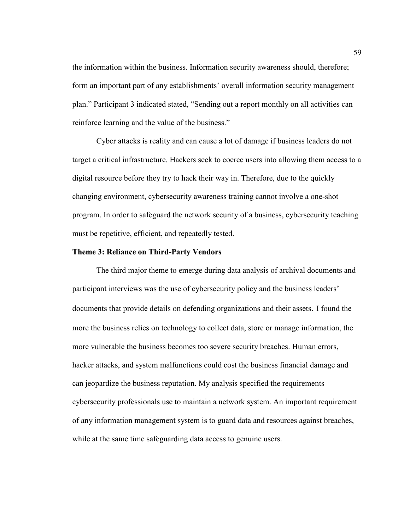the information within the business. Information security awareness should, therefore; form an important part of any establishments' overall information security management plan." Participant 3 indicated stated, "Sending out a report monthly on all activities can reinforce learning and the value of the business."

 Cyber attacks is reality and can cause a lot of damage if business leaders do not target a critical infrastructure. Hackers seek to coerce users into allowing them access to a digital resource before they try to hack their way in. Therefore, due to the quickly changing environment, cybersecurity awareness training cannot involve a one-shot program. In order to safeguard the network security of a business, cybersecurity teaching must be repetitive, efficient, and repeatedly tested.

### **Theme 3: Reliance on Third-Party Vendors**

 The third major theme to emerge during data analysis of archival documents and participant interviews was the use of cybersecurity policy and the business leaders' documents that provide details on defending organizations and their assets. I found the more the business relies on technology to collect data, store or manage information, the more vulnerable the business becomes too severe security breaches. Human errors, hacker attacks, and system malfunctions could cost the business financial damage and can jeopardize the business reputation. My analysis specified the requirements cybersecurity professionals use to maintain a network system. An important requirement of any information management system is to guard data and resources against breaches, while at the same time safeguarding data access to genuine users.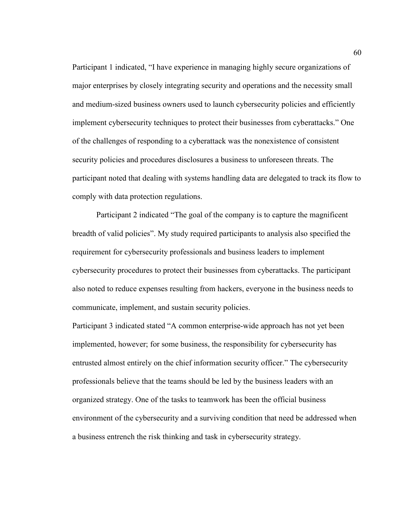Participant 1 indicated, "I have experience in managing highly secure organizations of major enterprises by closely integrating security and operations and the necessity small and medium-sized business owners used to launch cybersecurity policies and efficiently implement cybersecurity techniques to protect their businesses from cyberattacks." One of the challenges of responding to a cyberattack was the nonexistence of consistent security policies and procedures disclosures a business to unforeseen threats. The participant noted that dealing with systems handling data are delegated to track its flow to comply with data protection regulations.

Participant 2 indicated "The goal of the company is to capture the magnificent breadth of valid policies". My study required participants to analysis also specified the requirement for cybersecurity professionals and business leaders to implement cybersecurity procedures to protect their businesses from cyberattacks. The participant also noted to reduce expenses resulting from hackers, everyone in the business needs to communicate, implement, and sustain security policies.

Participant 3 indicated stated "A common enterprise-wide approach has not yet been implemented, however; for some business, the responsibility for cybersecurity has entrusted almost entirely on the chief information security officer." The cybersecurity professionals believe that the teams should be led by the business leaders with an organized strategy. One of the tasks to teamwork has been the official business environment of the cybersecurity and a surviving condition that need be addressed when a business entrench the risk thinking and task in cybersecurity strategy.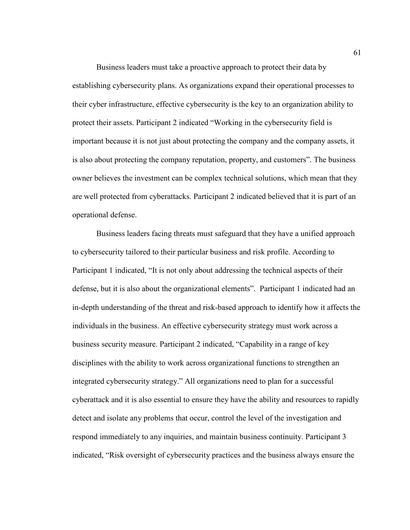Business leaders must take a proactive approach to protect their data by establishing cybersecurity plans. As organizations expand their operational processes to their cyber infrastructure, effective cybersecurity is the key to an organization ability to protect their assets. Participant 2 indicated "Working in the cybersecurity field is important because it is not just about protecting the company and the company assets, it is also about protecting the company reputation, property, and customers". The business owner believes the investment can be complex technical solutions, which mean that they are well protected from cyberattacks. Participant 2 indicated believed that it is part of an operational defense.

 Business leaders facing threats must safeguard that they have a unified approach to cybersecurity tailored to their particular business and risk profile. According to Participant 1 indicated, "It is not only about addressing the technical aspects of their defense, but it is also about the organizational elements". Participant 1 indicated had an in-depth understanding of the threat and risk-based approach to identify how it affects the individuals in the business. An effective cybersecurity strategy must work across a business security measure. Participant 2 indicated, "Capability in a range of key disciplines with the ability to work across organizational functions to strengthen an integrated cybersecurity strategy." All organizations need to plan for a successful cyberattack and it is also essential to ensure they have the ability and resources to rapidly detect and isolate any problems that occur, control the level of the investigation and respond immediately to any inquiries, and maintain business continuity. Participant 3 indicated, "Risk oversight of cybersecurity practices and the business always ensure the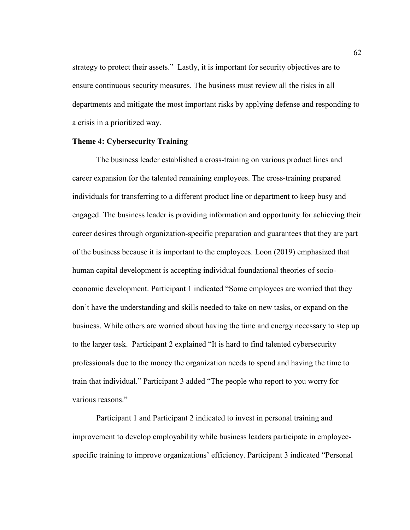strategy to protect their assets." Lastly, it is important for security objectives are to ensure continuous security measures. The business must review all the risks in all departments and mitigate the most important risks by applying defense and responding to a crisis in a prioritized way.

# **Theme 4: Cybersecurity Training**

 The business leader established a cross-training on various product lines and career expansion for the talented remaining employees. The cross-training prepared individuals for transferring to a different product line or department to keep busy and engaged. The business leader is providing information and opportunity for achieving their career desires through organization-specific preparation and guarantees that they are part of the business because it is important to the employees. Loon (2019) emphasized that human capital development is accepting individual foundational theories of socioeconomic development. Participant 1 indicated "Some employees are worried that they don't have the understanding and skills needed to take on new tasks, or expand on the business. While others are worried about having the time and energy necessary to step up to the larger task. Participant 2 explained "It is hard to find talented cybersecurity professionals due to the money the organization needs to spend and having the time to train that individual." Participant 3 added "The people who report to you worry for various reasons."

Participant 1 and Participant 2 indicated to invest in personal training and improvement to develop employability while business leaders participate in employeespecific training to improve organizations' efficiency. Participant 3 indicated "Personal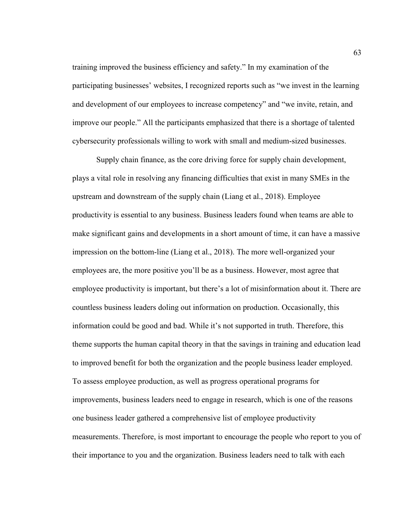training improved the business efficiency and safety." In my examination of the participating businesses' websites, I recognized reports such as "we invest in the learning and development of our employees to increase competency" and "we invite, retain, and improve our people." All the participants emphasized that there is a shortage of talented cybersecurity professionals willing to work with small and medium-sized businesses.

Supply chain finance, as the core driving force for supply chain development, plays a vital role in resolving any financing difficulties that exist in many SMEs in the upstream and downstream of the supply chain (Liang et al., 2018). Employee productivity is essential to any business. Business leaders found when teams are able to make significant gains and developments in a short amount of time, it can have a massive impression on the bottom-line (Liang et al., 2018). The more well-organized your employees are, the more positive you'll be as a business. However, most agree that employee productivity is important, but there's a lot of misinformation about it. There are countless business leaders doling out information on production. Occasionally, this information could be good and bad. While it's not supported in truth. Therefore, this theme supports the human capital theory in that the savings in training and education lead to improved benefit for both the organization and the people business leader employed. To assess employee production, as well as progress operational programs for improvements, business leaders need to engage in research, which is one of the reasons one business leader gathered a comprehensive list of employee productivity measurements. Therefore, is most important to encourage the people who report to you of their importance to you and the organization. Business leaders need to talk with each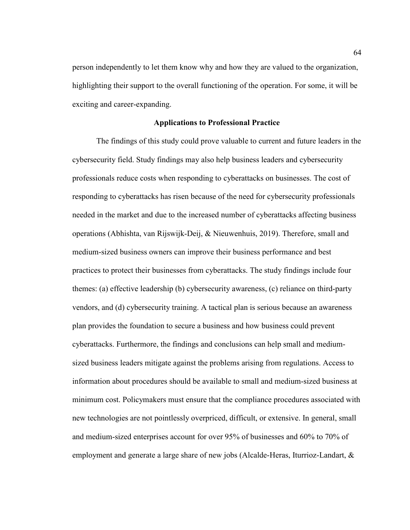person independently to let them know why and how they are valued to the organization, highlighting their support to the overall functioning of the operation. For some, it will be exciting and career-expanding.

## **Applications to Professional Practice**

The findings of this study could prove valuable to current and future leaders in the cybersecurity field. Study findings may also help business leaders and cybersecurity professionals reduce costs when responding to cyberattacks on businesses. The cost of responding to cyberattacks has risen because of the need for cybersecurity professionals needed in the market and due to the increased number of cyberattacks affecting business operations (Abhishta, van Rijswijk-Deij, & Nieuwenhuis, 2019). Therefore, small and medium-sized business owners can improve their business performance and best practices to protect their businesses from cyberattacks. The study findings include four themes: (a) effective leadership (b) cybersecurity awareness, (c) reliance on third-party vendors, and (d) cybersecurity training. A tactical plan is serious because an awareness plan provides the foundation to secure a business and how business could prevent cyberattacks. Furthermore, the findings and conclusions can help small and mediumsized business leaders mitigate against the problems arising from regulations. Access to information about procedures should be available to small and medium-sized business at minimum cost. Policymakers must ensure that the compliance procedures associated with new technologies are not pointlessly overpriced, difficult, or extensive. In general, small and medium-sized enterprises account for over 95% of businesses and 60% to 70% of employment and generate a large share of new jobs (Alcalde-Heras, Iturrioz-Landart, &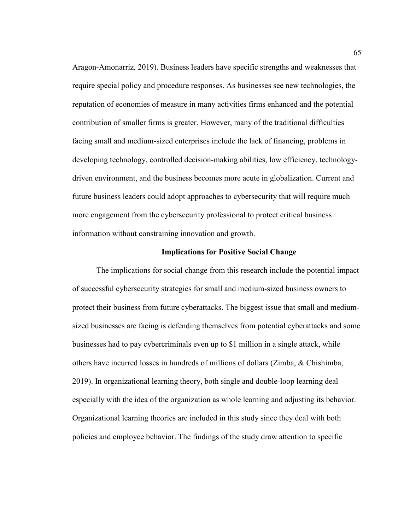Aragon-Amonarriz, 2019). Business leaders have specific strengths and weaknesses that require special policy and procedure responses. As businesses see new technologies, the reputation of economies of measure in many activities firms enhanced and the potential contribution of smaller firms is greater. However, many of the traditional difficulties facing small and medium-sized enterprises include the lack of financing, problems in developing technology, controlled decision-making abilities, low efficiency, technologydriven environment, and the business becomes more acute in globalization. Current and future business leaders could adopt approaches to cybersecurity that will require much more engagement from the cybersecurity professional to protect critical business information without constraining innovation and growth.

## **Implications for Positive Social Change**

The implications for social change from this research include the potential impact of successful cybersecurity strategies for small and medium-sized business owners to protect their business from future cyberattacks. The biggest issue that small and mediumsized businesses are facing is defending themselves from potential cyberattacks and some businesses had to pay cybercriminals even up to \$1 million in a single attack, while others have incurred losses in hundreds of millions of dollars (Zimba, & Chishimba, 2019). In organizational learning theory, both single and double-loop learning deal especially with the idea of the organization as whole learning and adjusting its behavior. Organizational learning theories are included in this study since they deal with both policies and employee behavior. The findings of the study draw attention to specific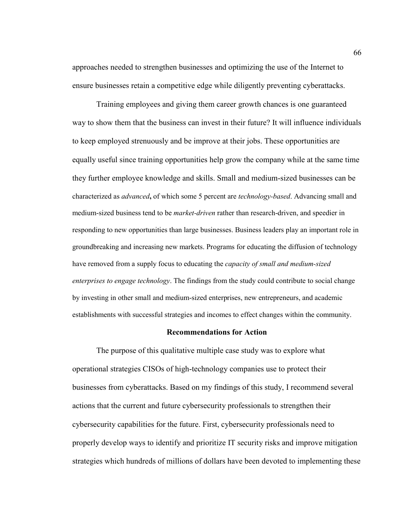approaches needed to strengthen businesses and optimizing the use of the Internet to ensure businesses retain a competitive edge while diligently preventing cyberattacks.

Training employees and giving them career growth chances is one guaranteed way to show them that the business can invest in their future? It will influence individuals to keep employed strenuously and be improve at their jobs. These opportunities are equally useful since training opportunities help grow the company while at the same time they further employee knowledge and skills. Small and medium-sized businesses can be characterized as *advanced***,** of which some 5 percent are *technology-based*. Advancing small and medium-sized business tend to be *market-driven* rather than research-driven, and speedier in responding to new opportunities than large businesses. Business leaders play an important role in groundbreaking and increasing new markets. Programs for educating the diffusion of technology have removed from a supply focus to educating the *capacity of small and medium-sized enterprises to engage technology*. The findings from the study could contribute to social change by investing in other small and medium-sized enterprises, new entrepreneurs, and academic establishments with successful strategies and incomes to effect changes within the community.

### **Recommendations for Action**

The purpose of this qualitative multiple case study was to explore what operational strategies CISOs of high-technology companies use to protect their businesses from cyberattacks. Based on my findings of this study, I recommend several actions that the current and future cybersecurity professionals to strengthen their cybersecurity capabilities for the future. First, cybersecurity professionals need to properly develop ways to identify and prioritize IT security risks and improve mitigation strategies which hundreds of millions of dollars have been devoted to implementing these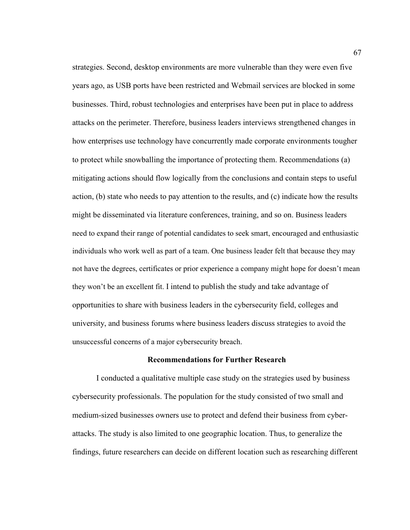strategies. Second, desktop environments are more vulnerable than they were even five years ago, as USB ports have been restricted and Webmail services are blocked in some businesses. Third, robust technologies and enterprises have been put in place to address attacks on the perimeter. Therefore, business leaders interviews strengthened changes in how enterprises use technology have concurrently made corporate environments tougher to protect while snowballing the importance of protecting them. Recommendations (a) mitigating actions should flow logically from the conclusions and contain steps to useful action, (b) state who needs to pay attention to the results, and (c) indicate how the results might be disseminated via literature conferences, training, and so on. Business leaders need to expand their range of potential candidates to seek smart, encouraged and enthusiastic individuals who work well as part of a team. One business leader felt that because they may not have the degrees, certificates or prior experience a company might hope for doesn't mean they won't be an excellent fit. I intend to publish the study and take advantage of opportunities to share with business leaders in the cybersecurity field, colleges and university, and business forums where business leaders discuss strategies to avoid the unsuccessful concerns of a major cybersecurity breach.

#### **Recommendations for Further Research**

I conducted a qualitative multiple case study on the strategies used by business cybersecurity professionals. The population for the study consisted of two small and medium-sized businesses owners use to protect and defend their business from cyberattacks. The study is also limited to one geographic location. Thus, to generalize the findings, future researchers can decide on different location such as researching different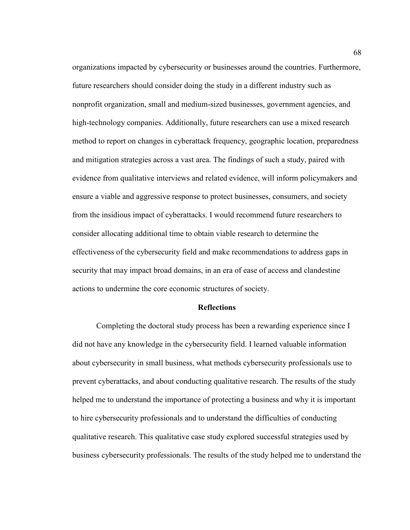organizations impacted by cybersecurity or businesses around the countries. Furthermore, future researchers should consider doing the study in a different industry such as nonprofit organization, small and medium-sized businesses, government agencies, and high-technology companies. Additionally, future researchers can use a mixed research method to report on changes in cyberattack frequency, geographic location, preparedness and mitigation strategies across a vast area. The findings of such a study, paired with evidence from qualitative interviews and related evidence, will inform policymakers and ensure a viable and aggressive response to protect businesses, consumers, and society from the insidious impact of cyberattacks. I would recommend future researchers to consider allocating additional time to obtain viable research to determine the effectiveness of the cybersecurity field and make recommendations to address gaps in security that may impact broad domains, in an era of ease of access and clandestine actions to undermine the core economic structures of society.

#### **Reflections**

Completing the doctoral study process has been a rewarding experience since I did not have any knowledge in the cybersecurity field. I learned valuable information about cybersecurity in small business, what methods cybersecurity professionals use to prevent cyberattacks, and about conducting qualitative research. The results of the study helped me to understand the importance of protecting a business and why it is important to hire cybersecurity professionals and to understand the difficulties of conducting qualitative research. This qualitative case study explored successful strategies used by business cybersecurity professionals. The results of the study helped me to understand the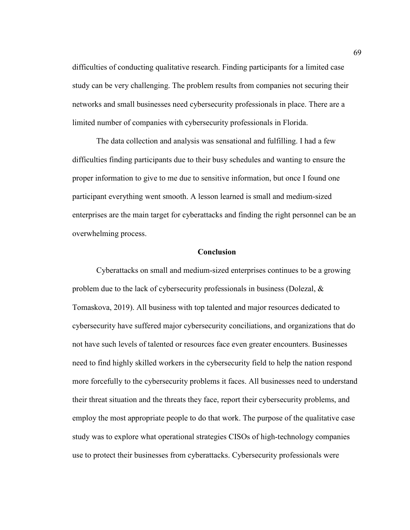difficulties of conducting qualitative research. Finding participants for a limited case study can be very challenging. The problem results from companies not securing their networks and small businesses need cybersecurity professionals in place. There are a limited number of companies with cybersecurity professionals in Florida.

The data collection and analysis was sensational and fulfilling. I had a few difficulties finding participants due to their busy schedules and wanting to ensure the proper information to give to me due to sensitive information, but once I found one participant everything went smooth. A lesson learned is small and medium-sized enterprises are the main target for cyberattacks and finding the right personnel can be an overwhelming process.

### **Conclusion**

Cyberattacks on small and medium-sized enterprises continues to be a growing problem due to the lack of cybersecurity professionals in business (Dolezal, & Tomaskova, 2019). All business with top talented and major resources dedicated to cybersecurity have suffered major cybersecurity conciliations, and organizations that do not have such levels of talented or resources face even greater encounters. Businesses need to find highly skilled workers in the cybersecurity field to help the nation respond more forcefully to the cybersecurity problems it faces. All businesses need to understand their threat situation and the threats they face, report their cybersecurity problems, and employ the most appropriate people to do that work. The purpose of the qualitative case study was to explore what operational strategies CISOs of high-technology companies use to protect their businesses from cyberattacks. Cybersecurity professionals were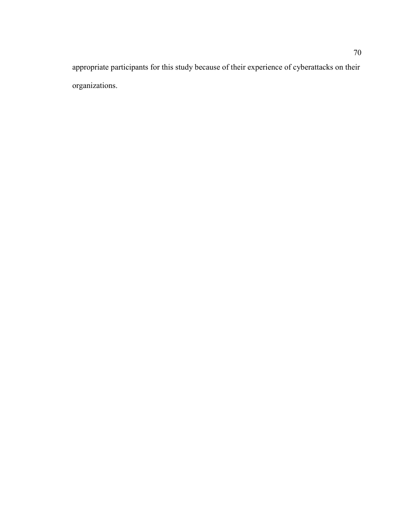appropriate participants for this study because of their experience of cyberattacks on their organizations.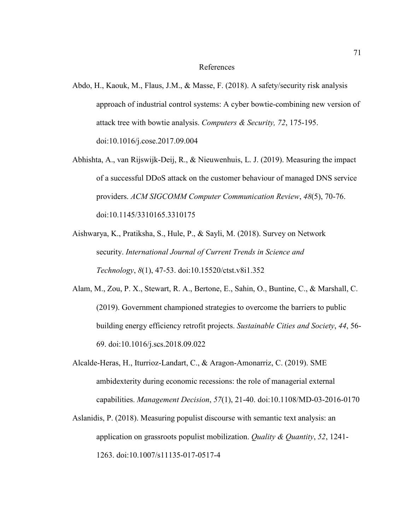#### References

- Abdo, H., Kaouk, M., Flaus, J.M., & Masse, F. (2018). A safety/security risk analysis approach of industrial control systems: A cyber bowtie-combining new version of attack tree with bowtie analysis. *Computers & Security, 72*, 175-195. doi:10.1016/j.cose.2017.09.004
- Abhishta, A., van Rijswijk-Deij, R., & Nieuwenhuis, L. J. (2019). Measuring the impact of a successful DDoS attack on the customer behaviour of managed DNS service providers. *ACM SIGCOMM Computer Communication Review*, *48*(5), 70-76. doi:10.1145/3310165.3310175
- Aishwarya, K., Pratiksha, S., Hule, P., & Sayli, M. (2018). Survey on Network security. *International Journal of Current Trends in Science and Technology*, *8*(1), 47-53. doi:10.15520/ctst.v8i1.352
- Alam, M., Zou, P. X., Stewart, R. A., Bertone, E., Sahin, O., Buntine, C., & Marshall, C. (2019). Government championed strategies to overcome the barriers to public building energy efficiency retrofit projects. *Sustainable Cities and Society*, *44*, 56- 69. doi:10.1016/j.scs.2018.09.022
- Alcalde-Heras, H., Iturrioz-Landart, C., & Aragon-Amonarriz, C. (2019). SME ambidexterity during economic recessions: the role of managerial external capabilities. *Management Decision*, *57*(1), 21-40. doi:10.1108/MD-03-2016-0170
- Aslanidis, P. (2018). Measuring populist discourse with semantic text analysis: an application on grassroots populist mobilization. *Quality & Quantity*, *52*, 1241- 1263. doi:10.1007/s11135-017-0517-4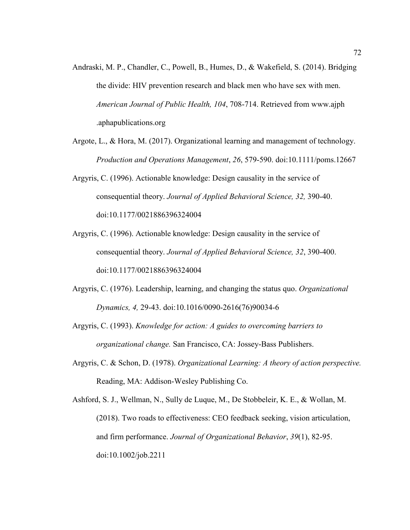- Andraski, M. P., Chandler, C., Powell, B., Humes, D., & Wakefield, S. (2014). Bridging the divide: HIV prevention research and black men who have sex with men. *American Journal of Public Health, 104*, 708-714. Retrieved from www.ajph .aphapublications.org
- Argote, L., & Hora, M. (2017). Organizational learning and management of technology. *Production and Operations Management*, *26*, 579-590. doi:10.1111/poms.12667
- Argyris, C. (1996). Actionable knowledge: Design causality in the service of consequential theory. *Journal of Applied Behavioral Science, 32,* 390-40. doi:10.1177/0021886396324004
- Argyris, C. (1996). Actionable knowledge: Design causality in the service of consequential theory. *Journal of Applied Behavioral Science, 32*, 390-400. doi:10.1177/0021886396324004
- Argyris, C. (1976). Leadership, learning, and changing the status quo. *Organizational Dynamics, 4,* 29-43. doi:10.1016/0090-2616(76)90034-6
- Argyris, C. (1993). *Knowledge for action: A guides to overcoming barriers to organizational change.* San Francisco, CA: Jossey-Bass Publishers.
- Argyris, C. & Schon, D. (1978). *Organizational Learning: A theory of action perspective.*  Reading, MA: Addison-Wesley Publishing Co.

Ashford, S. J., Wellman, N., Sully de Luque, M., De Stobbeleir, K. E., & Wollan, M. (2018). Two roads to effectiveness: CEO feedback seeking, vision articulation, and firm performance. *Journal of Organizational Behavior*, *39*(1), 82-95. doi:10.1002/job.2211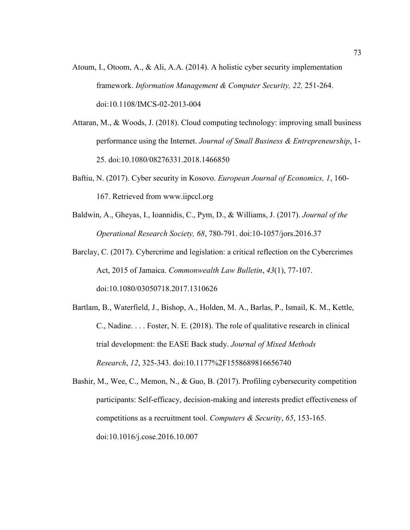- Atoum, I., Otoom, A., & Ali, A.A. (2014). A holistic cyber security implementation framework. *Information Management & Computer Security, 22,* 251-264. doi:10.1108/IMCS-02-2013-004
- Attaran, M., & Woods, J. (2018). Cloud computing technology: improving small business performance using the Internet. *Journal of Small Business & Entrepreneurship*, 1- 25. doi:10.1080/08276331.2018.1466850
- Baftiu, N. (2017). Cyber security in Kosovo. *European Journal of Economics, 1*, 160- 167. Retrieved from www.iipccl.org
- Baldwin, A., Gheyas, I., Ioannidis, C., Pym, D., & Williams, J. (2017). *Journal of the Operational Research Society, 68*, 780-791. doi:10-1057/jors.2016.37
- Barclay, C. (2017). Cybercrime and legislation: a critical reflection on the Cybercrimes Act, 2015 of Jamaica. *Commonwealth Law Bulletin*, *43*(1), 77-107. doi:10.1080/03050718.2017.1310626
- Bartlam, B., Waterfield, J., Bishop, A., Holden, M. A., Barlas, P., Ismail, K. M., Kettle, C., Nadine. . . . Foster, N. E. (2018). The role of qualitative research in clinical trial development: the EASE Back study. *Journal of Mixed Methods Research*, *12*, 325-343. doi:10.1177%2F1558689816656740
- Bashir, M., Wee, C., Memon, N., & Guo, B. (2017). Profiling cybersecurity competition participants: Self-efficacy, decision-making and interests predict effectiveness of competitions as a recruitment tool. *Computers & Security*, *65*, 153-165. doi:10.1016/j.cose.2016.10.007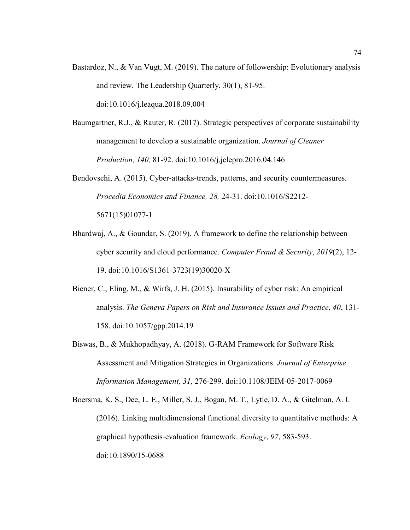- Bastardoz, N., & Van Vugt, M. (2019). The nature of followership: Evolutionary analysis and review. The Leadership Quarterly, 30(1), 81-95. doi:10.1016/j.leaqua.2018.09.004
- Baumgartner, R.J., & Rauter, R. (2017). Strategic perspectives of corporate sustainability management to develop a sustainable organization. *Journal of Cleaner Production, 140,* 81-92. doi:10.1016/j.jclepro.2016.04.146
- Bendovschi, A. (2015). Cyber-attacks-trends, patterns, and security countermeasures. *Procedia Economics and Finance, 28,* 24-31. doi:10.1016/S2212- 5671(15)01077-1
- Bhardwaj, A., & Goundar, S. (2019). A framework to define the relationship between cyber security and cloud performance. *Computer Fraud & Security*, *2019*(2), 12- 19. doi:10.1016/S1361-3723(19)30020-X
- Biener, C., Eling, M., & Wirfs, J. H. (2015). Insurability of cyber risk: An empirical analysis. *The Geneva Papers on Risk and Insurance Issues and Practice*, *40*, 131- 158. doi:10.1057/gpp.2014.19
- Biswas, B., & Mukhopadhyay, A. (2018). G-RAM Framework for Software Risk Assessment and Mitigation Strategies in Organizations. *Journal of Enterprise Information Management, 31,* 276-299. doi:10.1108/JEIM-05-2017-0069
- Boersma, K. S., Dee, L. E., Miller, S. J., Bogan, M. T., Lytle, D. A., & Gitelman, A. I. (2016). Linking multidimensional functional diversity to quantitative methods: A graphical hypothesis‐evaluation framework. *Ecology*, *97*, 583-593. doi:10.1890/15-0688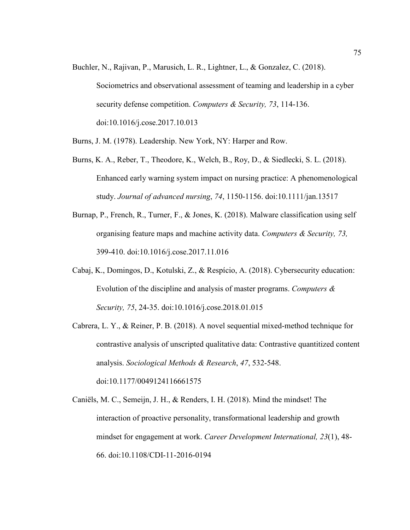- Buchler, N., Rajivan, P., Marusich, L. R., Lightner, L., & Gonzalez, C. (2018). Sociometrics and observational assessment of teaming and leadership in a cyber security defense competition. *Computers & Security, 73*, 114-136. doi:10.1016/j.cose.2017.10.013
- Burns, J. M. (1978). Leadership. New York, NY: Harper and Row.
- Burns, K. A., Reber, T., Theodore, K., Welch, B., Roy, D., & Siedlecki, S. L. (2018). Enhanced early warning system impact on nursing practice: A phenomenological study. *Journal of advanced nursing*, *74*, 1150-1156. doi:10.1111/jan.13517
- Burnap, P., French, R., Turner, F., & Jones, K. (2018). Malware classification using self organising feature maps and machine activity data. *Computers & Security, 73,* 399-410. doi:10.1016/j.cose.2017.11.016
- Cabaj, K., Domingos, D., Kotulski, Z., & Respício, A. (2018). Cybersecurity education: Evolution of the discipline and analysis of master programs. *Computers & Security, 75*, 24-35. doi:10.1016/j.cose.2018.01.015
- Cabrera, L. Y., & Reiner, P. B. (2018). A novel sequential mixed-method technique for contrastive analysis of unscripted qualitative data: Contrastive quantitized content analysis. *Sociological Methods & Research*, *47*, 532-548. doi:10.1177/0049124116661575
- Caniëls, M. C., Semeijn, J. H., & Renders, I. H. (2018). Mind the mindset! The interaction of proactive personality, transformational leadership and growth mindset for engagement at work. *Career Development International, 23*(1), 48- 66. doi:10.1108/CDI-11-2016-0194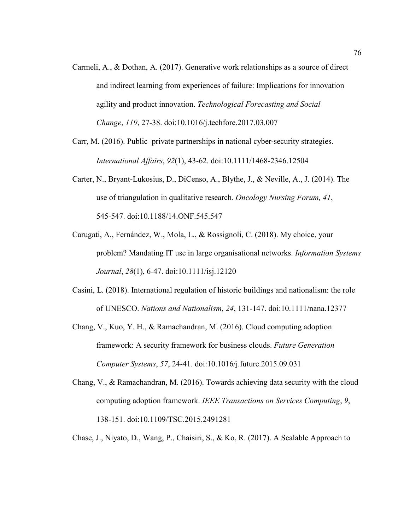- Carmeli, A., & Dothan, A. (2017). Generative work relationships as a source of direct and indirect learning from experiences of failure: Implications for innovation agility and product innovation. *Technological Forecasting and Social Change*, *119*, 27-38. doi:10.1016/j.techfore.2017.03.007
- Carr, M. (2016). Public–private partnerships in national cyber‐security strategies. *International Affairs*, *92*(1), 43-62. doi:10.1111/1468-2346.12504
- Carter, N., Bryant-Lukosius, D., DiCenso, A., Blythe, J., & Neville, A., J. (2014). The use of triangulation in qualitative research. *Oncology Nursing Forum, 41*, 545-547. doi:10.1188/14.ONF.545.547
- Carugati, A., Fernández, W., Mola, L., & Rossignoli, C. (2018). My choice, your problem? Mandating IT use in large organisational networks. *Information Systems Journal*, *28*(1), 6-47. doi:10.1111/isj.12120
- Casini, L. (2018). International regulation of historic buildings and nationalism: the role of UNESCO. *Nations and Nationalism, 24*, 131-147. doi:10.1111/nana.12377
- Chang, V., Kuo, Y. H., & Ramachandran, M. (2016). Cloud computing adoption framework: A security framework for business clouds. *Future Generation Computer Systems*, *57*, 24-41. doi:10.1016/j.future.2015.09.031
- Chang, V., & Ramachandran, M. (2016). Towards achieving data security with the cloud computing adoption framework. *IEEE Transactions on Services Computing*, *9*, 138-151. doi:10.1109/TSC.2015.2491281

Chase, J., Niyato, D., Wang, P., Chaisiri, S., & Ko, R. (2017). A Scalable Approach to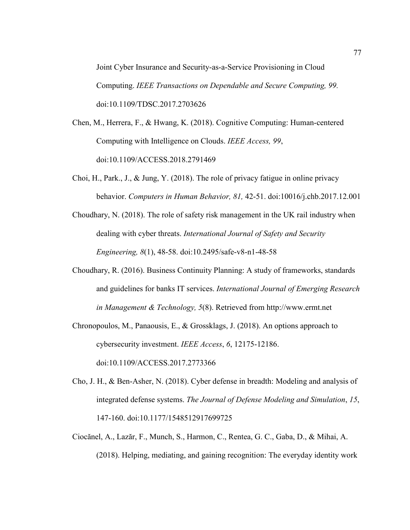Joint Cyber Insurance and Security-as-a-Service Provisioning in Cloud Computing. *IEEE Transactions on Dependable and Secure Computing, 99.* doi:10.1109/TDSC.2017.2703626

- Chen, M., Herrera, F., & Hwang, K. (2018). Cognitive Computing: Human-centered Computing with Intelligence on Clouds. *IEEE Access, 99*, doi:10.1109/ACCESS.2018.2791469
- Choi, H., Park., J., & Jung, Y. (2018). The role of privacy fatigue in online privacy behavior. *Computers in Human Behavior, 81,* 42-51. doi:10016/j.chb.2017.12.001
- Choudhary, N. (2018). The role of safety risk management in the UK rail industry when dealing with cyber threats. *International Journal of Safety and Security Engineering, 8*(1), 48-58. doi:10.2495/safe-v8-n1-48-58
- Choudhary, R. (2016). Business Continuity Planning: A study of frameworks, standards and guidelines for banks IT services. *International Journal of Emerging Research in Management & Technology, 5*(8). Retrieved from http://www.ermt.net
- Chronopoulos, M., Panaousis, E., & Grossklags, J. (2018). An options approach to cybersecurity investment. *IEEE Access*, *6*, 12175-12186. doi:10.1109/ACCESS.2017.2773366
- Cho, J. H., & Ben-Asher, N. (2018). Cyber defense in breadth: Modeling and analysis of integrated defense systems. *The Journal of Defense Modeling and Simulation*, *15*, 147-160. doi:10.1177/1548512917699725
- Ciocănel, A., Lazăr, F., Munch, S., Harmon, C., Rentea, G. C., Gaba, D., & Mihai, A. (2018). Helping, mediating, and gaining recognition: The everyday identity work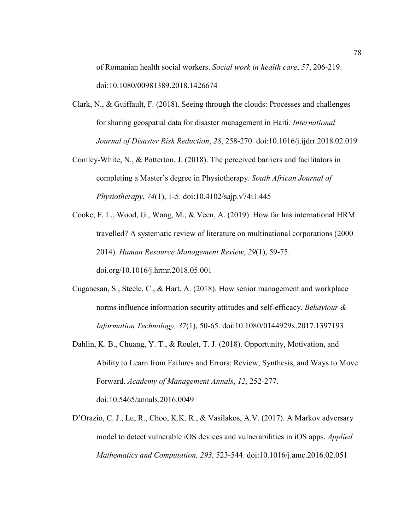of Romanian health social workers. *Social work in health care*, *57*, 206-219. doi:10.1080/00981389.2018.1426674

- Clark, N., & Guiffault, F. (2018). Seeing through the clouds: Processes and challenges for sharing geospatial data for disaster management in Haiti. *International Journal of Disaster Risk Reduction*, *28*, 258-270. doi:10.1016/j.ijdrr.2018.02.019
- Comley-White, N., & Potterton, J. (2018). The perceived barriers and facilitators in completing a Master's degree in Physiotherapy. *South African Journal of Physiotherapy*, *74*(1), 1-5. doi:10.4102/sajp.v74i1.445
- Cooke, F. L., Wood, G., Wang, M., & Veen, A. (2019). How far has international HRM travelled? A systematic review of literature on multinational corporations (2000– 2014). *Human Resource Management Review*, *29*(1), 59-75. doi.org/10.1016/j.hrmr.2018.05.001
- Cuganesan, S., Steele, C., & Hart, A. (2018). How senior management and workplace norms influence information security attitudes and self-efficacy. *Behaviour & Information Technology, 37*(1), 50-65. doi:10.1080/0144929x.2017.1397193
- Dahlin, K. B., Chuang, Y. T., & Roulet, T. J. (2018). Opportunity, Motivation, and Ability to Learn from Failures and Errors: Review, Synthesis, and Ways to Move Forward. *Academy of Management Annals*, *12*, 252-277. doi:10.5465/annals.2016.0049
- D'Orazio, C. J., Lu, R., Choo, K.K. R., & Vasilakos, A.V. (2017). A Markov adversary model to detect vulnerable iOS devices and vulnerabilities in iOS apps. *Applied Mathematics and Computation, 293,* 523-544. doi:10.1016/j.amc.2016.02.051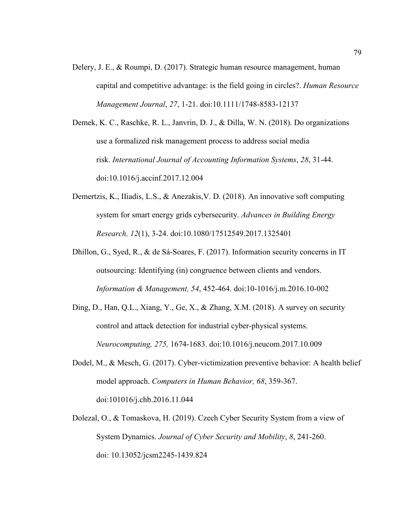Delery, J. E., & Roumpi, D. (2017). Strategic human resource management, human capital and competitive advantage: is the field going in circles?. *Human Resource Management Journal*, *27*, 1-21. doi:10.1111/1748-8583-12137

Demek, K. C., Raschke, R. L., Janvrin, D. J., & Dilla, W. N. (2018). Do organizations use a formalized risk management process to address social media risk. *International Journal of Accounting Information Systems*, *28*, 31-44. doi:10.1016/j.accinf.2017.12.004

- Demertzis, K., IIiadis, L.S., & Anezakis,V. D. (2018). An innovative soft computing system for smart energy grids cybersecurity. *Advances in Building Energy Research, 12*(1), 3-24. doi:10.1080/17512549.2017.1325401
- Dhillon, G., Syed, R., & de Sá-Soares, F. (2017). Information security concerns in IT outsourcing: Identifying (in) congruence between clients and vendors. *Information & Management, 54*, 452-464. doi:10-1016/j.m.2016.10-002
- Ding, D., Han, Q.L., Xiang, Y., Ge, X., & Zhang, X.M. (2018). A survey on security control and attack detection for industrial cyber-physical systems. *Neurocomputing, 275,* 1674-1683. doi:10.1016/j.neucom.2017.10.009
- Dodel, M., & Mesch, G. (2017). Cyber-victimization preventive behavior: A health belief model approach. *Computers in Human Behavior, 68*, 359-367. doi:101016/j.chb.2016.11.044
- Dolezal, O., & Tomaskova, H. (2019). Czech Cyber Security System from a view of System Dynamics. *Journal of Cyber Security and Mobility*, *8*, 241-260. doi: 10.13052/jcsm2245-1439.824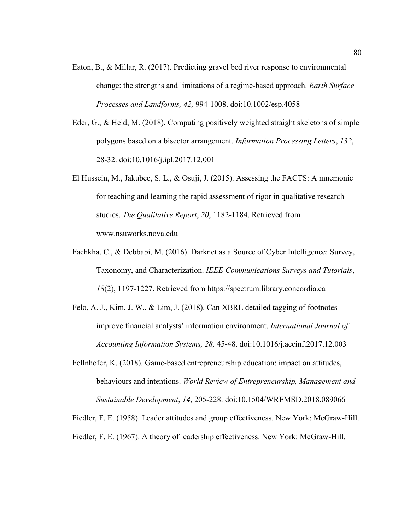- Eaton, B., & Millar, R. (2017). Predicting gravel bed river response to environmental change: the strengths and limitations of a regime-based approach. *Earth Surface Processes and Landforms, 42,* 994-1008. doi:10.1002/esp.4058
- Eder, G., & Held, M. (2018). Computing positively weighted straight skeletons of simple polygons based on a bisector arrangement. *Information Processing Letters*, *132*, 28-32. doi:10.1016/j.ipl.2017.12.001
- El Hussein, M., Jakubec, S. L., & Osuji, J. (2015). Assessing the FACTS: A mnemonic for teaching and learning the rapid assessment of rigor in qualitative research studies. *The Qualitative Report*, *20*, 1182-1184. Retrieved from www.nsuworks.nova.edu
- Fachkha, C., & Debbabi, M. (2016). Darknet as a Source of Cyber Intelligence: Survey, Taxonomy, and Characterization. *IEEE Communications Surveys and Tutorials*, *18*(2), 1197-1227. Retrieved from https://spectrum.library.concordia.ca
- Felo, A. J., Kim, J. W., & Lim, J. (2018). Can XBRL detailed tagging of footnotes improve financial analysts' information environment. *International Journal of Accounting Information Systems, 28,* 45-48. doi:10.1016/j.accinf.2017.12.003
- Fellnhofer, K. (2018). Game-based entrepreneurship education: impact on attitudes, behaviours and intentions. *World Review of Entrepreneurship, Management and Sustainable Development*, *14*, 205-228. doi:10.1504/WREMSD.2018.089066

Fiedler, F. E. (1958). Leader attitudes and group effectiveness. New York: McGraw-Hill.

Fiedler, F. E. (1967). A theory of leadership effectiveness. New York: McGraw-Hill.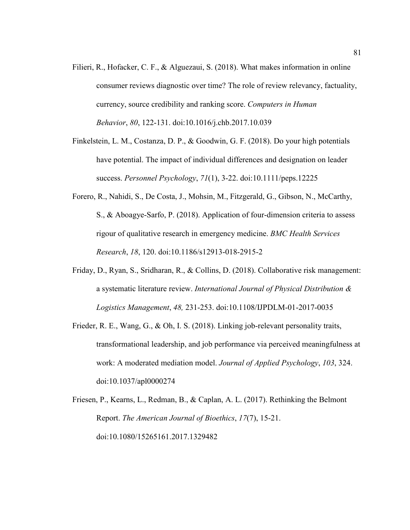- Filieri, R., Hofacker, C. F., & Alguezaui, S. (2018). What makes information in online consumer reviews diagnostic over time? The role of review relevancy, factuality, currency, source credibility and ranking score. *Computers in Human Behavior*, *80*, 122-131. doi:10.1016/j.chb.2017.10.039
- Finkelstein, L. M., Costanza, D. P., & Goodwin, G. F. (2018). Do your high potentials have potential. The impact of individual differences and designation on leader success. *Personnel Psychology*, *71*(1), 3-22. doi:10.1111/peps.12225
- Forero, R., Nahidi, S., De Costa, J., Mohsin, M., Fitzgerald, G., Gibson, N., McCarthy, S., & Aboagye-Sarfo, P. (2018). Application of four-dimension criteria to assess rigour of qualitative research in emergency medicine. *BMC Health Services Research*, *18*, 120. doi:10.1186/s12913-018-2915-2
- Friday, D., Ryan, S., Sridharan, R., & Collins, D. (2018). Collaborative risk management: a systematic literature review. *International Journal of Physical Distribution & Logistics Management*, *48,* 231-253. doi:10.1108/IJPDLM-01-2017-0035
- Frieder, R. E., Wang, G., & Oh, I. S. (2018). Linking job-relevant personality traits, transformational leadership, and job performance via perceived meaningfulness at work: A moderated mediation model. *Journal of Applied Psychology*, *103*, 324. doi:10.1037/apl0000274
- Friesen, P., Kearns, L., Redman, B., & Caplan, A. L. (2017). Rethinking the Belmont Report. *The American Journal of Bioethics*, *17*(7), 15-21. doi:10.1080/15265161.2017.1329482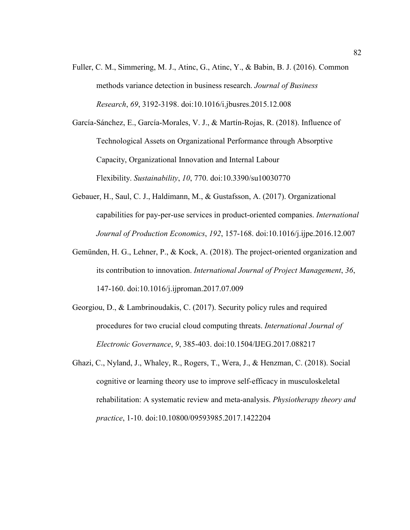Fuller, C. M., Simmering, M. J., Atinc, G., Atinc, Y., & Babin, B. J. (2016). Common methods variance detection in business research. *Journal of Business Research*, *69*, 3192-3198. doi:10.1016/i.jbusres.2015.12.008

García-Sánchez, E., García-Morales, V. J., & Martín-Rojas, R. (2018). Influence of Technological Assets on Organizational Performance through Absorptive Capacity, Organizational Innovation and Internal Labour Flexibility. *Sustainability*, *10*, 770. doi:10.3390/su10030770

- Gebauer, H., Saul, C. J., Haldimann, M., & Gustafsson, A. (2017). Organizational capabilities for pay-per-use services in product-oriented companies. *International Journal of Production Economics*, *192*, 157-168. doi:10.1016/j.ijpe.2016.12.007
- Gemünden, H. G., Lehner, P., & Kock, A. (2018). The project-oriented organization and its contribution to innovation. *International Journal of Project Management*, *36*, 147-160. doi:10.1016/j.ijproman.2017.07.009
- Georgiou, D., & Lambrinoudakis, C. (2017). Security policy rules and required procedures for two crucial cloud computing threats. *International Journal of Electronic Governance*, *9*, 385-403. doi:10.1504/IJEG.2017.088217
- Ghazi, C., Nyland, J., Whaley, R., Rogers, T., Wera, J., & Henzman, C. (2018). Social cognitive or learning theory use to improve self-efficacy in musculoskeletal rehabilitation: A systematic review and meta-analysis. *Physiotherapy theory and practice*, 1-10. doi:10.10800/09593985.2017.1422204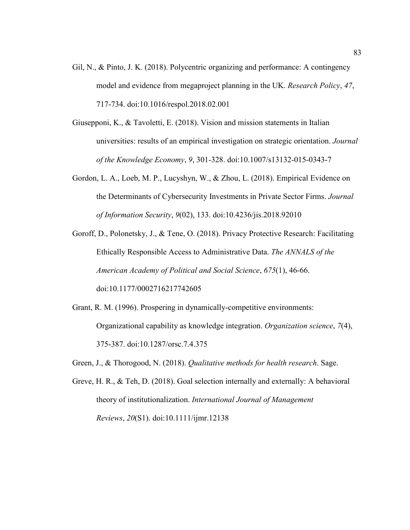- Gil, N., & Pinto, J. K. (2018). Polycentric organizing and performance: A contingency model and evidence from megaproject planning in the UK. *Research Policy*, *47*, 717-734. doi:10.1016/respol.2018.02.001
- Giusepponi, K., & Tavoletti, E. (2018). Vision and mission statements in Italian universities: results of an empirical investigation on strategic orientation. *Journal of the Knowledge Economy*, *9*, 301-328. doi:10.1007/s13132-015-0343-7
- Gordon, L. A., Loeb, M. P., Lucyshyn, W., & Zhou, L. (2018). Empirical Evidence on the Determinants of Cybersecurity Investments in Private Sector Firms. *Journal of Information Security*, *9*(02), 133. doi:10.4236/jis.2018.92010
- Goroff, D., Polonetsky, J., & Tene, O. (2018). Privacy Protective Research: Facilitating Ethically Responsible Access to Administrative Data. *The ANNALS of the American Academy of Political and Social Science*, *675*(1), 46-66. doi:10.1177/0002716217742605
- Grant, R. M. (1996). Prospering in dynamically-competitive environments: Organizational capability as knowledge integration. *Organization science*, *7*(4), 375-387. doi:10.1287/orsc.7.4.375
- Green, J., & Thorogood, N. (2018). *Qualitative methods for health research*. Sage.
- Greve, H. R., & Teh, D. (2018). Goal selection internally and externally: A behavioral theory of institutionalization. *International Journal of Management Reviews*, *20*(S1). doi:10.1111/ijmr.12138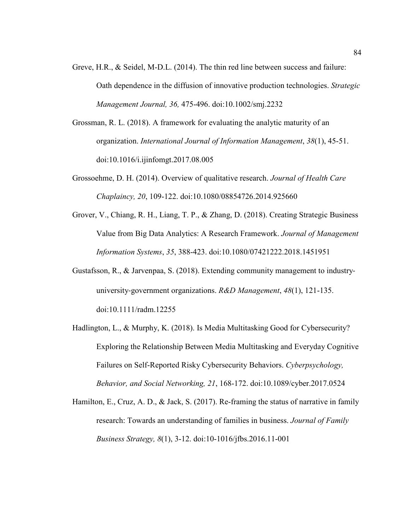- Greve, H.R., & Seidel, M-D.L. (2014). The thin red line between success and failure: Oath dependence in the diffusion of innovative production technologies. *Strategic Management Journal, 36,* 475-496. doi:10.1002/smj.2232
- Grossman, R. L. (2018). A framework for evaluating the analytic maturity of an organization. *International Journal of Information Management*, *38*(1), 45-51. doi:10.1016/i.ijinfomgt.2017.08.005
- Grossoehme, D. H. (2014). Overview of qualitative research. *Journal of Health Care Chaplaincy, 20*, 109-122. doi:10.1080/08854726.2014.925660
- Grover, V., Chiang, R. H., Liang, T. P., & Zhang, D. (2018). Creating Strategic Business Value from Big Data Analytics: A Research Framework. *Journal of Management Information Systems*, *35*, 388-423. doi:10.1080/07421222.2018.1451951
- Gustafsson, R., & Jarvenpaa, S. (2018). Extending community management to industry‐ university‐government organizations. *R&D Management*, *48*(1), 121-135. doi:10.1111/radm.12255
- Hadlington, L., & Murphy, K. (2018). Is Media Multitasking Good for Cybersecurity? Exploring the Relationship Between Media Multitasking and Everyday Cognitive Failures on Self-Reported Risky Cybersecurity Behaviors. *Cyberpsychology, Behavior, and Social Networking, 21*, 168-172. doi:10.1089/cyber.2017.0524
- Hamilton, E., Cruz, A. D., & Jack, S. (2017). Re-framing the status of narrative in family research: Towards an understanding of families in business. *Journal of Family Business Strategy, 8*(1), 3-12. doi:10-1016/jfbs.2016.11-001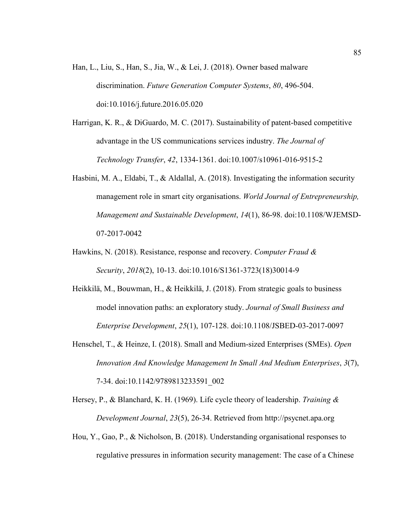- Han, L., Liu, S., Han, S., Jia, W., & Lei, J. (2018). Owner based malware discrimination. *Future Generation Computer Systems*, *80*, 496-504. doi:10.1016/j.future.2016.05.020
- Harrigan, K. R., & DiGuardo, M. C. (2017). Sustainability of patent-based competitive advantage in the US communications services industry. *The Journal of Technology Transfer*, *42*, 1334-1361. doi:10.1007/s10961-016-9515-2
- Hasbini, M. A., Eldabi, T., & Aldallal, A. (2018). Investigating the information security management role in smart city organisations. *World Journal of Entrepreneurship, Management and Sustainable Development*, *14*(1), 86-98. doi:10.1108/WJEMSD-07-2017-0042
- Hawkins, N. (2018). Resistance, response and recovery. *Computer Fraud & Security*, *2018*(2), 10-13. doi:10.1016/S1361-3723(18)30014-9
- Heikkilä, M., Bouwman, H., & Heikkilä, J. (2018). From strategic goals to business model innovation paths: an exploratory study. *Journal of Small Business and Enterprise Development*, *25*(1), 107-128. doi:10.1108/JSBED-03-2017-0097
- Henschel, T., & Heinze, I. (2018). Small and Medium-sized Enterprises (SMEs). *Open Innovation And Knowledge Management In Small And Medium Enterprises*, *3*(7), 7-34. doi:10.1142/9789813233591\_002
- Hersey, P., & Blanchard, K. H. (1969). Life cycle theory of leadership. *Training & Development Journal*, *23*(5), 26-34. Retrieved from http://psycnet.apa.org
- Hou, Y., Gao, P., & Nicholson, B. (2018). Understanding organisational responses to regulative pressures in information security management: The case of a Chinese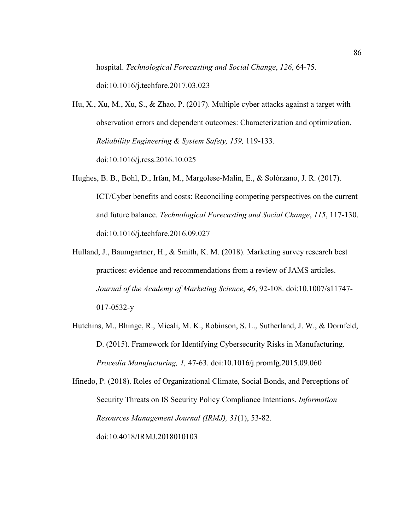hospital. *Technological Forecasting and Social Change*, *126*, 64-75.

doi:10.1016/j.techfore.2017.03.023

- Hu, X., Xu, M., Xu, S., & Zhao, P. (2017). Multiple cyber attacks against a target with observation errors and dependent outcomes: Characterization and optimization. *Reliability Engineering & System Safety, 159,* 119-133. doi:10.1016/j.ress.2016.10.025
- Hughes, B. B., Bohl, D., Irfan, M., Margolese-Malin, E., & Solórzano, J. R. (2017). ICT/Cyber benefits and costs: Reconciling competing perspectives on the current and future balance. *Technological Forecasting and Social Change*, *115*, 117-130. doi:10.1016/j.techfore.2016.09.027
- Hulland, J., Baumgartner, H., & Smith, K. M. (2018). Marketing survey research best practices: evidence and recommendations from a review of JAMS articles. *Journal of the Academy of Marketing Science*, *46*, 92-108. doi:10.1007/s11747- 017-0532-y
- Hutchins, M., Bhinge, R., Micali, M. K., Robinson, S. L., Sutherland, J. W., & Dornfeld, D. (2015). Framework for Identifying Cybersecurity Risks in Manufacturing. *Procedia Manufacturing, 1,* 47-63. doi:10.1016/j.promfg.2015.09.060
- Ifinedo, P. (2018). Roles of Organizational Climate, Social Bonds, and Perceptions of Security Threats on IS Security Policy Compliance Intentions. *Information Resources Management Journal (IRMJ), 31*(1), 53-82. doi:10.4018/IRMJ.2018010103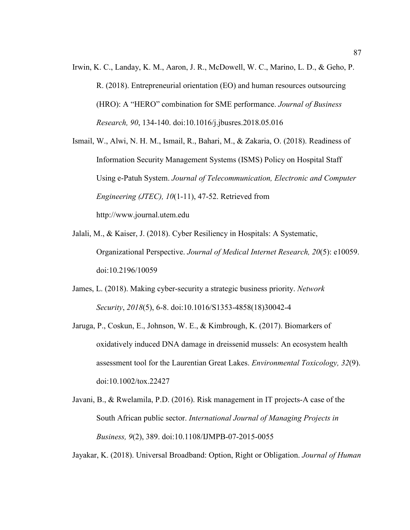Irwin, K. C., Landay, K. M., Aaron, J. R., McDowell, W. C., Marino, L. D., & Geho, P. R. (2018). Entrepreneurial orientation (EO) and human resources outsourcing (HRO): A "HERO" combination for SME performance. *Journal of Business Research, 90*, 134-140. doi:10.1016/j.jbusres.2018.05.016

Ismail, W., Alwi, N. H. M., Ismail, R., Bahari, M., & Zakaria, O. (2018). Readiness of Information Security Management Systems (ISMS) Policy on Hospital Staff Using e-Patuh System. *Journal of Telecommunication, Electronic and Computer Engineering (JTEC), 10*(1-11), 47-52. Retrieved from http://www.journal.utem.edu

- Jalali, M., & Kaiser, J. (2018). Cyber Resiliency in Hospitals: A Systematic, Organizational Perspective. *Journal of Medical Internet Research, 20*(5): e10059. doi:10.2196/10059
- James, L. (2018). Making cyber-security a strategic business priority. *Network Security*, *2018*(5), 6-8. doi:10.1016/S1353-4858(18)30042-4
- Jaruga, P., Coskun, E., Johnson, W. E., & Kimbrough, K. (2017). Biomarkers of oxidatively induced DNA damage in dreissenid mussels: An ecosystem health assessment tool for the Laurentian Great Lakes. *Environmental Toxicology, 32*(9). doi:10.1002/tox.22427
- Javani, B., & Rwelamila, P.D. (2016). Risk management in IT projects-A case of the South African public sector. *International Journal of Managing Projects in Business, 9*(2), 389. doi:10.1108/IJMPB-07-2015-0055

Jayakar, K. (2018). Universal Broadband: Option, Right or Obligation. *Journal of Human*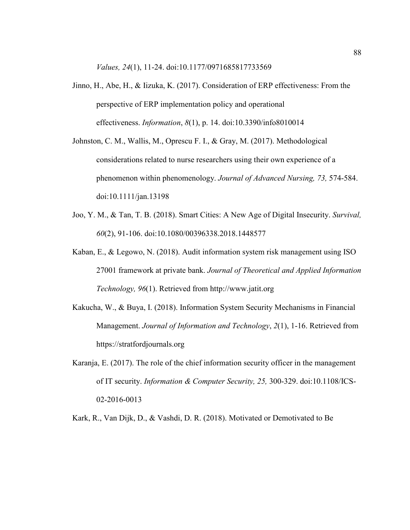*Values, 24*(1), 11-24. doi:10.1177/0971685817733569

- Jinno, H., Abe, H., & Iizuka, K. (2017). Consideration of ERP effectiveness: From the perspective of ERP implementation policy and operational effectiveness. *Information*, *8*(1), p. 14. doi:10.3390/info8010014
- Johnston, C. M., Wallis, M., Oprescu F. I., & Gray, M. (2017). Methodological considerations related to nurse researchers using their own experience of a phenomenon within phenomenology. *Journal of Advanced Nursing, 73,* 574-584. doi:10.1111/jan.13198
- Joo, Y. M., & Tan, T. B. (2018). Smart Cities: A New Age of Digital Insecurity. *Survival, 60*(2), 91-106. doi:10.1080/00396338.2018.1448577
- Kaban, E., & Legowo, N. (2018). Audit information system risk management using ISO 27001 framework at private bank. *Journal of Theoretical and Applied Information Technology, 96*(1). Retrieved from http://www.jatit.org
- Kakucha, W., & Buya, I. (2018). Information System Security Mechanisms in Financial Management. *Journal of Information and Technology*, *2*(1), 1-16. Retrieved from https://stratfordjournals.org
- Karanja, E. (2017). The role of the chief information security officer in the management of IT security. *Information & Computer Security, 25,* 300-329. doi:10.1108/ICS-02-2016-0013

Kark, R., Van Dijk, D., & Vashdi, D. R. (2018). Motivated or Demotivated to Be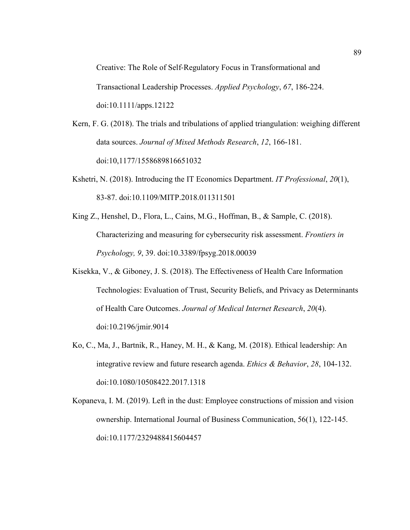Creative: The Role of Self‐Regulatory Focus in Transformational and Transactional Leadership Processes. *Applied Psychology*, *67*, 186-224. doi:10.1111/apps.12122

- Kern, F. G. (2018). The trials and tribulations of applied triangulation: weighing different data sources. *Journal of Mixed Methods Research*, *12*, 166-181. doi:10,1177/1558689816651032
- Kshetri, N. (2018). Introducing the IT Economics Department. *IT Professional*, *20*(1), 83-87. doi:10.1109/MITP.2018.011311501
- King Z., Henshel, D., Flora, L., Cains, M.G., Hoffman, B., & Sample, C. (2018). Characterizing and measuring for cybersecurity risk assessment. *Frontiers in Psychology, 9*, 39. doi:10.3389/fpsyg.2018.00039
- Kisekka, V., & Giboney, J. S. (2018). The Effectiveness of Health Care Information Technologies: Evaluation of Trust, Security Beliefs, and Privacy as Determinants of Health Care Outcomes. *Journal of Medical Internet Research*, *20*(4). doi:10.2196/jmir.9014
- Ko, C., Ma, J., Bartnik, R., Haney, M. H., & Kang, M. (2018). Ethical leadership: An integrative review and future research agenda. *Ethics & Behavior*, *28*, 104-132. doi:10.1080/10508422.2017.1318
- Kopaneva, I. M. (2019). Left in the dust: Employee constructions of mission and vision ownership. International Journal of Business Communication, 56(1), 122-145. doi:10.1177/2329488415604457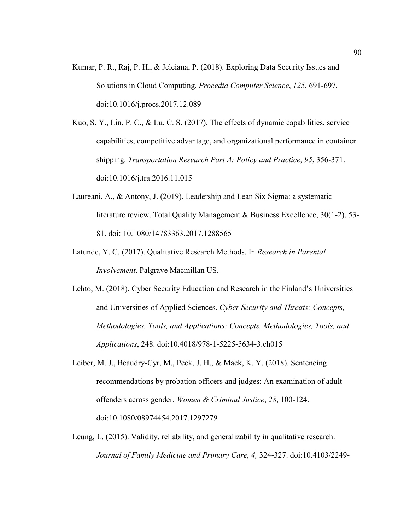Kumar, P. R., Raj, P. H., & Jelciana, P. (2018). Exploring Data Security Issues and Solutions in Cloud Computing. *Procedia Computer Science*, *125*, 691-697. doi:10.1016/j.procs.2017.12.089

Kuo, S. Y., Lin, P. C., & Lu, C. S. (2017). The effects of dynamic capabilities, service capabilities, competitive advantage, and organizational performance in container shipping. *Transportation Research Part A: Policy and Practice*, *95*, 356-371. doi:10.1016/j.tra.2016.11.015

- Laureani, A., & Antony, J. (2019). Leadership and Lean Six Sigma: a systematic literature review. Total Quality Management & Business Excellence, 30(1-2), 53- 81. doi: 10.1080/14783363.2017.1288565
- Latunde, Y. C. (2017). Qualitative Research Methods. In *Research in Parental Involvement*. Palgrave Macmillan US.
- Lehto, M. (2018). Cyber Security Education and Research in the Finland's Universities and Universities of Applied Sciences. *Cyber Security and Threats: Concepts, Methodologies, Tools, and Applications: Concepts, Methodologies, Tools, and Applications*, 248. doi:10.4018/978-1-5225-5634-3.ch015
- Leiber, M. J., Beaudry-Cyr, M., Peck, J. H., & Mack, K. Y. (2018). Sentencing recommendations by probation officers and judges: An examination of adult offenders across gender. *Women & Criminal Justice*, *28*, 100-124. doi:10.1080/08974454.2017.1297279
- Leung, L. (2015). Validity, reliability, and generalizability in qualitative research. *Journal of Family Medicine and Primary Care, 4,* 324-327. doi:10.4103/2249-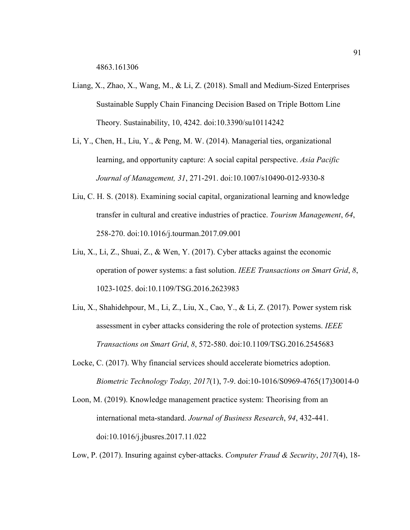- Liang, X., Zhao, X., Wang, M., & Li, Z. (2018). Small and Medium-Sized Enterprises Sustainable Supply Chain Financing Decision Based on Triple Bottom Line Theory. Sustainability, 10, 4242. doi:10.3390/su10114242
- Li, Y., Chen, H., Liu, Y., & Peng, M. W. (2014). Managerial ties, organizational learning, and opportunity capture: A social capital perspective. *Asia Pacific Journal of Management, 31*, 271-291. doi:10.1007/s10490-012-9330-8
- Liu, C. H. S. (2018). Examining social capital, organizational learning and knowledge transfer in cultural and creative industries of practice. *Tourism Management*, *64*, 258-270. doi:10.1016/j.tourman.2017.09.001
- Liu, X., Li, Z., Shuai, Z., & Wen, Y. (2017). Cyber attacks against the economic operation of power systems: a fast solution. *IEEE Transactions on Smart Grid*, *8*, 1023-1025. doi:10.1109/TSG.2016.2623983
- Liu, X., Shahidehpour, M., Li, Z., Liu, X., Cao, Y., & Li, Z. (2017). Power system risk assessment in cyber attacks considering the role of protection systems. *IEEE Transactions on Smart Grid*, *8*, 572-580. doi:10.1109/TSG.2016.2545683
- Locke, C. (2017). Why financial services should accelerate biometrics adoption. *Biometric Technology Today, 2017*(1), 7-9. doi:10-1016/S0969-4765(17)30014-0
- Loon, M. (2019). Knowledge management practice system: Theorising from an international meta-standard. *Journal of Business Research*, *94*, 432-441. doi:10.1016/j.jbusres.2017.11.022

Low, P. (2017). Insuring against cyber-attacks. *Computer Fraud & Security*, *2017*(4), 18-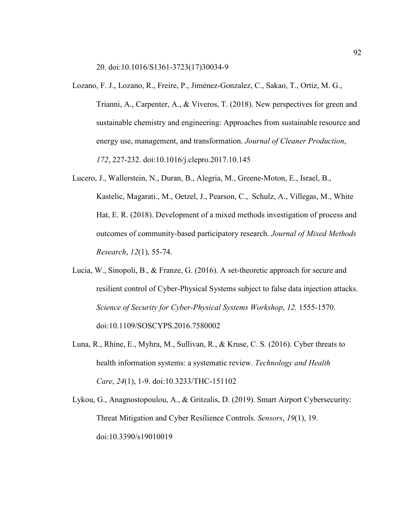20. doi:10.1016/S1361-3723(17)30034-9

- Lozano, F. J., Lozano, R., Freire, P., Jiménez-Gonzalez, C., Sakao, T., Ortiz, M. G., Trianni, A., Carpenter, A., & Viveros, T. (2018). New perspectives for green and sustainable chemistry and engineering: Approaches from sustainable resource and energy use, management, and transformation. *Journal of Cleaner Production*, *172*, 227-232. doi:10.1016/j.clepro.2017.10.145
- Lucero, J., Wallerstein, N., Duran, B., Alegria, M., Greene-Moton, E., Israel, B., Kastelic, Magarati., M., Oetzel, J., Pearson, C., Schulz, A., Villegas, M., White Hat, E. R. (2018). Development of a mixed methods investigation of process and outcomes of community-based participatory research. *Journal of Mixed Methods Research*, *12*(1), 55-74.
- Lucia, W., Sinopoli, B., & Franze, G. (2016). A set-theoretic approach for secure and resilient control of Cyber-Physical Systems subject to false data injection attacks. *Science of Security for Cyber-Physical Systems Workshop*, *12,* 1555-1570. doi:10.1109/SOSCYPS.2016.7580002
- Luna, R., Rhine, E., Myhra, M., Sullivan, R., & Kruse, C. S. (2016). Cyber threats to health information systems: a systematic review. *Technology and Health Care*, *24*(1), 1-9. doi:10.3233/THC-151102
- Lykou, G., Anagnostopoulou, A., & Gritzalis, D. (2019). Smart Airport Cybersecurity: Threat Mitigation and Cyber Resilience Controls. *Sensors*, *19*(1), 19. doi:10.3390/s19010019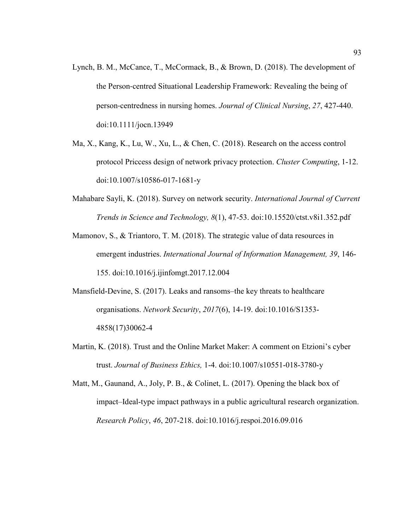- Lynch, B. M., McCance, T., McCormack, B., & Brown, D. (2018). The development of the Person‐centred Situational Leadership Framework: Revealing the being of person‐centredness in nursing homes. *Journal of Clinical Nursing*, *27*, 427-440. doi:10.1111/jocn.13949
- Ma, X., Kang, K., Lu, W., Xu, L., & Chen, C. (2018). Research on the access control protocol Priccess design of network privacy protection. *Cluster Computing*, 1-12. doi:10.1007/s10586-017-1681-y
- Mahabare Sayli, K. (2018). Survey on network security. *International Journal of Current Trends in Science and Technology, 8*(1), 47-53. doi:10.15520/ctst.v8i1.352.pdf
- Mamonov, S., & Triantoro, T. M. (2018). The strategic value of data resources in emergent industries. *International Journal of Information Management, 39*, 146- 155. doi:10.1016/j.ijinfomgt.2017.12.004
- Mansfield-Devine, S. (2017). Leaks and ransoms–the key threats to healthcare organisations. *Network Security*, *2017*(6), 14-19. doi:10.1016/S1353- 4858(17)30062-4
- Martin, K. (2018). Trust and the Online Market Maker: A comment on Etzioni's cyber trust. *Journal of Business Ethics,* 1-4. doi:10.1007/s10551-018-3780-y
- Matt, M., Gaunand, A., Joly, P. B., & Colinet, L. (2017). Opening the black box of impact–Ideal-type impact pathways in a public agricultural research organization. *Research Policy*, *46*, 207-218. doi:10.1016/j.respoi.2016.09.016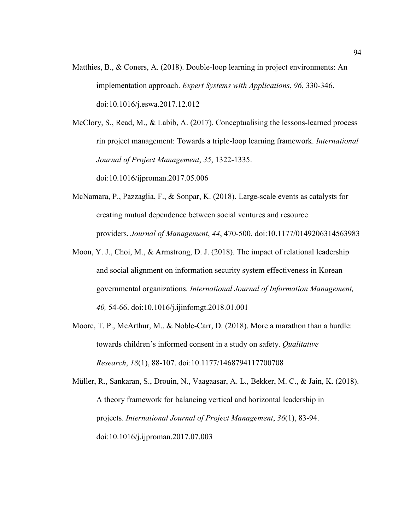Matthies, B., & Coners, A. (2018). Double-loop learning in project environments: An implementation approach. *Expert Systems with Applications*, *96*, 330-346. doi:10.1016/j.eswa.2017.12.012

McClory, S., Read, M., & Labib, A. (2017). Conceptualising the lessons-learned process rin project management: Towards a triple-loop learning framework. *International Journal of Project Management*, *35*, 1322-1335. doi:10.1016/ijproman.2017.05.006

McNamara, P., Pazzaglia, F., & Sonpar, K. (2018). Large-scale events as catalysts for creating mutual dependence between social ventures and resource providers. *Journal of Management*, *44*, 470-500. doi:10.1177/0149206314563983

- Moon, Y. J., Choi, M., & Armstrong, D. J. (2018). The impact of relational leadership and social alignment on information security system effectiveness in Korean governmental organizations. *International Journal of Information Management, 40,* 54-66. doi:10.1016/j.ijinfomgt.2018.01.001
- Moore, T. P., McArthur, M., & Noble-Carr, D. (2018). More a marathon than a hurdle: towards children's informed consent in a study on safety. *Qualitative Research*, *18*(1), 88-107. doi:10.1177/1468794117700708
- Müller, R., Sankaran, S., Drouin, N., Vaagaasar, A. L., Bekker, M. C., & Jain, K. (2018). A theory framework for balancing vertical and horizontal leadership in projects. *International Journal of Project Management*, *36*(1), 83-94. doi:10.1016/j.ijproman.2017.07.003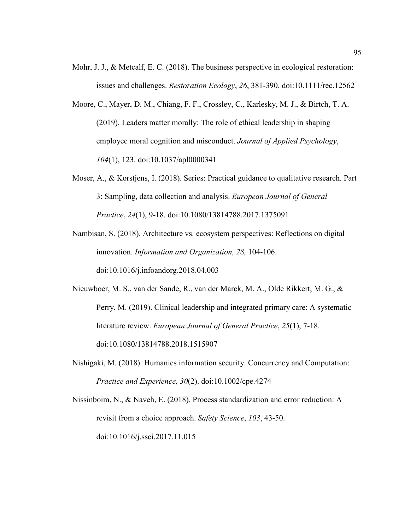- Mohr, J. J., & Metcalf, E. C. (2018). The business perspective in ecological restoration: issues and challenges. *Restoration Ecology*, *26*, 381-390. doi:10.1111/rec.12562
- Moore, C., Mayer, D. M., Chiang, F. F., Crossley, C., Karlesky, M. J., & Birtch, T. A. (2019). Leaders matter morally: The role of ethical leadership in shaping employee moral cognition and misconduct. *Journal of Applied Psychology*, *104*(1), 123. doi:10.1037/apl0000341
- Moser, A., & Korstjens, I. (2018). Series: Practical guidance to qualitative research. Part 3: Sampling, data collection and analysis. *European Journal of General Practice*, *24*(1), 9-18. doi:10.1080/13814788.2017.1375091
- Nambisan, S. (2018). Architecture vs. ecosystem perspectives: Reflections on digital innovation. *Information and Organization, 28,* 104-106. doi:10.1016/j.infoandorg.2018.04.003
- Nieuwboer, M. S., van der Sande, R., van der Marck, M. A., Olde Rikkert, M. G., & Perry, M. (2019). Clinical leadership and integrated primary care: A systematic literature review. *European Journal of General Practice*, *25*(1), 7-18. doi:10.1080/13814788.2018.1515907
- Nishigaki, M. (2018). Humanics information security. Concurrency and Computation: *Practice and Experience, 30*(2). doi:10.1002/cpe.4274

Nissinboim, N., & Naveh, E. (2018). Process standardization and error reduction: A revisit from a choice approach. *Safety Science*, *103*, 43-50. doi:10.1016/j.ssci.2017.11.015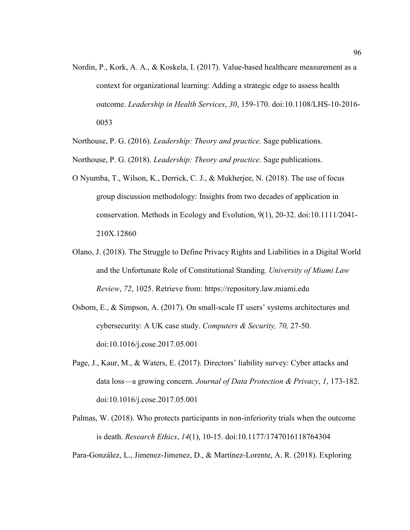- Nordin, P., Kork, A. A., & Koskela, I. (2017). Value-based healthcare measurement as a context for organizational learning: Adding a strategic edge to assess health outcome. *Leadership in Health Services*, *30*, 159-170. doi:10.1108/LHS-10-2016- 0053
- Northouse, P. G. (2016). *Leadership: Theory and practice*. Sage publications.
- Northouse, P. G. (2018). *Leadership: Theory and practice*. Sage publications.
- O Nyumba, T., Wilson, K., Derrick, C. J., & Mukherjee, N. (2018). The use of focus group discussion methodology: Insights from two decades of application in conservation. Methods in Ecology and Evolution, 9(1), 20-32. doi:10.1111/2041- 210X.12860
- Olano, J. (2018). The Struggle to Define Privacy Rights and Liabilities in a Digital World and the Unfortunate Role of Constitutional Standing. *University of Miami Law Review*, *72*, 1025. Retrieve from: https://repository.law.miami.edu
- Osborn, E., & Simpson, A. (2017). On small-scale IT users' systems architectures and cybersecurity: A UK case study. *Computers & Security, 70,* 27-50. doi:10.1016/j.cose.2017.05.001
- Page, J., Kaur, M., & Waters, E. (2017). Directors' liability survey: Cyber attacks and data loss—a growing concern. *Journal of Data Protection & Privacy*, *1*, 173-182. doi:10.1016/j.cose.2017.05.001
- Palmas, W. (2018). Who protects participants in non-inferiority trials when the outcome is death. *Research Ethics*, *14*(1), 10-15. doi:10.1177/1747016118764304

Para-González, L., Jimenez-Jimenez, D., & Martínez-Lorente, A. R. (2018). Exploring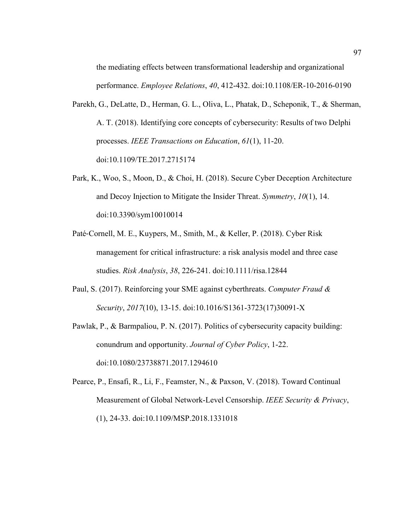the mediating effects between transformational leadership and organizational performance. *Employee Relations*, *40*, 412-432. doi:10.1108/ER-10-2016-0190

- Parekh, G., DeLatte, D., Herman, G. L., Oliva, L., Phatak, D., Scheponik, T., & Sherman, A. T. (2018). Identifying core concepts of cybersecurity: Results of two Delphi processes. *IEEE Transactions on Education*, *61*(1), 11-20. doi:10.1109/TE.2017.2715174
- Park, K., Woo, S., Moon, D., & Choi, H. (2018). Secure Cyber Deception Architecture and Decoy Injection to Mitigate the Insider Threat. *Symmetry*, *10*(1), 14. doi:10.3390/sym10010014
- Paté‐Cornell, M. E., Kuypers, M., Smith, M., & Keller, P. (2018). Cyber Risk management for critical infrastructure: a risk analysis model and three case studies. *Risk Analysis*, *38*, 226-241. doi:10.1111/risa.12844
- Paul, S. (2017). Reinforcing your SME against cyberthreats. *Computer Fraud & Security*, *2017*(10), 13-15. doi:10.1016/S1361-3723(17)30091-X
- Pawlak, P., & Barmpaliou, P. N. (2017). Politics of cybersecurity capacity building: conundrum and opportunity. *Journal of Cyber Policy*, 1-22. doi:10.1080/23738871.2017.1294610
- Pearce, P., Ensafi, R., Li, F., Feamster, N., & Paxson, V. (2018). Toward Continual Measurement of Global Network-Level Censorship. *IEEE Security & Privacy*, (1), 24-33. doi:10.1109/MSP.2018.1331018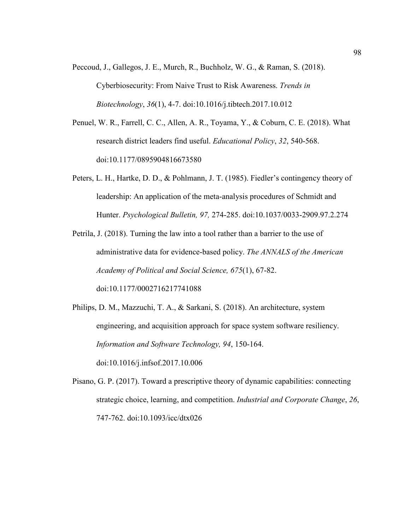- Peccoud, J., Gallegos, J. E., Murch, R., Buchholz, W. G., & Raman, S. (2018). Cyberbiosecurity: From Naive Trust to Risk Awareness. *Trends in Biotechnology*, *36*(1), 4-7. doi:10.1016/j.tibtech.2017.10.012
- Penuel, W. R., Farrell, C. C., Allen, A. R., Toyama, Y., & Coburn, C. E. (2018). What research district leaders find useful. *Educational Policy*, *32*, 540-568. doi:10.1177/0895904816673580
- Peters, L. H., Hartke, D. D., & Pohlmann, J. T. (1985). Fiedler's contingency theory of leadership: An application of the meta-analysis procedures of Schmidt and Hunter. *Psychological Bulletin, 97,* 274-285. doi:10.1037/0033-2909.97.2.274

Petrila, J. (2018). Turning the law into a tool rather than a barrier to the use of administrative data for evidence-based policy. *The ANNALS of the American Academy of Political and Social Science, 675*(1), 67-82. doi:10.1177/0002716217741088

Philips, D. M., Mazzuchi, T. A., & Sarkani, S. (2018). An architecture, system engineering, and acquisition approach for space system software resiliency. *Information and Software Technology, 94*, 150-164. doi:10.1016/j.infsof.2017.10.006

Pisano, G. P. (2017). Toward a prescriptive theory of dynamic capabilities: connecting strategic choice, learning, and competition. *Industrial and Corporate Change*, *26*, 747-762. doi:10.1093/icc/dtx026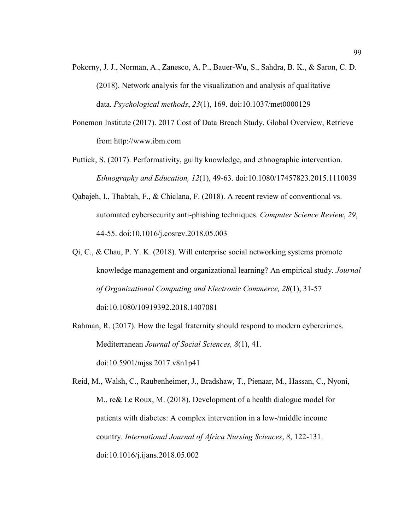- Pokorny, J. J., Norman, A., Zanesco, A. P., Bauer-Wu, S., Sahdra, B. K., & Saron, C. D. (2018). Network analysis for the visualization and analysis of qualitative data. *Psychological methods*, *23*(1), 169. doi:10.1037/met0000129
- Ponemon Institute (2017). 2017 Cost of Data Breach Study. Global Overview, Retrieve from http://www.ibm.com
- Puttick, S. (2017). Performativity, guilty knowledge, and ethnographic intervention. *Ethnography and Education, 12*(1), 49-63. doi:10.1080/17457823.2015.1110039
- Qabajeh, I., Thabtah, F., & Chiclana, F. (2018). A recent review of conventional vs. automated cybersecurity anti-phishing techniques. *Computer Science Review*, *29*, 44-55. doi:10.1016/j.cosrev.2018.05.003
- Qi, C., & Chau, P. Y. K. (2018). Will enterprise social networking systems promote knowledge management and organizational learning? An empirical study. *Journal of Organizational Computing and Electronic Commerce, 28*(1), 31-57 doi:10.1080/10919392.2018.1407081
- Rahman, R. (2017). How the legal fraternity should respond to modern cybercrimes. Mediterranean *Journal of Social Sciences, 8*(1), 41. doi:10.5901/mjss.2017.v8n1p41

Reid, M., Walsh, C., Raubenheimer, J., Bradshaw, T., Pienaar, M., Hassan, C., Nyoni, M., re& Le Roux, M. (2018). Development of a health dialogue model for patients with diabetes: A complex intervention in a low-/middle income country. *International Journal of Africa Nursing Sciences*, *8*, 122-131. doi:10.1016/j.ijans.2018.05.002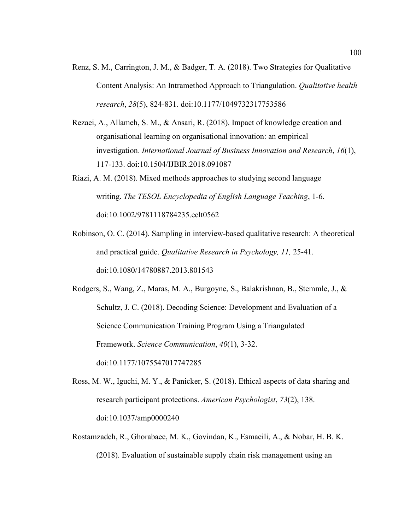- Renz, S. M., Carrington, J. M., & Badger, T. A. (2018). Two Strategies for Qualitative Content Analysis: An Intramethod Approach to Triangulation. *Qualitative health research*, *28*(5), 824-831. doi:10.1177/1049732317753586
- Rezaei, A., Allameh, S. M., & Ansari, R. (2018). Impact of knowledge creation and organisational learning on organisational innovation: an empirical investigation. *International Journal of Business Innovation and Research*, *16*(1), 117-133. doi:10.1504/IJBIR.2018.091087
- Riazi, A. M. (2018). Mixed methods approaches to studying second language writing. *The TESOL Encyclopedia of English Language Teaching*, 1-6. doi:10.1002/9781118784235.eelt0562
- Robinson, O. C. (2014). Sampling in interview-based qualitative research: A theoretical and practical guide. *Qualitative Research in Psychology, 11,* 25-41. doi:10.1080/14780887.2013.801543
- Rodgers, S., Wang, Z., Maras, M. A., Burgoyne, S., Balakrishnan, B., Stemmle, J., & Schultz, J. C. (2018). Decoding Science: Development and Evaluation of a Science Communication Training Program Using a Triangulated Framework. *Science Communication*, *40*(1), 3-32. doi:10.1177/1075547017747285
- Ross, M. W., Iguchi, M. Y., & Panicker, S. (2018). Ethical aspects of data sharing and research participant protections. *American Psychologist*, *73*(2), 138. doi:10.1037/amp0000240
- Rostamzadeh, R., Ghorabaee, M. K., Govindan, K., Esmaeili, A., & Nobar, H. B. K. (2018). Evaluation of sustainable supply chain risk management using an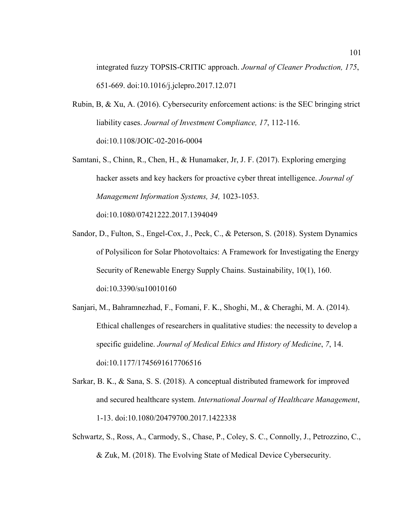integrated fuzzy TOPSIS-CRITIC approach. *Journal of Cleaner Production, 175*, 651-669. doi:10.1016/j.jclepro.2017.12.071

- Rubin, B, & Xu, A. (2016). Cybersecurity enforcement actions: is the SEC bringing strict liability cases. *Journal of Investment Compliance, 17*, 112-116. doi:10.1108/JOIC-02-2016-0004
- Samtani, S., Chinn, R., Chen, H., & Hunamaker, Jr, J. F. (2017). Exploring emerging hacker assets and key hackers for proactive cyber threat intelligence. *Journal of Management Information Systems, 34,* 1023-1053. doi:10.1080/07421222.2017.1394049
- Sandor, D., Fulton, S., Engel-Cox, J., Peck, C., & Peterson, S. (2018). System Dynamics of Polysilicon for Solar Photovoltaics: A Framework for Investigating the Energy Security of Renewable Energy Supply Chains. Sustainability, 10(1), 160. doi:10.3390/su10010160
- Sanjari, M., Bahramnezhad, F., Fomani, F. K., Shoghi, M., & Cheraghi, M. A. (2014). Ethical challenges of researchers in qualitative studies: the necessity to develop a specific guideline. *Journal of Medical Ethics and History of Medicine*, *7*, 14. doi:10.1177/1745691617706516
- Sarkar, B. K., & Sana, S. S. (2018). A conceptual distributed framework for improved and secured healthcare system. *International Journal of Healthcare Management*, 1-13. doi:10.1080/20479700.2017.1422338
- Schwartz, S., Ross, A., Carmody, S., Chase, P., Coley, S. C., Connolly, J., Petrozzino, C., & Zuk, M. (2018). The Evolving State of Medical Device Cybersecurity.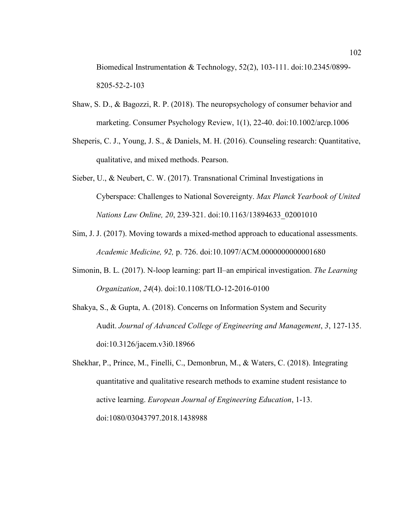Biomedical Instrumentation & Technology, 52(2), 103-111. doi:10.2345/0899- 8205-52-2-103

- Shaw, S. D., & Bagozzi, R. P. (2018). The neuropsychology of consumer behavior and marketing. Consumer Psychology Review, 1(1), 22-40. doi:10.1002/arcp.1006
- Sheperis, C. J., Young, J. S., & Daniels, M. H. (2016). Counseling research: Quantitative, qualitative, and mixed methods. Pearson.
- Sieber, U., & Neubert, C. W. (2017). Transnational Criminal Investigations in Cyberspace: Challenges to National Sovereignty. *Max Planck Yearbook of United Nations Law Online, 20*, 239-321. doi:10.1163/13894633\_02001010
- Sim, J. J. (2017). Moving towards a mixed-method approach to educational assessments. *Academic Medicine, 92,* p. 726. doi:10.1097/ACM.0000000000001680
- Simonin, B. L. (2017). N-loop learning: part II–an empirical investigation. *The Learning Organization*, *24*(4). doi:10.1108/TLO-12-2016-0100
- Shakya, S., & Gupta, A. (2018). Concerns on Information System and Security Audit. *Journal of Advanced College of Engineering and Management*, *3*, 127-135. doi:10.3126/jacem.v3i0.18966
- Shekhar, P., Prince, M., Finelli, C., Demonbrun, M., & Waters, C. (2018). Integrating quantitative and qualitative research methods to examine student resistance to active learning. *European Journal of Engineering Education*, 1-13. doi:1080/03043797.2018.1438988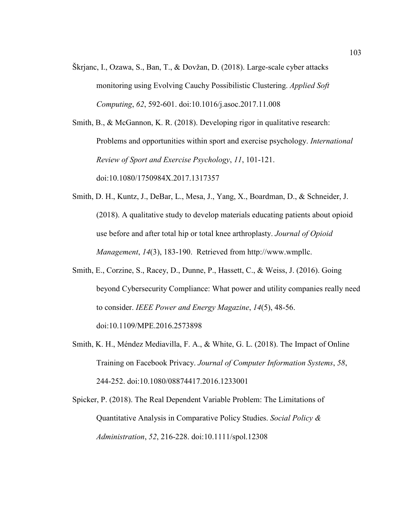Škrjanc, I., Ozawa, S., Ban, T., & Dovžan, D. (2018). Large-scale cyber attacks monitoring using Evolving Cauchy Possibilistic Clustering. *Applied Soft Computing*, *62*, 592-601. doi:10.1016/j.asoc.2017.11.008

Smith, B., & McGannon, K. R. (2018). Developing rigor in qualitative research: Problems and opportunities within sport and exercise psychology. *International Review of Sport and Exercise Psychology*, *11*, 101-121. doi:10.1080/1750984X.2017.1317357

- Smith, D. H., Kuntz, J., DeBar, L., Mesa, J., Yang, X., Boardman, D., & Schneider, J. (2018). A qualitative study to develop materials educating patients about opioid use before and after total hip or total knee arthroplasty. *Journal of Opioid Management*, *14*(3), 183-190. Retrieved from http://www.wmpllc.
- Smith, E., Corzine, S., Racey, D., Dunne, P., Hassett, C., & Weiss, J. (2016). Going beyond Cybersecurity Compliance: What power and utility companies really need to consider. *IEEE Power and Energy Magazine*, *14*(5), 48-56. doi:10.1109/MPE.2016.2573898
- Smith, K. H., Méndez Mediavilla, F. A., & White, G. L. (2018). The Impact of Online Training on Facebook Privacy. *Journal of Computer Information Systems*, *58*, 244-252. doi:10.1080/08874417.2016.1233001

Spicker, P. (2018). The Real Dependent Variable Problem: The Limitations of Quantitative Analysis in Comparative Policy Studies. *Social Policy & Administration*, *52*, 216-228. doi:10.1111/spol.12308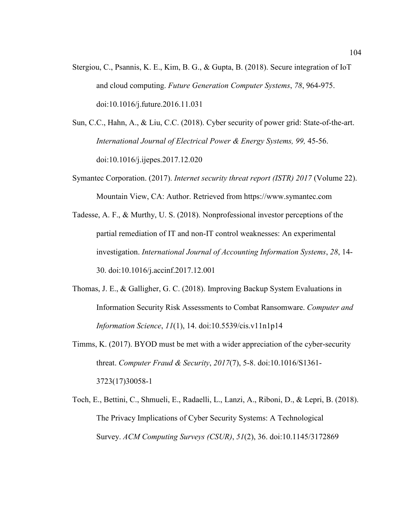- Stergiou, C., Psannis, K. E., Kim, B. G., & Gupta, B. (2018). Secure integration of IoT and cloud computing. *Future Generation Computer Systems*, *78*, 964-975. doi:10.1016/j.future.2016.11.031
- Sun, C.C., Hahn, A., & Liu, C.C. (2018). Cyber security of power grid: State-of-the-art. International Journal of Electrical Power & Energy Systems, 99, 45-56. doi:10.1016/j.ijepes.2017.12.020
- Symantec Corporation. (2017). *Internet security threat report (ISTR) 2017* (Volume 22). Mountain View, CA: Author. Retrieved from https://www.symantec.com
- Tadesse, A. F., & Murthy, U. S. (2018). Nonprofessional investor perceptions of the partial remediation of IT and non-IT control weaknesses: An experimental investigation. *International Journal of Accounting Information Systems*, *28*, 14- 30. doi:10.1016/j.accinf.2017.12.001
- Thomas, J. E., & Galligher, G. C. (2018). Improving Backup System Evaluations in Information Security Risk Assessments to Combat Ransomware. *Computer and Information Science*, *11*(1), 14. doi:10.5539/cis.v11n1p14
- Timms, K. (2017). BYOD must be met with a wider appreciation of the cyber-security threat. *Computer Fraud & Security*, *2017*(7), 5-8. doi:10.1016/S1361- 3723(17)30058-1
- Toch, E., Bettini, C., Shmueli, E., Radaelli, L., Lanzi, A., Riboni, D., & Lepri, B. (2018). The Privacy Implications of Cyber Security Systems: A Technological Survey. *ACM Computing Surveys (CSUR)*, *51*(2), 36. doi:10.1145/3172869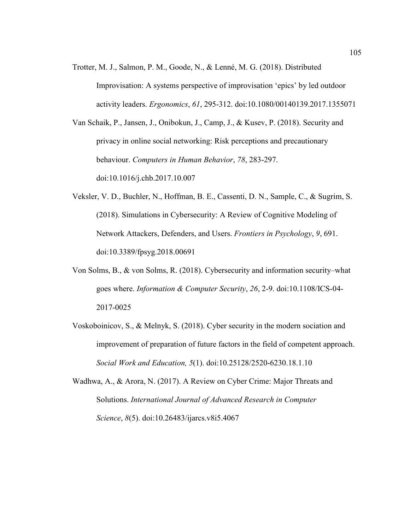Trotter, M. J., Salmon, P. M., Goode, N., & Lenné, M. G. (2018). Distributed Improvisation: A systems perspective of improvisation 'epics' by led outdoor activity leaders. *Ergonomics*, *61*, 295-312. doi:10.1080/00140139.2017.1355071

Van Schaik, P., Jansen, J., Onibokun, J., Camp, J., & Kusev, P. (2018). Security and privacy in online social networking: Risk perceptions and precautionary behaviour. *Computers in Human Behavior*, *78*, 283-297. doi:10.1016/j.chb.2017.10.007

- Veksler, V. D., Buchler, N., Hoffman, B. E., Cassenti, D. N., Sample, C., & Sugrim, S. (2018). Simulations in Cybersecurity: A Review of Cognitive Modeling of Network Attackers, Defenders, and Users. *Frontiers in Psychology*, *9*, 691. doi:10.3389/fpsyg.2018.00691
- Von Solms, B., & von Solms, R. (2018). Cybersecurity and information security–what goes where. *Information & Computer Security*, *26*, 2-9. doi:10.1108/ICS-04- 2017-0025
- Voskoboinicov, S., & Melnyk, S. (2018). Cyber security in the modern sociation and improvement of preparation of future factors in the field of competent approach. *Social Work and Education, 5*(1). doi:10.25128/2520-6230.18.1.10
- Wadhwa, A., & Arora, N. (2017). A Review on Cyber Crime: Major Threats and Solutions. *International Journal of Advanced Research in Computer Science*, *8*(5). doi:10.26483/ijarcs.v8i5.4067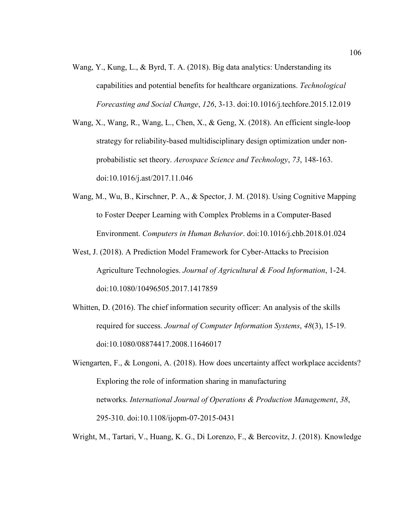Wang, Y., Kung, L., & Byrd, T. A. (2018). Big data analytics: Understanding its capabilities and potential benefits for healthcare organizations. *Technological Forecasting and Social Change*, *126*, 3-13. doi:10.1016/j.techfore.2015.12.019

Wang, X., Wang, R., Wang, L., Chen, X., & Geng, X. (2018). An efficient single-loop strategy for reliability-based multidisciplinary design optimization under nonprobabilistic set theory. *Aerospace Science and Technology*, *73*, 148-163. doi:10.1016/j.ast/2017.11.046

- Wang, M., Wu, B., Kirschner, P. A., & Spector, J. M. (2018). Using Cognitive Mapping to Foster Deeper Learning with Complex Problems in a Computer-Based Environment. *Computers in Human Behavior*. doi:10.1016/j.chb.2018.01.024
- West, J. (2018). A Prediction Model Framework for Cyber-Attacks to Precision Agriculture Technologies. *Journal of Agricultural & Food Information*, 1-24. doi:10.1080/10496505.2017.1417859
- Whitten, D. (2016). The chief information security officer: An analysis of the skills required for success. *Journal of Computer Information Systems*, *48*(3), 15-19. doi:10.1080/08874417.2008.11646017
- Wiengarten, F., & Longoni, A. (2018). How does uncertainty affect workplace accidents? Exploring the role of information sharing in manufacturing networks. *International Journal of Operations & Production Management*, *38*, 295-310. doi:10.1108/ijopm-07-2015-0431

Wright, M., Tartari, V., Huang, K. G., Di Lorenzo, F., & Bercovitz, J. (2018). Knowledge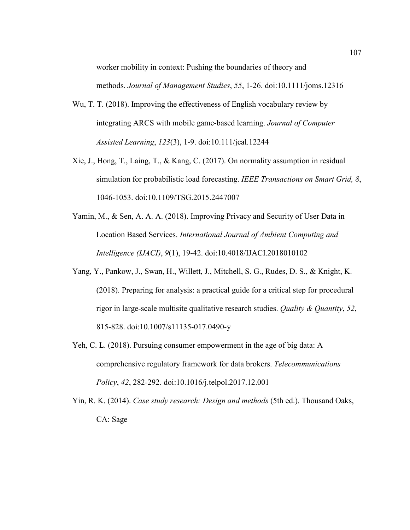worker mobility in context: Pushing the boundaries of theory and

methods. *Journal of Management Studies*, *55*, 1-26. doi:10.1111/joms.12316

- Wu, T. T. (2018). Improving the effectiveness of English vocabulary review by integrating ARCS with mobile game‐based learning. *Journal of Computer Assisted Learning*, *123*(3), 1-9. doi:10.111/jcal.12244
- Xie, J., Hong, T., Laing, T., & Kang, C. (2017). On normality assumption in residual simulation for probabilistic load forecasting. *IEEE Transactions on Smart Grid, 8*, 1046-1053. doi:10.1109/TSG.2015.2447007
- Yamin, M., & Sen, A. A. A. (2018). Improving Privacy and Security of User Data in Location Based Services. *International Journal of Ambient Computing and Intelligence (IJACI)*, *9*(1), 19-42. doi:10.4018/IJACI.2018010102
- Yang, Y., Pankow, J., Swan, H., Willett, J., Mitchell, S. G., Rudes, D. S., & Knight, K. (2018). Preparing for analysis: a practical guide for a critical step for procedural rigor in large-scale multisite qualitative research studies. *Quality & Quantity*, *52*, 815-828. doi:10.1007/s11135-017.0490-y
- Yeh, C. L. (2018). Pursuing consumer empowerment in the age of big data: A comprehensive regulatory framework for data brokers. *Telecommunications Policy*, *42*, 282-292. doi:10.1016/j.telpol.2017.12.001
- Yin, R. K. (2014). *Case study research: Design and methods* (5th ed.). Thousand Oaks, CA: Sage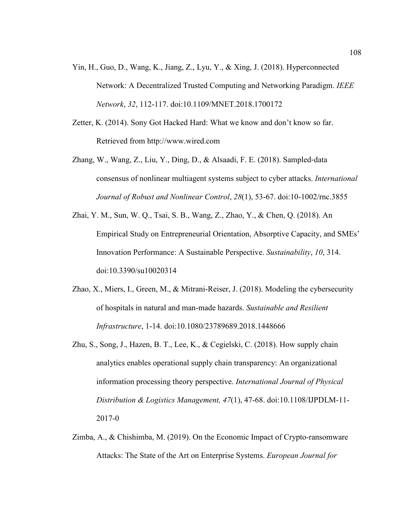- Yin, H., Guo, D., Wang, K., Jiang, Z., Lyu, Y., & Xing, J. (2018). Hyperconnected Network: A Decentralized Trusted Computing and Networking Paradigm. *IEEE Network*, *32*, 112-117. doi:10.1109/MNET.2018.1700172
- Zetter, K. (2014). Sony Got Hacked Hard: What we know and don't know so far. Retrieved from http://www.wired.com
- Zhang, W., Wang, Z., Liu, Y., Ding, D., & Alsaadi, F. E. (2018). Sampled‐data consensus of nonlinear multiagent systems subject to cyber attacks. *International Journal of Robust and Nonlinear Control*, *28*(1), 53-67. doi:10-1002/rnc.3855
- Zhai, Y. M., Sun, W. Q., Tsai, S. B., Wang, Z., Zhao, Y., & Chen, Q. (2018). An Empirical Study on Entrepreneurial Orientation, Absorptive Capacity, and SMEs' Innovation Performance: A Sustainable Perspective. *Sustainability*, *10*, 314. doi:10.3390/su10020314
- Zhao, X., Miers, I., Green, M., & Mitrani-Reiser, J. (2018). Modeling the cybersecurity of hospitals in natural and man-made hazards. *Sustainable and Resilient Infrastructure*, 1-14. doi:10.1080/23789689.2018.1448666
- Zhu, S., Song, J., Hazen, B. T., Lee, K., & Cegielski, C. (2018). How supply chain analytics enables operational supply chain transparency: An organizational information processing theory perspective. *International Journal of Physical Distribution & Logistics Management, 47*(1), 47-68. doi:10.1108/IJPDLM-11- 2017-0
- Zimba, A., & Chishimba, M. (2019). On the Economic Impact of Crypto-ransomware Attacks: The State of the Art on Enterprise Systems. *European Journal for*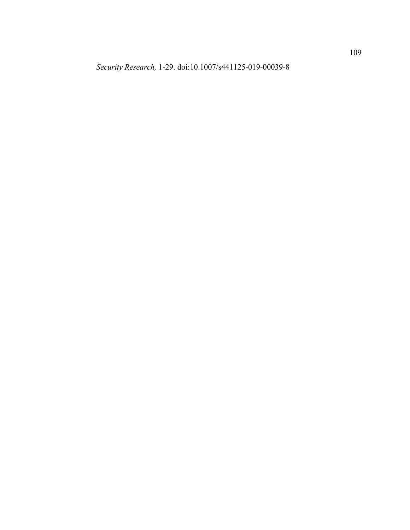*Security Research,* 1-29. doi:10.1007/s441125-019-00039-8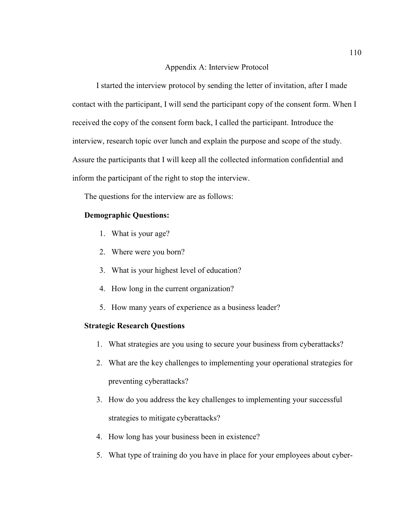#### Appendix A: Interview Protocol

I started the interview protocol by sending the letter of invitation, after I made contact with the participant, I will send the participant copy of the consent form. When I received the copy of the consent form back, I called the participant. Introduce the interview, research topic over lunch and explain the purpose and scope of the study. Assure the participants that I will keep all the collected information confidential and inform the participant of the right to stop the interview.

The questions for the interview are as follows:

### **Demographic Questions:**

- 1. What is your age?
- 2. Where were you born?
- 3. What is your highest level of education?
- 4. How long in the current organization?
- 5. How many years of experience as a business leader?

### **Strategic Research Questions**

- 1. What strategies are you using to secure your business from cyberattacks?
- 2. What are the key challenges to implementing your operational strategies for preventing cyberattacks?
- 3. How do you address the key challenges to implementing your successful strategies to mitigate cyberattacks?
- 4. How long has your business been in existence?
- 5. What type of training do you have in place for your employees about cyber-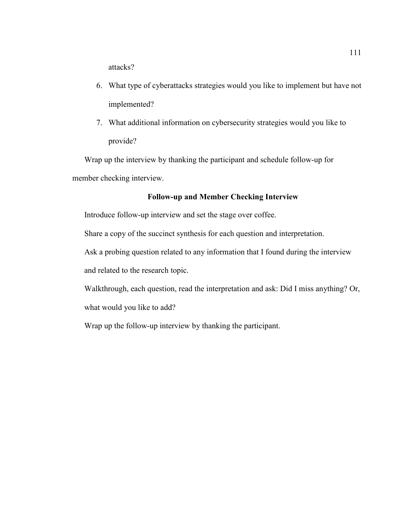attacks?

- 6. What type of cyberattacks strategies would you like to implement but have not implemented?
- 7. What additional information on cybersecurity strategies would you like to provide?

Wrap up the interview by thanking the participant and schedule follow-up for member checking interview.

## **Follow-up and Member Checking Interview**

Introduce follow-up interview and set the stage over coffee.

Share a copy of the succinct synthesis for each question and interpretation.

Ask a probing question related to any information that I found during the interview and related to the research topic.

Walkthrough, each question, read the interpretation and ask: Did I miss anything? Or, what would you like to add?

Wrap up the follow-up interview by thanking the participant.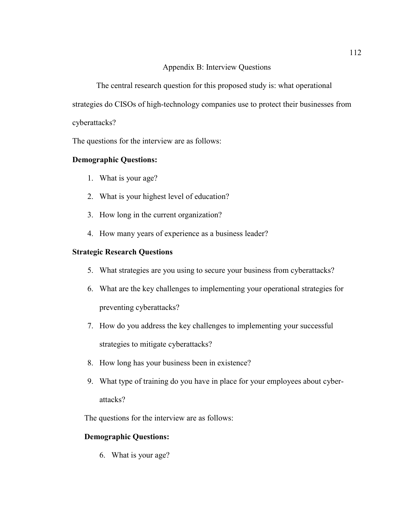## Appendix B: Interview Questions

The central research question for this proposed study is: what operational

strategies do CISOs of high-technology companies use to protect their businesses from

cyberattacks?

The questions for the interview are as follows:

# **Demographic Questions:**

- 1. What is your age?
- 2. What is your highest level of education?
- 3. How long in the current organization?
- 4. How many years of experience as a business leader?

# **Strategic Research Questions**

- 5. What strategies are you using to secure your business from cyberattacks?
- 6. What are the key challenges to implementing your operational strategies for preventing cyberattacks?
- 7. How do you address the key challenges to implementing your successful strategies to mitigate cyberattacks?
- 8. How long has your business been in existence?
- 9. What type of training do you have in place for your employees about cyberattacks?

The questions for the interview are as follows:

# **Demographic Questions:**

6. What is your age?